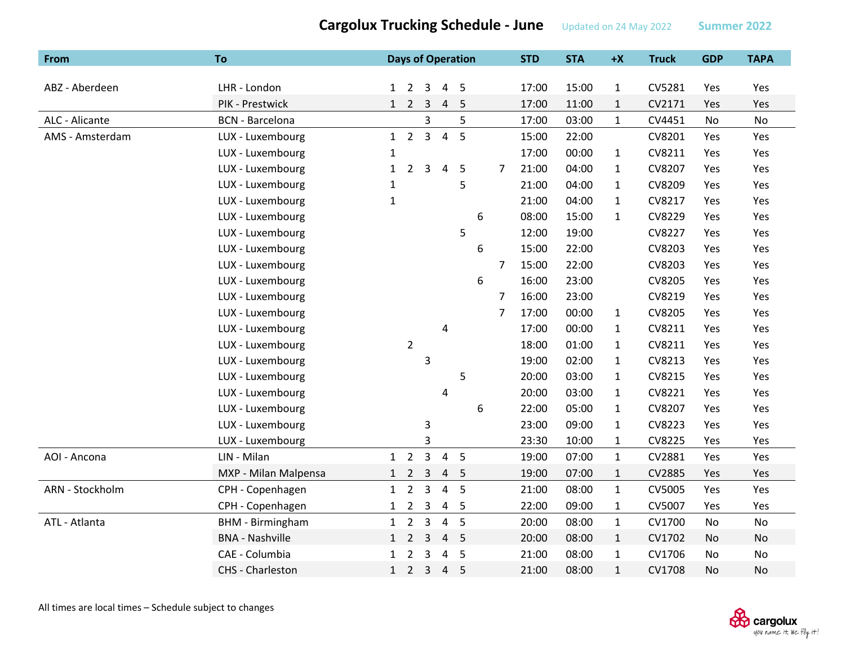| From            | <b>To</b>               |              |                     |                |                | <b>Days of Operation</b> |   |                | <b>STD</b> | <b>STA</b> | $+X$         | <b>Truck</b> | <b>GDP</b> | <b>TAPA</b> |
|-----------------|-------------------------|--------------|---------------------|----------------|----------------|--------------------------|---|----------------|------------|------------|--------------|--------------|------------|-------------|
|                 |                         |              |                     |                |                |                          |   |                |            |            |              |              |            |             |
| ABZ - Aberdeen  | LHR - London            |              | $1\quad 2$          | 3              | 4              | -5                       |   |                | 17:00      | 15:00      | $\mathbf{1}$ | CV5281       | Yes        | Yes         |
|                 | PIK - Prestwick         |              | $1 \quad 2 \quad 3$ |                | 4              | 5                        |   |                | 17:00      | 11:00      | $\mathbf{1}$ | CV2171       | Yes        | Yes         |
| ALC - Alicante  | <b>BCN</b> - Barcelona  |              |                     | 3              |                | 5                        |   |                | 17:00      | 03:00      | $\mathbf{1}$ | CV4451       | No         | No          |
| AMS - Amsterdam | LUX - Luxembourg        |              | $1 \quad 2 \quad 3$ |                | $\overline{4}$ | 5                        |   |                | 15:00      | 22:00      |              | CV8201       | Yes        | Yes         |
|                 | LUX - Luxembourg        | $\mathbf{1}$ |                     |                |                |                          |   |                | 17:00      | 00:00      | $\mathbf{1}$ | CV8211       | Yes        | Yes         |
|                 | LUX - Luxembourg        | $\mathbf{1}$ | $\overline{2}$      | 3              | 4              | 5                        |   | 7              | 21:00      | 04:00      | $\mathbf{1}$ | CV8207       | Yes        | Yes         |
|                 | LUX - Luxembourg        | 1            |                     |                |                | 5                        |   |                | 21:00      | 04:00      | $\mathbf{1}$ | CV8209       | Yes        | Yes         |
|                 | LUX - Luxembourg        | $\mathbf{1}$ |                     |                |                |                          |   |                | 21:00      | 04:00      | $\mathbf{1}$ | CV8217       | Yes        | Yes         |
|                 | LUX - Luxembourg        |              |                     |                |                |                          | 6 |                | 08:00      | 15:00      | $\mathbf{1}$ | CV8229       | Yes        | Yes         |
|                 | LUX - Luxembourg        |              |                     |                |                | 5                        |   |                | 12:00      | 19:00      |              | CV8227       | Yes        | Yes         |
|                 | LUX - Luxembourg        |              |                     |                |                |                          | 6 |                | 15:00      | 22:00      |              | CV8203       | Yes        | Yes         |
|                 | LUX - Luxembourg        |              |                     |                |                |                          |   | $\overline{7}$ | 15:00      | 22:00      |              | CV8203       | Yes        | Yes         |
|                 | LUX - Luxembourg        |              |                     |                |                |                          | 6 |                | 16:00      | 23:00      |              | CV8205       | Yes        | Yes         |
|                 | LUX - Luxembourg        |              |                     |                |                |                          |   | 7              | 16:00      | 23:00      |              | CV8219       | Yes        | Yes         |
|                 | LUX - Luxembourg        |              |                     |                |                |                          |   | $\overline{7}$ | 17:00      | 00:00      | $\mathbf{1}$ | CV8205       | Yes        | Yes         |
|                 | LUX - Luxembourg        |              |                     |                | 4              |                          |   |                | 17:00      | 00:00      | $\mathbf{1}$ | CV8211       | Yes        | Yes         |
|                 | LUX - Luxembourg        |              | $\overline{2}$      |                |                |                          |   |                | 18:00      | 01:00      | $\mathbf{1}$ | CV8211       | Yes        | Yes         |
|                 | LUX - Luxembourg        |              |                     | 3              |                |                          |   |                | 19:00      | 02:00      | $\mathbf{1}$ | CV8213       | Yes        | Yes         |
|                 | LUX - Luxembourg        |              |                     |                |                | 5                        |   |                | 20:00      | 03:00      | $\mathbf{1}$ | CV8215       | Yes        | Yes         |
|                 | LUX - Luxembourg        |              |                     |                | 4              |                          |   |                | 20:00      | 03:00      | $\mathbf{1}$ | CV8221       | Yes        | Yes         |
|                 | LUX - Luxembourg        |              |                     |                |                |                          | 6 |                | 22:00      | 05:00      | $\mathbf{1}$ | CV8207       | Yes        | Yes         |
|                 | LUX - Luxembourg        |              |                     | 3              |                |                          |   |                | 23:00      | 09:00      | $\mathbf{1}$ | CV8223       | Yes        | Yes         |
|                 | LUX - Luxembourg        |              |                     | 3              |                |                          |   |                | 23:30      | 10:00      | $\mathbf{1}$ | CV8225       | Yes        | Yes         |
| AOI - Ancona    | LIN - Milan             | $\mathbf{1}$ | $\overline{2}$      | $\overline{3}$ | $\overline{4}$ | 5                        |   |                | 19:00      | 07:00      | $\mathbf{1}$ | CV2881       | Yes        | Yes         |
|                 | MXP - Milan Malpensa    | $\mathbf{1}$ | $\overline{2}$      | $\overline{3}$ | 4              | $\overline{\phantom{0}}$ |   |                | 19:00      | 07:00      | $\mathbf{1}$ | CV2885       | Yes        | Yes         |
| ARN - Stockholm | CPH - Copenhagen        | $\mathbf{1}$ | $\overline{2}$      | $\overline{3}$ | $\overline{4}$ | 5                        |   |                | 21:00      | 08:00      | $\mathbf{1}$ | CV5005       | Yes        | Yes         |
|                 | CPH - Copenhagen        | $\mathbf{1}$ | $\overline{2}$      | 3              | 4              | -5                       |   |                | 22:00      | 09:00      | $\mathbf{1}$ | CV5007       | Yes        | Yes         |
| ATL - Atlanta   | <b>BHM</b> - Birmingham | $\mathbf{1}$ | $\overline{2}$      | $\overline{3}$ | $\overline{4}$ | 5                        |   |                | 20:00      | 08:00      | $\mathbf{1}$ | CV1700       | No         | No          |
|                 | <b>BNA - Nashville</b>  | 1            | $\overline{2}$      | 3              | $\overline{4}$ | 5                        |   |                | 20:00      | 08:00      | $\mathbf{1}$ | CV1702       | No         | No          |
|                 | CAE - Columbia          | $\mathbf{1}$ | $\overline{2}$      | 3              | $\overline{4}$ | 5                        |   |                | 21:00      | 08:00      | $\mathbf{1}$ | CV1706       | No         | No          |
|                 | CHS - Charleston        | 1            | $2^{\circ}$         | $\overline{3}$ | $\overline{4}$ | 5                        |   |                | 21:00      | 08:00      | $\mathbf{1}$ | CV1708       | No         | No          |

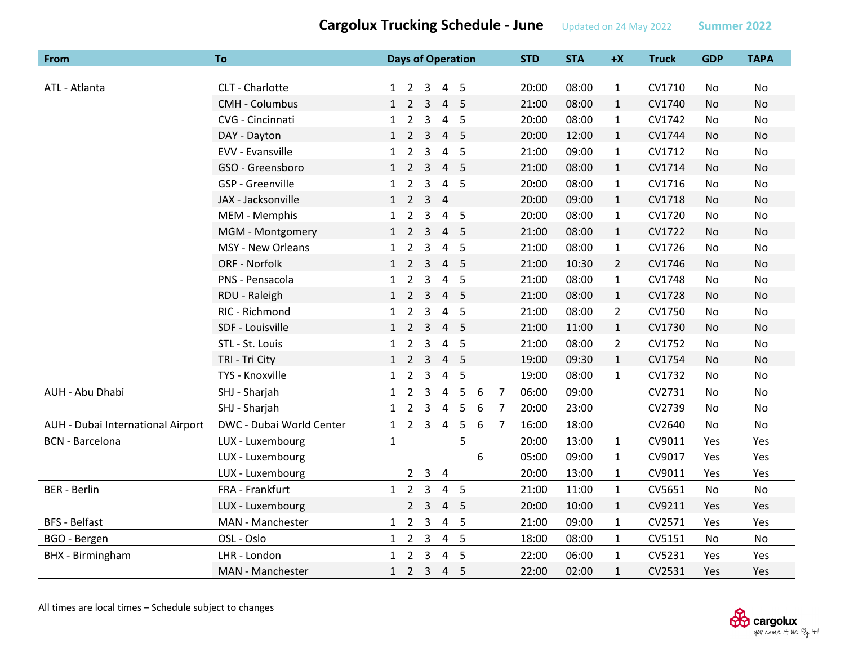**From To Days of Operation STD STA +X Truck GDP TAPA** ATL ‐ Atlanta CLT ‐ Charlottee 1 2 3 4 5 20:00 08:00 1 CV1710 No No CMH ‐ Columbus 1 2 3 4 5 21:00 08:00 1 CV1740 No No CVG ‐ Cincinnati 1 2 3 4 5 20:00 08:00 1 CV1742 No No DAY ‐ Dayton 1 2 3 4 5 20:00 12:00 1 CV1744 No No EVV ‐ Evansvillee 1 2 3 4 5 21:00 09:00 1 CV1712 No No GSO ‐ Greensboro 1 2 3 4 5 21:00 08:00 1 CV1714 No No GSP ‐ Greenvillee 1 2 3 4 5 20:00 08:00 1 CV1716 No No JAX ‐ Jacksonvillee 1 2 3 4 20:00 09:00 1 CV1718 No No MEM ‐ Memphis 1 2 3 4 5 20:00 08:00 1 CV1720 No No MGM ‐ Montgomery 1 2 3 4 5 21:00 08:00 1 CV1722 No No MSY - New Orleans Orleans 1 2 3 4 5 21:00 08:00 1 CV1726 No No ORF - Norfolk 1 2 2 3 4 5 21:00 10:30 2 CV1746 No No PNS ‐ Pensacola 1 2 3 4 5 21:00 08:00 1 CV1748 No No RDU ‐ Raleigh 1 2 3 4 5 21:00 08:00 1 CV1728 No No RIC ‐ Richmond 1 2 3 4 5 21:00 08:00 2 CV1750 No No SDF ‐ Louisvillee 1 2 3 4 5 21:00 11:00 1 CV1730 No No STL ‐ St. Louis 1 2 3 4 5 21:00 08:00 2 CV1752 No No TRI ‐ Tri City 1 2 3 4 5 19:00 09:30 1 CV1754 No No TYS ‐ Knoxvillee 1 2 3 4 5 19:00 08:00 1 CV1732 No No AUH ‐ Abu Dhabi SHJ ‐ Sharjah 1 2 3 4 5 6 7 06:00 09:00 CV2731 No No Dhabi SHJ ‐ Sharjah 1 2 3 4 5 6 7 20:00 23:00 CV2739 No No AUH - Dubai International Airport DWC - Dubai World Center  $1 \quad 2 \quad 3 \quad 4 \quad 5 \quad 6 \quad 7 \quad 16:00 \quad 18:00$  CV2640 No No BCN ‐ Barcelona LUX ‐ Luxembourg 1 5 20:00 13:00 1 CV9011 Yes Yes LUX ‐ Luxembourg 6 05:00 09:00 1 CV9017 Yes Yes LUX ‐ Luxembourg 2 3 4 20:00 13:00 1 CV9011 Yes Yes BER ‐ Berlin FRA ‐ Frankfurt 1 2 3 4 5 21:00 11:00 1 CV5651 No No LUX ‐ Luxembourg 2 3 4 5 20:00 10:00 1 CV9211 Yes Yes BFS ‐ Belfast MAN ‐ Manchesterr 1 2 3 4 5 21:00 09:00 1 CV2571 Yes Yes BGO ‐ Bergen OSL ‐ Oslo 1 2 3 4 5 18:00 08:00 1 CV5151 No No BHX - Birmingham LHR - London 1 2 3 4 5 22:00 06:00 1 CV5231 Yes Yes BHX ‐ Birmingham MAN ‐ Manchester 1 2 3 4 5 22:00 02:00 1 CV2531 Yes Yes

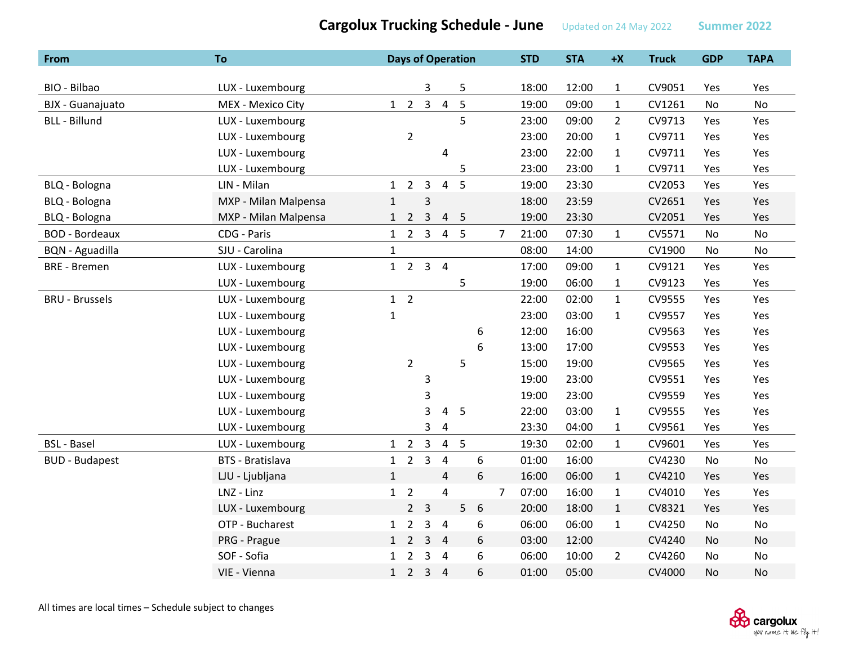| From                   | To                      |              |                     |                |                         | <b>Days of Operation</b> |   |                | <b>STD</b> | <b>STA</b> | $+X$           | <b>Truck</b> | <b>GDP</b> | <b>TAPA</b> |
|------------------------|-------------------------|--------------|---------------------|----------------|-------------------------|--------------------------|---|----------------|------------|------------|----------------|--------------|------------|-------------|
|                        |                         |              |                     |                |                         |                          |   |                |            |            |                |              |            |             |
| BIO - Bilbao           | LUX - Luxembourg        |              |                     | 3              |                         | 5                        |   |                | 18:00      | 12:00      | $\mathbf{1}$   | CV9051       | Yes        | Yes         |
| BJX - Guanajuato       | MEX - Mexico City       |              | $1 \quad 2 \quad 3$ |                | $\overline{4}$          | 5                        |   |                | 19:00      | 09:00      | $\mathbf{1}$   | CV1261       | No         | <b>No</b>   |
| <b>BLL - Billund</b>   | LUX - Luxembourg        |              |                     |                |                         | 5                        |   |                | 23:00      | 09:00      | $\overline{2}$ | CV9713       | Yes        | Yes         |
|                        | LUX - Luxembourg        |              | $\overline{2}$      |                |                         |                          |   |                | 23:00      | 20:00      | $\mathbf{1}$   | CV9711       | Yes        | Yes         |
|                        | LUX - Luxembourg        |              |                     |                | 4                       |                          |   |                | 23:00      | 22:00      | $\mathbf{1}$   | CV9711       | Yes        | Yes         |
|                        | LUX - Luxembourg        |              |                     |                |                         | 5                        |   |                | 23:00      | 23:00      | $\mathbf{1}$   | CV9711       | Yes        | Yes         |
| BLQ - Bologna          | LIN - Milan             | 1            | $\overline{2}$      | 3              | $\overline{4}$          | 5                        |   |                | 19:00      | 23:30      |                | CV2053       | Yes        | Yes         |
| BLQ - Bologna          | MXP - Milan Malpensa    | $\mathbf{1}$ |                     | 3              |                         |                          |   |                | 18:00      | 23:59      |                | CV2651       | Yes        | Yes         |
| BLQ - Bologna          | MXP - Milan Malpensa    | $\mathbf{1}$ | $\overline{2}$      | $\mathbf{3}$   | 4                       | 5                        |   |                | 19:00      | 23:30      |                | CV2051       | Yes        | Yes         |
| <b>BOD - Bordeaux</b>  | CDG - Paris             |              | $1\quad 2$          | $\overline{3}$ |                         | 4 <sub>5</sub>           |   | 7              | 21:00      | 07:30      | $\mathbf{1}$   | CV5571       | No         | No          |
| <b>BQN</b> - Aguadilla | SJU - Carolina          | $\mathbf{1}$ |                     |                |                         |                          |   |                | 08:00      | 14:00      |                | CV1900       | No         | No          |
| <b>BRE</b> - Bremen    | LUX - Luxembourg        |              | $1 \quad 2$         |                | 3 <sub>4</sub>          |                          |   |                | 17:00      | 09:00      | $\mathbf{1}$   | CV9121       | Yes        | Yes         |
|                        | LUX - Luxembourg        |              |                     |                |                         | 5                        |   |                | 19:00      | 06:00      | $\mathbf{1}$   | CV9123       | Yes        | Yes         |
| <b>BRU - Brussels</b>  | LUX - Luxembourg        |              | $1\quad 2$          |                |                         |                          |   |                | 22:00      | 02:00      | $\mathbf{1}$   | CV9555       | Yes        | Yes         |
|                        | LUX - Luxembourg        | $\mathbf{1}$ |                     |                |                         |                          |   |                | 23:00      | 03:00      | $\mathbf{1}$   | CV9557       | Yes        | Yes         |
|                        | LUX - Luxembourg        |              |                     |                |                         |                          | 6 |                | 12:00      | 16:00      |                | CV9563       | Yes        | Yes         |
|                        | LUX - Luxembourg        |              |                     |                |                         |                          | 6 |                | 13:00      | 17:00      |                | CV9553       | Yes        | Yes         |
|                        | LUX - Luxembourg        |              | $\overline{2}$      |                |                         | 5                        |   |                | 15:00      | 19:00      |                | CV9565       | Yes        | Yes         |
|                        | LUX - Luxembourg        |              |                     | 3              |                         |                          |   |                | 19:00      | 23:00      |                | CV9551       | Yes        | Yes         |
|                        | LUX - Luxembourg        |              |                     | 3              |                         |                          |   |                | 19:00      | 23:00      |                | CV9559       | Yes        | Yes         |
|                        | LUX - Luxembourg        |              |                     | 3              | 4                       | 5                        |   |                | 22:00      | 03:00      | $\mathbf{1}$   | CV9555       | Yes        | Yes         |
|                        | LUX - Luxembourg        |              |                     | 3              | $\pmb{4}$               |                          |   |                | 23:30      | 04:00      | $\mathbf{1}$   | CV9561       | Yes        | Yes         |
| <b>BSL - Basel</b>     | LUX - Luxembourg        |              | $1\quad 2$          | $\overline{3}$ |                         | 4 <sub>5</sub>           |   |                | 19:30      | 02:00      | $\mathbf{1}$   | CV9601       | Yes        | Yes         |
| <b>BUD - Budapest</b>  | <b>BTS - Bratislava</b> | $\mathbf{1}$ | $\overline{2}$      | $\overline{3}$ | $\overline{4}$          |                          | 6 |                | 01:00      | 16:00      |                | CV4230       | No         | No          |
|                        | LJU - Ljubljana         | $\mathbf{1}$ |                     |                | $\overline{4}$          |                          | 6 |                | 16:00      | 06:00      | $\mathbf{1}$   | CV4210       | Yes        | Yes         |
|                        | LNZ - Linz              | $\mathbf{1}$ | $\overline{2}$      |                | $\overline{\mathbf{4}}$ |                          |   | $\overline{7}$ | 07:00      | 16:00      | $\mathbf{1}$   | CV4010       | Yes        | Yes         |
|                        | LUX - Luxembourg        |              | $\overline{2}$      | $\overline{3}$ |                         | 5                        | 6 |                | 20:00      | 18:00      | $\mathbf{1}$   | CV8321       | Yes        | Yes         |
|                        | OTP - Bucharest         | $\mathbf{1}$ | $\overline{2}$      | 3              | $\overline{4}$          |                          | 6 |                | 06:00      | 06:00      | $\mathbf{1}$   | CV4250       | No         | No          |
|                        | PRG - Prague            |              | $1\quad 2$          | 3              | $\overline{4}$          |                          | 6 |                | 03:00      | 12:00      |                | CV4240       | No         | No          |
|                        | SOF - Sofia             | $\mathbf{1}$ | $\overline{2}$      | 3              | $\overline{4}$          |                          | 6 |                | 06:00      | 10:00      | $\overline{2}$ | CV4260       | No         | No          |
|                        | VIE - Vienna            | 1            | $\overline{2}$      | $\overline{3}$ | $\overline{4}$          |                          | 6 |                | 01:00      | 05:00      |                | CV4000       | No         | No          |



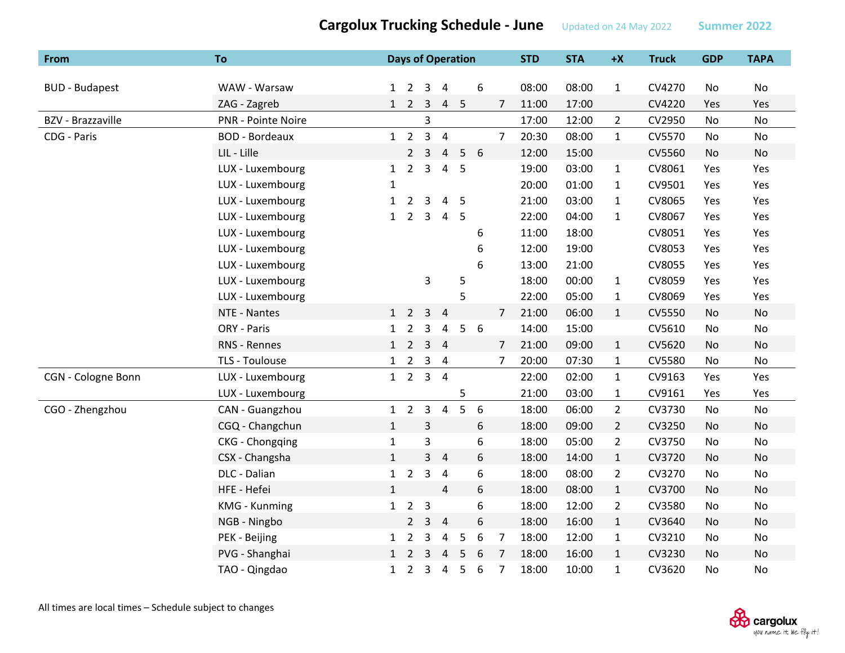| From                     | To                    |              |                  |                | <b>Days of Operation</b> |                 |                  |                | <b>STD</b> | <b>STA</b> | $+X$           | <b>Truck</b> | <b>GDP</b> | <b>TAPA</b>   |
|--------------------------|-----------------------|--------------|------------------|----------------|--------------------------|-----------------|------------------|----------------|------------|------------|----------------|--------------|------------|---------------|
|                          |                       |              |                  |                |                          |                 |                  |                |            |            |                |              |            |               |
| <b>BUD - Budapest</b>    | WAW - Warsaw          |              | $1\quad 2$       |                | $3 \quad 4$              |                 | 6                |                | 08:00      | 08:00      | $\mathbf{1}$   | CV4270       | No         | No            |
|                          | ZAG - Zagreb          |              | $1\quad 2$       | $\overline{3}$ |                          | 4 <sub>5</sub>  |                  | $\overline{7}$ | 11:00      | 17:00      |                | CV4220       | Yes        | Yes           |
| <b>BZV</b> - Brazzaville | PNR - Pointe Noire    |              |                  | 3              |                          |                 |                  |                | 17:00      | 12:00      | $\overline{2}$ | CV2950       | No         | No            |
| CDG - Paris              | <b>BOD - Bordeaux</b> |              | $1\quad 2$       | $\overline{3}$ | $\overline{4}$           |                 |                  | $\overline{7}$ | 20:30      | 08:00      | $\mathbf{1}$   | CV5570       | No         | No            |
|                          | LIL - Lille           |              | $\overline{2}$   | $\overline{3}$ | $\overline{4}$           | 5               | 6                |                | 12:00      | 15:00      |                | CV5560       | No         | <b>No</b>     |
|                          | LUX - Luxembourg      | $\mathbf{1}$ | $\overline{2}$   | 3              | $\overline{4}$           | 5               |                  |                | 19:00      | 03:00      | $\mathbf{1}$   | CV8061       | Yes        | Yes           |
|                          | LUX - Luxembourg      | 1            |                  |                |                          |                 |                  |                | 20:00      | 01:00      | $\mathbf{1}$   | CV9501       | Yes        | Yes           |
|                          | LUX - Luxembourg      | $\mathbf{1}$ | $\overline{2}$   | 3              | 4                        | $5\phantom{.0}$ |                  |                | 21:00      | 03:00      | $\mathbf{1}$   | CV8065       | Yes        | Yes           |
|                          | LUX - Luxembourg      | $\mathbf{1}$ | $\overline{2}$   | 3              | $\overline{a}$           | 5               |                  |                | 22:00      | 04:00      | $\mathbf{1}$   | CV8067       | Yes        | Yes           |
|                          | LUX - Luxembourg      |              |                  |                |                          |                 | 6                |                | 11:00      | 18:00      |                | CV8051       | Yes        | Yes           |
|                          | LUX - Luxembourg      |              |                  |                |                          |                 | 6                |                | 12:00      | 19:00      |                | CV8053       | Yes        | Yes           |
|                          | LUX - Luxembourg      |              |                  |                |                          |                 | 6                |                | 13:00      | 21:00      |                | CV8055       | Yes        | Yes           |
|                          | LUX - Luxembourg      |              |                  | 3              |                          | 5               |                  |                | 18:00      | 00:00      | $\mathbf{1}$   | CV8059       | Yes        | Yes           |
|                          | LUX - Luxembourg      |              |                  |                |                          | 5               |                  |                | 22:00      | 05:00      | $\mathbf{1}$   | CV8069       | Yes        | Yes           |
|                          | NTE - Nantes          |              | $1\quad 2$       | 3              | $\overline{4}$           |                 |                  | $\overline{7}$ | 21:00      | 06:00      | $\mathbf{1}$   | CV5550       | No         | No            |
|                          | ORY - Paris           | $\mathbf{1}$ | $\overline{2}$   | 3              | 4                        | 5 <sup>1</sup>  | 6                |                | 14:00      | 15:00      |                | CV5610       | No         | No            |
|                          | RNS - Rennes          |              | $1\quad 2$       |                | $3 \quad 4$              |                 |                  | $\overline{7}$ | 21:00      | 09:00      | $\mathbf{1}$   | CV5620       | No         | No            |
|                          | TLS - Toulouse        |              | $1\quad 2$       | $\mathbf{3}$   | $\overline{4}$           |                 |                  | $\overline{7}$ | 20:00      | 07:30      | $\mathbf{1}$   | CV5580       | No         | No            |
| CGN - Cologne Bonn       | LUX - Luxembourg      |              | $1\quad 2$       |                | $3 \quad 4$              |                 |                  |                | 22:00      | 02:00      | $\mathbf{1}$   | CV9163       | Yes        | Yes           |
|                          | LUX - Luxembourg      |              |                  |                |                          | 5               |                  |                | 21:00      | 03:00      | $\mathbf{1}$   | CV9161       | Yes        | Yes           |
| CGO - Zhengzhou          | CAN - Guangzhou       |              | $1\quad 2$       | $\overline{3}$ | $\overline{4}$           | 5               | 6                |                | 18:00      | 06:00      | $\overline{2}$ | CV3730       | No         | No            |
|                          | CGQ - Changchun       | $\mathbf{1}$ |                  | $\mathsf{3}$   |                          |                 | 6                |                | 18:00      | 09:00      | $2^{\circ}$    | CV3250       | No         | No            |
|                          | CKG - Chongqing       | $\mathbf{1}$ |                  | 3              |                          |                 | 6                |                | 18:00      | 05:00      | $\overline{2}$ | CV3750       | No         | $\mathsf{No}$ |
|                          | CSX - Changsha        | $\mathbf{1}$ |                  |                | $3 \quad 4$              |                 | 6                |                | 18:00      | 14:00      | $\mathbf{1}$   | CV3720       | No         | No            |
|                          | DLC - Dalian          |              | $1\quad 2$       | 3              | $\overline{4}$           |                 | 6                |                | 18:00      | 08:00      | $\overline{2}$ | CV3270       | No         | No            |
|                          | HFE - Hefei           | $\mathbf{1}$ |                  |                | $\overline{4}$           |                 | 6                |                | 18:00      | 08:00      | $\mathbf{1}$   | CV3700       | No         | <b>No</b>     |
|                          | <b>KMG - Kunming</b>  | 1            | $2 \overline{)}$ | $\overline{3}$ |                          |                 | 6                |                | 18:00      | 12:00      | $\overline{2}$ | CV3580       | No         | No            |
|                          | NGB - Ningbo          |              | $\overline{2}$   | 3              | $\overline{4}$           |                 | 6                |                | 18:00      | 16:00      | $\mathbf{1}$   | CV3640       | No         | <b>No</b>     |
|                          | PEK - Beijing         |              | $1\quad 2$       | 3              | $\overline{a}$           | 5               | $\boldsymbol{6}$ | $\overline{7}$ | 18:00      | 12:00      | $\mathbf{1}$   | CV3210       | No         | No            |
|                          | PVG - Shanghai        | 1            | $\overline{2}$   | 3              | $\overline{4}$           | 5               | 6                | $\overline{7}$ | 18:00      | 16:00      | $\mathbf{1}$   | CV3230       | No         | No            |
|                          | TAO - Qingdao         | $\mathbf{1}$ | $\overline{2}$   | 3              | $\overline{4}$           | 5               | 6                | $\overline{7}$ | 18:00      | 10:00      | $\mathbf{1}$   | CV3620       | No         | No            |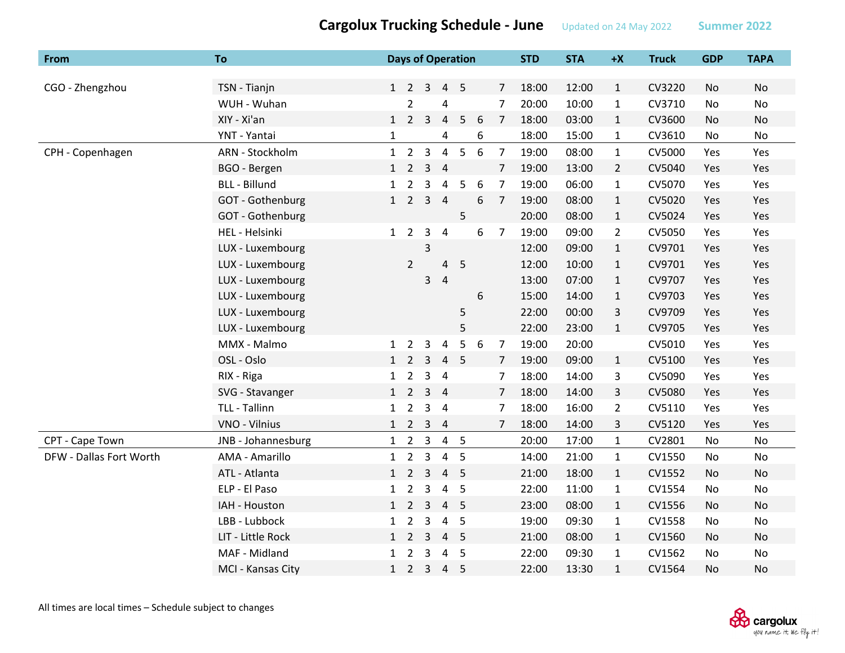| From                    | <b>To</b>            |              |                |                     | <b>Days of Operation</b> |                |   |                | <b>STD</b> | <b>STA</b> | $+X$           | <b>Truck</b> | <b>GDP</b> | <b>TAPA</b> |
|-------------------------|----------------------|--------------|----------------|---------------------|--------------------------|----------------|---|----------------|------------|------------|----------------|--------------|------------|-------------|
|                         |                      |              |                |                     |                          |                |   |                |            |            |                |              |            |             |
| CGO - Zhengzhou         | TSN - Tianjn         |              |                | $1 \quad 2 \quad 3$ | $\overline{4}$           | 5              |   | $\overline{7}$ | 18:00      | 12:00      | $\mathbf{1}$   | CV3220       | No         | <b>No</b>   |
|                         | WUH - Wuhan          |              | $\overline{2}$ |                     | 4                        |                |   | $\overline{7}$ | 20:00      | 10:00      | $\mathbf{1}$   | CV3710       | No         | No          |
|                         | XIY - Xi'an          |              | $1\quad 2$     | $\overline{3}$      | $\overline{4}$           | 5              | 6 | $\overline{7}$ | 18:00      | 03:00      | $\mathbf{1}$   | CV3600       | No         | No          |
|                         | YNT - Yantai         | $\mathbf{1}$ |                |                     | 4                        |                | 6 |                | 18:00      | 15:00      | $\mathbf{1}$   | CV3610       | No         | No          |
| CPH - Copenhagen        | ARN - Stockholm      |              | $1\quad 2$     | $\overline{3}$      | $\overline{4}$           | 5              | 6 | $\overline{7}$ | 19:00      | 08:00      | $\mathbf{1}$   | CV5000       | Yes        | Yes         |
|                         | BGO - Bergen         | 1            | $\overline{2}$ | $\overline{3}$      | $\overline{4}$           |                |   | $\overline{7}$ | 19:00      | 13:00      | $\overline{2}$ | CV5040       | Yes        | Yes         |
|                         | <b>BLL - Billund</b> | $\mathbf{1}$ | $\overline{2}$ | 3                   | 4                        | 5              | 6 | $\overline{7}$ | 19:00      | 06:00      | $\mathbf{1}$   | CV5070       | Yes        | Yes         |
|                         | GOT - Gothenburg     |              | $1\quad 2$     |                     | 3 <sub>4</sub>           |                | 6 | $\overline{7}$ | 19:00      | 08:00      | $\mathbf{1}$   | CV5020       | Yes        | Yes         |
|                         | GOT - Gothenburg     |              |                |                     |                          | 5              |   |                | 20:00      | 08:00      | $\mathbf{1}$   | CV5024       | Yes        | Yes         |
|                         | HEL - Helsinki       | $1\quad 2$   |                | 3                   | $\overline{4}$           |                | 6 | $\overline{7}$ | 19:00      | 09:00      | $\overline{2}$ | CV5050       | Yes        | Yes         |
|                         | LUX - Luxembourg     |              |                | 3                   |                          |                |   |                | 12:00      | 09:00      | $\mathbf{1}$   | CV9701       | Yes        | Yes         |
|                         | LUX - Luxembourg     |              | $\overline{2}$ |                     | 4                        | 5              |   |                | 12:00      | 10:00      | $\mathbf{1}$   | CV9701       | Yes        | Yes         |
|                         | LUX - Luxembourg     |              |                | $\mathbf{3}$        | $\overline{4}$           |                |   |                | 13:00      | 07:00      | $\mathbf{1}$   | CV9707       | Yes        | Yes         |
|                         | LUX - Luxembourg     |              |                |                     |                          |                | 6 |                | 15:00      | 14:00      | $\mathbf{1}$   | CV9703       | Yes        | Yes         |
|                         | LUX - Luxembourg     |              |                |                     |                          | 5              |   |                | 22:00      | 00:00      | 3              | CV9709       | Yes        | Yes         |
|                         | LUX - Luxembourg     |              |                |                     |                          | 5              |   |                | 22:00      | 23:00      | $\mathbf{1}$   | CV9705       | Yes        | Yes         |
|                         | MMX - Malmo          | $\mathbf{1}$ | 2              | 3                   | $\overline{a}$           | 5              | 6 | $\overline{7}$ | 19:00      | 20:00      |                | CV5010       | Yes        | Yes         |
|                         | OSL - Oslo           | $1\quad 2$   |                | 3                   | $\overline{4}$           | $5^{\circ}$    |   | $\overline{7}$ | 19:00      | 09:00      | $\mathbf{1}$   | CV5100       | Yes        | Yes         |
|                         | RIX - Riga           |              | $1\quad 2$     |                     | 3 <sub>4</sub>           |                |   | $\overline{7}$ | 18:00      | 14:00      | 3              | CV5090       | Yes        | Yes         |
|                         | SVG - Stavanger      | $1\quad 2$   |                |                     | 3 <sub>4</sub>           |                |   | $\overline{7}$ | 18:00      | 14:00      | 3              | CV5080       | Yes        | Yes         |
|                         | TLL - Tallinn        | $\mathbf{1}$ | $\overline{2}$ | $\mathbf{3}$        | $\overline{4}$           |                |   | $\overline{7}$ | 18:00      | 16:00      | $\overline{2}$ | CV5110       | Yes        | Yes         |
|                         | VNO - Vilnius        |              | $1\quad 2$     | $\overline{3}$      | $\overline{4}$           |                |   | 7              | 18:00      | 14:00      | 3              | CV5120       | Yes        | Yes         |
| CPT - Cape Town         | JNB - Johannesburg   |              | $1\quad 2$     | $\overline{3}$      |                          | 4 <sub>5</sub> |   |                | 20:00      | 17:00      | $\mathbf{1}$   | CV2801       | No         | No          |
| DFW - Dallas Fort Worth | AMA - Amarillo       | $\mathbf{1}$ | $\overline{2}$ | $\overline{3}$      | $\overline{4}$           | 5              |   |                | 14:00      | 21:00      | $\mathbf{1}$   | CV1550       | No         | No          |
|                         | ATL - Atlanta        |              |                | $1\quad 2\quad 3$   | $\overline{4}$           | 5              |   |                | 21:00      | 18:00      | $\mathbf{1}$   | CV1552       | No         | <b>No</b>   |
|                         | ELP - El Paso        | $\mathbf{1}$ | $\overline{2}$ | 3                   | $\overline{4}$           | 5              |   |                | 22:00      | 11:00      | $\mathbf{1}$   | CV1554       | No         | No          |
|                         | IAH - Houston        |              | $1\quad 2$     | $\overline{3}$      | $\overline{4}$           | 5              |   |                | 23:00      | 08:00      | $\mathbf{1}$   | CV1556       | No         | No          |
|                         | LBB - Lubbock        | $\mathbf{1}$ | $\overline{2}$ | 3                   | $\overline{4}$           | 5              |   |                | 19:00      | 09:30      | $\mathbf{1}$   | CV1558       | No         | No          |
|                         | LIT - Little Rock    |              | $1\quad 2$     | $\overline{3}$      | $\overline{4}$           | 5              |   |                | 21:00      | 08:00      | $\mathbf{1}$   | CV1560       | No         | No          |
|                         | MAF - Midland        | 1            | $\overline{2}$ | $\overline{3}$      | $\overline{a}$           | 5              |   |                | 22:00      | 09:30      | $\mathbf{1}$   | CV1562       | No         | No          |
|                         | MCI - Kansas City    | 1            |                | $2 \quad 3$         | $\overline{4}$           | 5              |   |                | 22:00      | 13:30      | $\mathbf{1}$   | CV1564       | <b>No</b>  | No          |

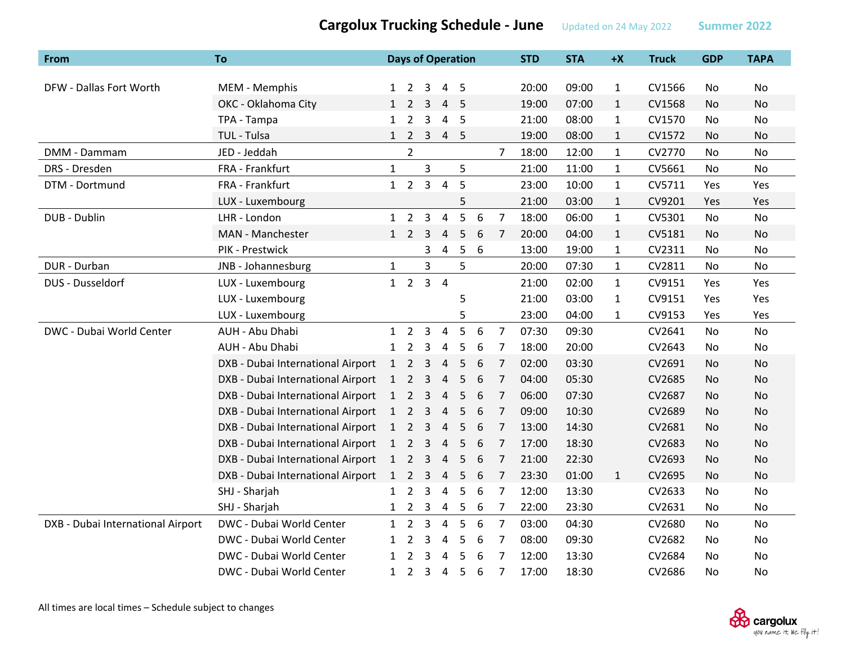| From                              | <b>To</b>                         |                |                     |                | <b>Days of Operation</b> |    |   |                | <b>STD</b> | <b>STA</b> | $+X$         | <b>Truck</b> | <b>GDP</b>     | <b>TAPA</b> |
|-----------------------------------|-----------------------------------|----------------|---------------------|----------------|--------------------------|----|---|----------------|------------|------------|--------------|--------------|----------------|-------------|
| DFW - Dallas Fort Worth           | MEM - Memphis                     | $\mathbf{1}$   | 2                   | 3              | 4                        | 5  |   |                | 20:00      | 09:00      | $\mathbf{1}$ | CV1566       | No             | No          |
|                                   | OKC - Oklahoma City               |                | $1\quad 2$          | 3              | 4                        | -5 |   |                | 19:00      | 07:00      | $\mathbf{1}$ | CV1568       | No.            | No          |
|                                   | TPA - Tampa                       | $\mathbf{1}$   | $\overline{2}$      | $\overline{3}$ | 4                        | 5  |   |                | 21:00      | 08:00      | $\mathbf{1}$ | CV1570       | N <sub>o</sub> | No          |
|                                   | TUL - Tulsa                       | 1              |                     | $2 \quad 3$    | $\overline{4}$           | 5  |   |                | 19:00      | 08:00      | 1            | CV1572       | No             | No          |
| DMM - Dammam                      | JED - Jeddah                      |                | $\overline{2}$      |                |                          |    |   | 7              | 18:00      | 12:00      | $\mathbf{1}$ | CV2770       | No             | No          |
| DRS - Dresden                     | FRA - Frankfurt                   | $\mathbf{1}$   |                     | $\mathbf{3}$   |                          | 5  |   |                | 21:00      | 11:00      | $\mathbf{1}$ | CV5661       | N <sub>o</sub> | <b>No</b>   |
| DTM - Dortmund                    | FRA - Frankfurt                   | 1              | $\overline{2}$      | $\overline{3}$ | $\overline{4}$           | 5  |   |                | 23:00      | 10:00      | $\mathbf{1}$ | CV5711       | Yes            | Yes         |
|                                   | LUX - Luxembourg                  |                |                     |                |                          | 5  |   |                | 21:00      | 03:00      | $\mathbf{1}$ | CV9201       | Yes            | Yes         |
| DUB - Dublin                      | LHR - London                      | $\mathbf{1}$   | $\overline{2}$      | 3              | $\overline{4}$           | 5  | 6 | $\overline{7}$ | 18:00      | 06:00      | $\mathbf{1}$ | CV5301       | <b>No</b>      | No          |
|                                   | MAN - Manchester                  |                | $1\quad 2$          | 3              | $\overline{4}$           | 5  | 6 | 7              | 20:00      | 04:00      | $\mathbf{1}$ | CV5181       | No             | No          |
|                                   | PIK - Prestwick                   |                |                     | 3              | 4                        | 5  | 6 |                | 13:00      | 19:00      | 1            | CV2311       | No.            | No          |
| DUR - Durban                      | JNB - Johannesburg                | $\mathbf{1}$   |                     | 3              |                          | 5  |   |                | 20:00      | 07:30      | $\mathbf{1}$ | CV2811       | No             | No          |
| DUS - Dusseldorf                  | LUX - Luxembourg                  |                | $1\quad 2$          |                | $3 \quad 4$              |    |   |                | 21:00      | 02:00      | $\mathbf{1}$ | CV9151       | Yes            | Yes         |
|                                   | LUX - Luxembourg                  |                |                     |                |                          | 5  |   |                | 21:00      | 03:00      | $\mathbf{1}$ | CV9151       | Yes            | Yes         |
|                                   | LUX - Luxembourg                  |                |                     |                |                          | 5  |   |                | 23:00      | 04:00      | $\mathbf{1}$ | CV9153       | Yes            | Yes         |
| DWC - Dubai World Center          | AUH - Abu Dhabi                   |                | $1\quad 2$          | $\overline{3}$ | 4                        | 5  | 6 | $\overline{7}$ | 07:30      | 09:30      |              | CV2641       | No             | No          |
|                                   | AUH - Abu Dhabi                   | $\mathbf{1}$   | 2                   | 3              | $\overline{4}$           | 5  | 6 | 7              | 18:00      | 20:00      |              | CV2643       | No             | No          |
|                                   | DXB - Dubai International Airport | 1              | $\overline{2}$      | $\overline{3}$ | $\overline{4}$           | 5  | 6 | 7              | 02:00      | 03:30      |              | CV2691       | No             | No          |
|                                   | DXB - Dubai International Airport | $\mathbf{1}$   | $\overline{2}$      | $\overline{3}$ | $\overline{4}$           | 5  | 6 | 7              | 04:00      | 05:30      |              | CV2685       | No             | No          |
|                                   | DXB - Dubai International Airport | $\overline{1}$ | $\overline{2}$      | 3              | $\overline{4}$           | 5  | 6 | 7              | 06:00      | 07:30      |              | CV2687       | No.            | No          |
|                                   | DXB - Dubai International Airport | $\mathbf{1}$   | $\overline{2}$      | $\overline{3}$ | $\overline{4}$           | 5  | 6 | 7              | 09:00      | 10:30      |              | CV2689       | No             | No          |
|                                   | DXB - Dubai International Airport |                | $1\quad 2$          | $\overline{3}$ | $\overline{4}$           | 5  | 6 | 7              | 13:00      | 14:30      |              | CV2681       | No.            | No          |
|                                   | DXB - Dubai International Airport | $\mathbf{1}$   | $\overline{2}$      | $\overline{3}$ | $\overline{4}$           | 5  | 6 | 7              | 17:00      | 18:30      |              | CV2683       | <b>No</b>      | No          |
|                                   | DXB - Dubai International Airport | $\mathbf{1}$   | $\overline{2}$      | $\overline{3}$ | $\overline{4}$           | 5  | 6 | 7              | 21:00      | 22:30      |              | CV2693       | No             | No          |
|                                   | DXB - Dubai International Airport |                | $1 \quad 2 \quad 3$ |                | $\overline{4}$           | 5  | 6 | $\overline{7}$ | 23:30      | 01:00      | $\mathbf{1}$ | CV2695       | No             | <b>No</b>   |
|                                   | SHJ - Sharjah                     | $\mathbf{1}$   | $\overline{2}$      | 3              | $\overline{4}$           | 5  | 6 | 7              | 12:00      | 13:30      |              | CV2633       | No             | No          |
|                                   | SHJ - Sharjah                     | $\mathbf{1}$   | $\overline{2}$      | 3              | 4                        | 5  | 6 | 7              | 22:00      | 23:30      |              | CV2631       | No             | No          |
| DXB - Dubai International Airport | DWC - Dubai World Center          | $\mathbf{1}$   | $\overline{2}$      | $\mathbf{3}$   | 4                        | 5  | 6 | $\overline{7}$ | 03:00      | 04:30      |              | CV2680       | No.            | <b>No</b>   |
|                                   | DWC - Dubai World Center          |                | $\overline{2}$      | 3              | 4                        | 5  | 6 | 7              | 08:00      | 09:30      |              | CV2682       | No             | No          |
|                                   | DWC - Dubai World Center          | $\mathbf{1}$   | 2                   | 3              | 4                        | 5  | 6 | 7              | 12:00      | 13:30      |              | CV2684       | No             | No          |
|                                   | DWC - Dubai World Center          | $\mathbf{1}$   | $2^{\circ}$         | 3              | $\overline{4}$           | 5  | 6 | $\overline{7}$ | 17:00      | 18:30      |              | CV2686       | No             | No          |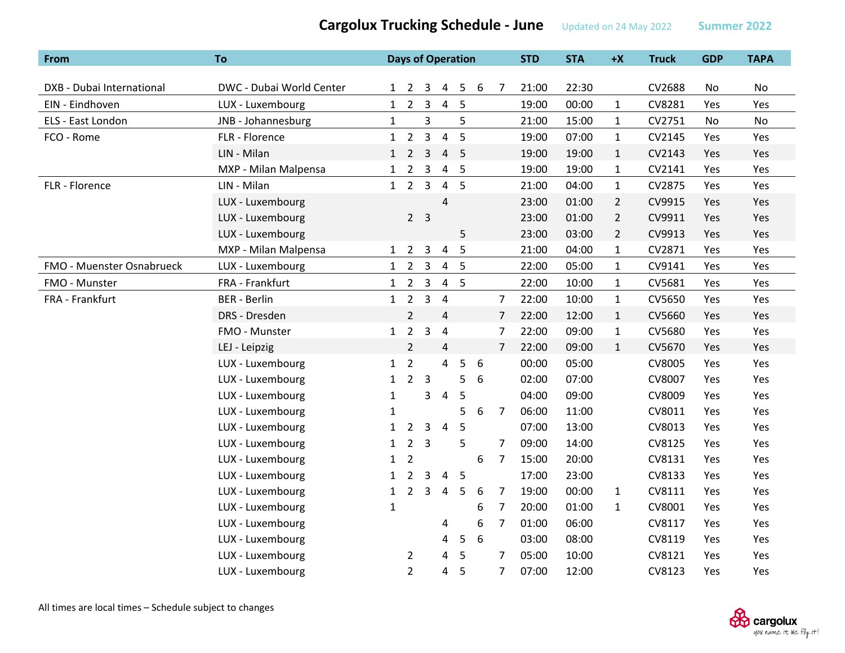| From                      | <b>To</b>                |              |                     |                | <b>Days of Operation</b> |                |   |                | <b>STD</b> | <b>STA</b> | $+X$           | <b>Truck</b> | <b>GDP</b> | <b>TAPA</b> |
|---------------------------|--------------------------|--------------|---------------------|----------------|--------------------------|----------------|---|----------------|------------|------------|----------------|--------------|------------|-------------|
|                           |                          |              |                     |                |                          |                |   |                |            |            |                |              |            |             |
| DXB - Dubai International | DWC - Dubai World Center |              | $1 \quad 2 \quad 3$ |                |                          | 4 5            | 6 | $\overline{7}$ | 21:00      | 22:30      |                | CV2688       | No         | No          |
| EIN - Eindhoven           | LUX - Luxembourg         | 1            | $\overline{2}$      | 3              | $\overline{4}$           | $-5$           |   |                | 19:00      | 00:00      | $\mathbf{1}$   | CV8281       | Yes        | Yes         |
| ELS - East London         | JNB - Johannesburg       | $\mathbf{1}$ |                     | 3              |                          | 5              |   |                | 21:00      | 15:00      | $\mathbf{1}$   | CV2751       | No         | No          |
| FCO - Rome                | FLR - Florence           | 1            | $2^{\circ}$         | $\overline{3}$ | $\overline{4}$           | 5              |   |                | 19:00      | 07:00      | $\mathbf{1}$   | CV2145       | Yes        | Yes         |
|                           | LIN - Milan              | 1            | $\overline{2}$      | $\mathbf{3}$   |                          | 4 <sub>5</sub> |   |                | 19:00      | 19:00      | $\mathbf{1}$   | CV2143       | Yes        | Yes         |
|                           | MXP - Milan Malpensa     | $\mathbf{1}$ | $\overline{2}$      | 3              | $\overline{4}$           | $5\phantom{0}$ |   |                | 19:00      | 19:00      | $\mathbf{1}$   | CV2141       | Yes        | Yes         |
| FLR - Florence            | LIN - Milan              |              | $1\quad 2$          | $\overline{3}$ |                          | 4 <sub>5</sub> |   |                | 21:00      | 04:00      | $\mathbf{1}$   | CV2875       | Yes        | Yes         |
|                           | LUX - Luxembourg         |              |                     |                | $\overline{4}$           |                |   |                | 23:00      | 01:00      | $\overline{2}$ | CV9915       | Yes        | Yes         |
|                           | LUX - Luxembourg         |              |                     | 2 <sub>3</sub> |                          |                |   |                | 23:00      | 01:00      | $\overline{2}$ | CV9911       | Yes        | Yes         |
|                           | LUX - Luxembourg         |              |                     |                |                          | 5              |   |                | 23:00      | 03:00      | $\overline{2}$ | CV9913       | Yes        | Yes         |
|                           | MXP - Milan Malpensa     | 1            |                     | $2 \quad 3$    | $\overline{4}$           | 5              |   |                | 21:00      | 04:00      | $\mathbf{1}$   | CV2871       | Yes        | Yes         |
| FMO - Muenster Osnabrueck | LUX - Luxembourg         | 1            | $\overline{2}$      | $\overline{3}$ |                          | 4 <sub>5</sub> |   |                | 22:00      | 05:00      | $\mathbf{1}$   | CV9141       | Yes        | Yes         |
| FMO - Munster             | FRA - Frankfurt          | $\mathbf{1}$ | $\overline{2}$      | $\mathbf{3}$   |                          | 4 <sub>5</sub> |   |                | 22:00      | 10:00      | $\mathbf{1}$   | CV5681       | Yes        | Yes         |
| FRA - Frankfurt           | <b>BER</b> - Berlin      | $\mathbf{1}$ | $\overline{2}$      | 3              | $\overline{4}$           |                |   | $\overline{7}$ | 22:00      | 10:00      | $\mathbf{1}$   | CV5650       | Yes        | Yes         |
|                           | DRS - Dresden            |              | $\overline{2}$      |                | $\overline{4}$           |                |   | $\overline{7}$ | 22:00      | 12:00      | $\mathbf{1}$   | CV5660       | Yes        | Yes         |
|                           | FMO - Munster            | $\mathbf{1}$ | $\overline{2}$      | $\overline{3}$ | $\pmb{4}$                |                |   | $\overline{7}$ | 22:00      | 09:00      | $\mathbf 1$    | CV5680       | Yes        | Yes         |
|                           | LEJ - Leipzig            |              | $\overline{2}$      |                | $\overline{4}$           |                |   | $\overline{7}$ | 22:00      | 09:00      | $\mathbf{1}$   | CV5670       | Yes        | Yes         |
|                           | LUX - Luxembourg         | 1            | $\overline{2}$      |                | $\overline{4}$           | 5              | 6 |                | 00:00      | 05:00      |                | CV8005       | <b>Yes</b> | Yes         |
|                           | LUX - Luxembourg         | $\mathbf{1}$ | $2^{\circ}$         | $\overline{3}$ |                          | 5              | 6 |                | 02:00      | 07:00      |                | CV8007       | Yes        | Yes         |
|                           | LUX - Luxembourg         | 1            |                     | 3              | $\pmb{4}$                | 5              |   |                | 04:00      | 09:00      |                | CV8009       | Yes        | Yes         |
|                           | LUX - Luxembourg         | 1            |                     |                |                          | 5              | 6 | $\overline{7}$ | 06:00      | 11:00      |                | CV8011       | Yes        | Yes         |
|                           | LUX - Luxembourg         | $\mathbf{1}$ | $\overline{2}$      | 3              | $\overline{4}$           | 5              |   |                | 07:00      | 13:00      |                | CV8013       | Yes        | Yes         |
|                           | LUX - Luxembourg         | $\mathbf{1}$ | $\overline{2}$      | $\overline{3}$ |                          | 5              |   | $\overline{7}$ | 09:00      | 14:00      |                | CV8125       | Yes        | Yes         |
|                           | LUX - Luxembourg         | $\mathbf{1}$ | $\overline{2}$      |                |                          |                | 6 | 7              | 15:00      | 20:00      |                | CV8131       | Yes        | Yes         |
|                           | LUX - Luxembourg         | $\mathbf{1}$ | $\overline{2}$      | 3              | 4                        | 5              |   |                | 17:00      | 23:00      |                | CV8133       | Yes        | Yes         |
|                           | LUX - Luxembourg         | $\mathbf{1}$ | $\overline{2}$      | 3              | 4                        | 5              | 6 | 7              | 19:00      | 00:00      | $\mathbf{1}$   | CV8111       | Yes        | Yes         |
|                           | LUX - Luxembourg         | 1            |                     |                |                          |                | 6 | 7              | 20:00      | 01:00      | $\mathbf{1}$   | CV8001       | Yes        | Yes         |
|                           | LUX - Luxembourg         |              |                     |                | 4                        |                | 6 | $\overline{7}$ | 01:00      | 06:00      |                | CV8117       | Yes        | Yes         |
|                           | LUX - Luxembourg         |              |                     |                | 4                        | 5              | 6 |                | 03:00      | 08:00      |                | CV8119       | Yes        | Yes         |
|                           | LUX - Luxembourg         |              | 2                   |                | 4                        | 5              |   | 7              | 05:00      | 10:00      |                | CV8121       | Yes        | Yes         |
|                           | LUX - Luxembourg         |              | $\overline{2}$      |                | 4                        | 5              |   | $\overline{7}$ | 07:00      | 12:00      |                | CV8123       | Yes        | Yes         |

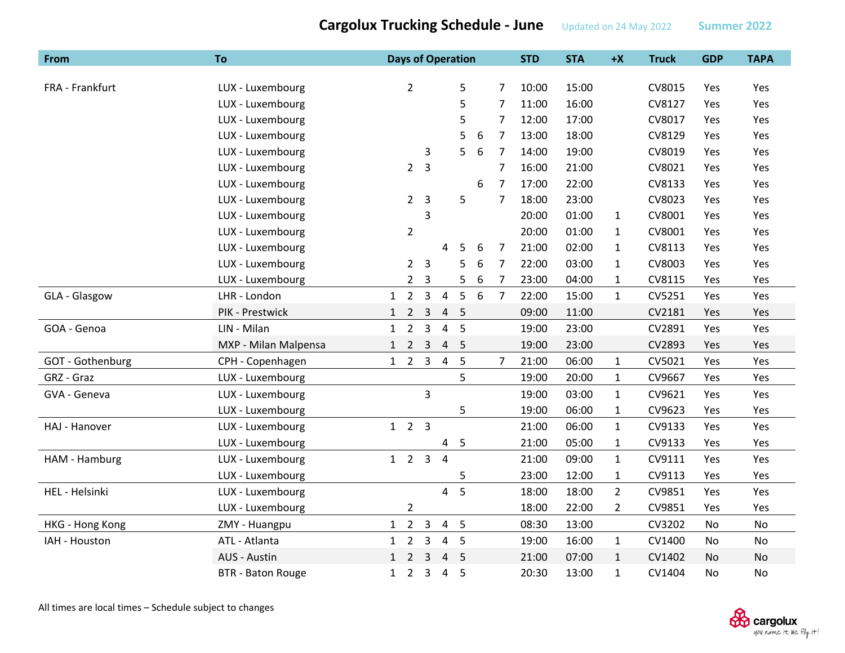**From To Days of Operation STD STA +X Truck GDP TAPA** FRA ‐ Frankfurt LUX ‐ Luxembourg 2 5 7 10:00 15:00 CV8015 Yes Yes LUX ‐ Luxembourg 5 7 11:00 16:00 CV8127 Yes Yes LUX ‐ Luxembourg 5 7 12:00 17:00 CV8017 Yes Yes LUX ‐ Luxembourg 5 6 7 13:00 18:00 CV8129 Yes Yes LUX ‐ Luxembourg 3 5 6 7 14:00 19:00 CV8019 Yes Yes LUX ‐ Luxembourg 2 3 7 16:00 21:00 CV8021 Yes Yes LUX ‐ Luxembourg 6 7 17:00 22:00 CV8133 Yes Yes LUX ‐ Luxembourg 2 3 5 7 18:00 23:00 CV8023 Yes Yes LUX ‐ Luxembourg 3 20:00 01:00 1 CV8001 Yes Yes LUX ‐ Luxembourg 2 20:00 01:00 1 CV8001 Yes Yes LUX ‐ Luxembourg 4 5 6 7 21:00 02:00 1 CV8113 Yes Yes LUX ‐ Luxembourg 2 3 5 6 7 22:00 03:00 1 CV8003 Yes Yes LUX ‐ Luxembourg 2 3 5 6 7 23:00 04:00 1 CV8115 Yes Yes GLA ‐ Glasgow LHR ‐ London 1 2 3 4 5 6 7 22:00 15:00 1 CV5251 Yes Yes PIK - Prestwick 1 2 3 4 5 09:00 11:00 CV2181 Yes Yes GOA ‐ Genoa LIN ‐ Milan 1 2 3 4 5 19:00 23:00 CV2891 Yes Yes MXP - Milan Malpensa Malpensa 1 2 3 4 5 19:00 23:00 CV2893 Yes Yes GOT - Gothenburg CPH - Copenhagen 1 2 3 4 5 7 21:00 06:00 1 CV5021 Yes Yes GRZ ‐ Graz LUX ‐ Luxembourg 5 19:00 20:00 1 CV9667 Yes Yes GVA ‐ Geneva LUX ‐ Luxembourg 3 19:00 03:00 1 CV9621 Yes Yes LUX ‐ Luxembourg 5 19:00 06:00 1 CV9623 Yes Yes HAJ ‐ Hanover LUX ‐ Luxembourg 1 2 3 21:00 06:00 1 CV9133 Yes Yes LUX ‐ Luxembourg 4 5 21:00 05:00 1 CV9133 Yes Yes HAM ‐ Hamburg LUX ‐ Luxembourg 1 2 3 4 21:00 09:00 1 CV9111 Yes Yes LUX ‐ Luxembourg 23:00 12:00 1 CV9113 Yes Yes HEL ‐ Helsinki LUX ‐ Luxembourg 4 5 18:00 18:00 2 CV9851 Yes Yes LUX ‐ Luxembourg 2 18:00 22:00 2 CV9851 Yes Yes HKG - Hong Kong ZMY - Huangpu 1 2 3 4 5 08:30 13:00 CV3202 No No IAH ‐ Houstonn ATL - Atlanta 1 2 3 4 5 19:00 16:00 1 CV1400 No No AUS ‐ Austin 1 2 3 4 5 21:00 07:00 1 CV1402 No No BTR - Baton Rouge 1 2 3 4 4 5 20:30 13:00 1 CV1404 No No

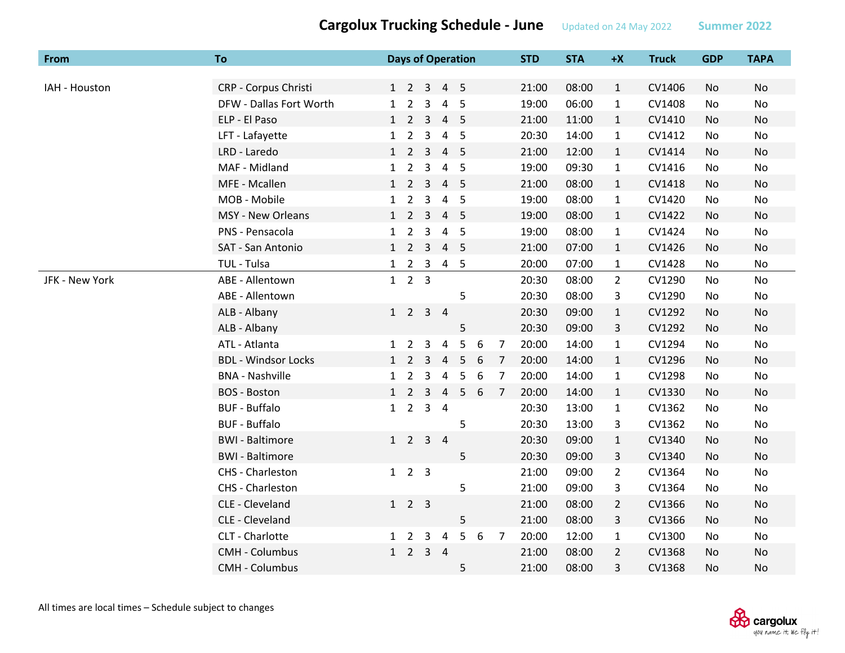| From           | To                         |              |                     |                | <b>Days of Operation</b>    |                          |        |                | <b>STD</b> | <b>STA</b> | $+X$           | <b>Truck</b> | <b>GDP</b> | <b>TAPA</b> |
|----------------|----------------------------|--------------|---------------------|----------------|-----------------------------|--------------------------|--------|----------------|------------|------------|----------------|--------------|------------|-------------|
|                |                            |              |                     |                |                             |                          |        |                |            |            |                |              |            |             |
| IAH - Houston  | CRP - Corpus Christi       |              |                     |                | 1 2 3 4 5                   |                          |        |                | 21:00      | 08:00      | $\mathbf{1}$   | CV1406       | No         | No          |
|                | DFW - Dallas Fort Worth    |              | $1\quad 2$          | 3              | $\overline{a}$              | - 5                      |        |                | 19:00      | 06:00      | $\mathbf{1}$   | CV1408       | No         | No          |
|                | ELP - El Paso              |              | $1\quad 2$          | $\overline{3}$ | $\overline{4}$              | 5                        |        |                | 21:00      | 11:00      | $\mathbf{1}$   | CV1410       | No         | No          |
|                | LFT - Lafayette            |              | $1\quad 2$          | $\mathbf{3}$   | $\overline{4}$              | $5\phantom{0}$           |        |                | 20:30      | 14:00      | $\mathbf{1}$   | CV1412       | No         | No          |
|                | LRD - Laredo               |              | $1\quad 2$          | $\overline{3}$ | $\overline{4}$              | $-5$                     |        |                | 21:00      | 12:00      | $\mathbf{1}$   | CV1414       | No         | <b>No</b>   |
|                | MAF - Midland              | $\mathbf{1}$ | $\overline{2}$      | 3              | $\overline{a}$              | 5                        |        |                | 19:00      | 09:30      | $\mathbf{1}$   | CV1416       | No         | No          |
|                | MFE - Mcallen              |              | $1\quad 2\quad 3$   |                | $\overline{4}$              | $-5$                     |        |                | 21:00      | 08:00      | $\mathbf{1}$   | CV1418       | No         | No          |
|                | MOB - Mobile               |              | $1\quad 2$          | $\overline{3}$ |                             | 4 5                      |        |                | 19:00      | 08:00      | $\mathbf{1}$   | CV1420       | No         | No          |
|                | MSY - New Orleans          |              | $1\quad 2\quad 3$   |                | $\overline{4}$              | $\overline{\phantom{0}}$ |        |                | 19:00      | 08:00      | $\mathbf{1}$   | CV1422       | No         | No          |
|                | PNS - Pensacola            | $\mathbf{1}$ | $\overline{2}$      | $\overline{3}$ | $\overline{4}$              | 5                        |        |                | 19:00      | 08:00      | $\mathbf{1}$   | CV1424       | No         | No          |
|                | SAT - San Antonio          |              | $1 \quad 2 \quad 3$ |                | 4 <sub>5</sub>              |                          |        |                | 21:00      | 07:00      | $\mathbf{1}$   | CV1426       | No         | No          |
|                | TUL - Tulsa                | $\mathbf{1}$ | $2^{\circ}$         | $\overline{3}$ |                             | 4 <sub>5</sub>           |        |                | 20:00      | 07:00      | $\mathbf{1}$   | CV1428       | No         | No          |
| JFK - New York | ABE - Allentown            | 1            | 2 <sub>3</sub>      |                |                             |                          |        |                | 20:30      | 08:00      | $\overline{2}$ | CV1290       | No         | No          |
|                | ABE - Allentown            |              |                     |                |                             | 5                        |        |                | 20:30      | 08:00      | 3              | CV1290       | No         | No          |
|                | ALB - Albany               |              |                     |                | $1 \quad 2 \quad 3 \quad 4$ |                          |        |                | 20:30      | 09:00      | $\mathbf{1}$   | CV1292       | No         | No          |
|                | ALB - Albany               |              |                     |                |                             | 5                        |        |                | 20:30      | 09:00      | 3              | CV1292       | No         | No          |
|                | ATL - Atlanta              | $\mathbf{1}$ | $\overline{2}$      | 3              | $\overline{a}$              | 5                        | 6      | 7              | 20:00      | 14:00      | $\mathbf{1}$   | CV1294       | No         | No          |
|                | <b>BDL - Windsor Locks</b> |              | $1\quad 2$          | 3              | $\overline{4}$              | 5                        | 6      | $\overline{7}$ | 20:00      | 14:00      | $\mathbf{1}$   | CV1296       | No         | No          |
|                | <b>BNA - Nashville</b>     | $\mathbf{1}$ | $\overline{2}$      | 3              | 4                           | 5                        | 6      | 7              | 20:00      | 14:00      | $\mathbf{1}$   | CV1298       | No         | No          |
|                | <b>BOS - Boston</b>        |              | $1\quad 2$          | $\overline{3}$ | $\overline{4}$              | 5                        | 6      | $\overline{7}$ | 20:00      | 14:00      | $\mathbf{1}$   | CV1330       | No         | No          |
|                | <b>BUF - Buffalo</b>       |              | $1\quad 2$          |                | $3 \quad 4$                 |                          |        |                | 20:30      | 13:00      | $\mathbf{1}$   | CV1362       | No         | No          |
|                | <b>BUF - Buffalo</b>       |              |                     |                |                             | 5                        |        |                | 20:30      | 13:00      | 3              | CV1362       | No         | No          |
|                | <b>BWI</b> - Baltimore     |              | $1\quad 2$          |                | 3 <sub>4</sub>              |                          |        |                | 20:30      | 09:00      | $\mathbf{1}$   | CV1340       | No         | No          |
|                | <b>BWI</b> - Baltimore     |              |                     |                |                             | 5                        |        |                | 20:30      | 09:00      | 3              | CV1340       | No         | No          |
|                | CHS - Charleston           |              | $1 \quad 2 \quad 3$ |                |                             |                          |        |                | 21:00      | 09:00      | $\overline{2}$ | CV1364       | No         | No          |
|                | CHS - Charleston           |              |                     |                |                             | 5                        |        |                | 21:00      | 09:00      | 3              | CV1364       | No         | No          |
|                | CLE - Cleveland            |              | $1 \quad 2 \quad 3$ |                |                             |                          |        |                | 21:00      | 08:00      | $\overline{2}$ | CV1366       | No         | No          |
|                | CLE - Cleveland            |              |                     |                |                             | 5                        |        |                | 21:00      | 08:00      | 3              | CV1366       | No         | No          |
|                | CLT - Charlotte            |              | $1\quad 2$          | 3              | 4                           |                          | 5<br>6 | $\overline{7}$ | 20:00      | 12:00      | $\mathbf{1}$   | CV1300       | No         | No          |
|                | CMH - Columbus             |              | $1\quad 2$          |                | 3 <sub>4</sub>              |                          |        |                | 21:00      | 08:00      | $\overline{2}$ | CV1368       | No         | No          |
|                | <b>CMH - Columbus</b>      |              |                     |                |                             | 5                        |        |                | 21:00      | 08:00      | 3              | CV1368       | No         | No          |

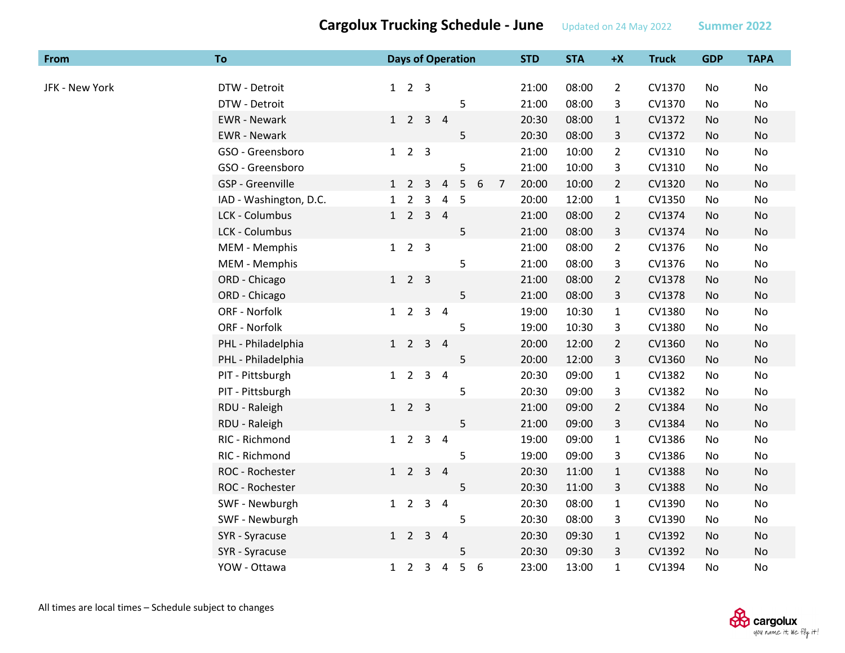| From           | To                     |              |                             |                |                | <b>Days of Operation</b> |   |                | <b>STD</b> | <b>STA</b> | $+X$           | <b>Truck</b> | <b>GDP</b> | <b>TAPA</b> |
|----------------|------------------------|--------------|-----------------------------|----------------|----------------|--------------------------|---|----------------|------------|------------|----------------|--------------|------------|-------------|
| JFK - New York | DTW - Detroit          |              | $1 \quad 2 \quad 3$         |                |                |                          |   |                | 21:00      | 08:00      | $\overline{2}$ | CV1370       | No         | <b>No</b>   |
|                | DTW - Detroit          |              |                             |                |                | 5                        |   |                | 21:00      | 08:00      | 3              | CV1370       | No         | No          |
|                | <b>EWR</b> - Newark    |              | $1 \quad 2 \quad 3 \quad 4$ |                |                |                          |   |                | 20:30      | 08:00      | $\mathbf{1}$   | CV1372       | No         | No          |
|                | <b>EWR</b> - Newark    |              |                             |                |                | 5                        |   |                | 20:30      | 08:00      | 3              | CV1372       | No         | No          |
|                | GSO - Greensboro       |              | $1\quad2\quad3$             |                |                |                          |   |                | 21:00      | 10:00      | $\overline{2}$ | CV1310       | No         | No          |
|                | GSO - Greensboro       |              |                             |                |                | 5                        |   |                | 21:00      | 10:00      | 3              | CV1310       | No         | No          |
|                | GSP - Greenville       |              | $1\quad2\quad3$             |                | $\overline{4}$ | 5                        | 6 | $\overline{7}$ | 20:00      | 10:00      | $\overline{2}$ | CV1320       | No         | No          |
|                | IAD - Washington, D.C. | $\mathbf{1}$ | $\overline{2}$              | $\overline{3}$ | 4              | 5                        |   |                | 20:00      | 12:00      | $\mathbf{1}$   | CV1350       | No         | No          |
|                | LCK - Columbus         |              | $1\quad 2$                  | $\overline{3}$ | $\overline{4}$ |                          |   |                | 21:00      | 08:00      | $\overline{2}$ | CV1374       | No         | No          |
|                | LCK - Columbus         |              |                             |                |                | 5                        |   |                | 21:00      | 08:00      | 3              | CV1374       | No         | No          |
|                | MEM - Memphis          |              | $1\quad2\quad3$             |                |                |                          |   |                | 21:00      | 08:00      | $\overline{2}$ | CV1376       | No         | No          |
|                | MEM - Memphis          |              |                             |                |                | 5                        |   |                | 21:00      | 08:00      | 3              | CV1376       | No         | No          |
|                | ORD - Chicago          |              | $1 \quad 2 \quad 3$         |                |                |                          |   |                | 21:00      | 08:00      | $\overline{2}$ | CV1378       | No         | No          |
|                | ORD - Chicago          |              |                             |                |                | 5                        |   |                | 21:00      | 08:00      | 3              | CV1378       | No         | No          |
|                | ORF - Norfolk          |              | $1 \quad 2 \quad 3 \quad 4$ |                |                |                          |   |                | 19:00      | 10:30      | $\mathbf{1}$   | CV1380       | No.        | No          |
|                | ORF - Norfolk          |              |                             |                |                | 5                        |   |                | 19:00      | 10:30      | 3              | CV1380       | No         | No          |
|                | PHL - Philadelphia     |              | $1 \quad 2 \quad 3 \quad 4$ |                |                |                          |   |                | 20:00      | 12:00      | $\overline{2}$ | CV1360       | No.        | No          |
|                | PHL - Philadelphia     |              |                             |                |                | 5                        |   |                | 20:00      | 12:00      | 3              | CV1360       | No         | No          |
|                | PIT - Pittsburgh       |              | $1 \quad 2 \quad 3 \quad 4$ |                |                |                          |   |                | 20:30      | 09:00      | $\mathbf{1}$   | CV1382       | No         | No          |
|                | PIT - Pittsburgh       |              |                             |                |                | 5                        |   |                | 20:30      | 09:00      | 3              | CV1382       | No         | No          |
|                | RDU - Raleigh          |              | $1\quad2\quad3$             |                |                |                          |   |                | 21:00      | 09:00      | $2^{\circ}$    | CV1384       | No         | No          |
|                | RDU - Raleigh          |              |                             |                |                | 5                        |   |                | 21:00      | 09:00      | 3              | CV1384       | No         | No          |
|                | RIC - Richmond         |              | $1\quad 2$                  | $\mathsf{3}$   | $\overline{4}$ |                          |   |                | 19:00      | 09:00      | $\mathbf{1}$   | CV1386       | No         | No          |
|                | RIC - Richmond         |              |                             |                |                | 5                        |   |                | 19:00      | 09:00      | 3              | CV1386       | No         | No          |
|                | ROC - Rochester        |              | $1 \quad 2 \quad 3 \quad 4$ |                |                |                          |   |                | 20:30      | 11:00      | $\mathbf{1}$   | CV1388       | No         | No          |
|                | ROC - Rochester        |              |                             |                |                | 5                        |   |                | 20:30      | 11:00      | 3              | CV1388       | No         | No          |
|                | SWF - Newburgh         |              | $1\quad 2$                  | $\mathbf{3}$   | $\overline{a}$ |                          |   |                | 20:30      | 08:00      | $\mathbf{1}$   | CV1390       | No         | No          |
|                | SWF - Newburgh         |              |                             |                |                | 5                        |   |                | 20:30      | 08:00      | 3              | CV1390       | No         | No          |
|                | SYR - Syracuse         |              | $1\quad 2$                  | $\mathbf{3}$   | $\overline{4}$ |                          |   |                | 20:30      | 09:30      | $\mathbf{1}$   | CV1392       | No         | No          |
|                | SYR - Syracuse         |              |                             |                |                | 5                        |   |                | 20:30      | 09:30      | 3              | CV1392       | No         | No          |
|                | YOW - Ottawa           |              | $1\quad 2\quad 3$           |                | $\overline{4}$ | 5                        | 6 |                | 23:00      | 13:00      | 1              | CV1394       | No.        | No          |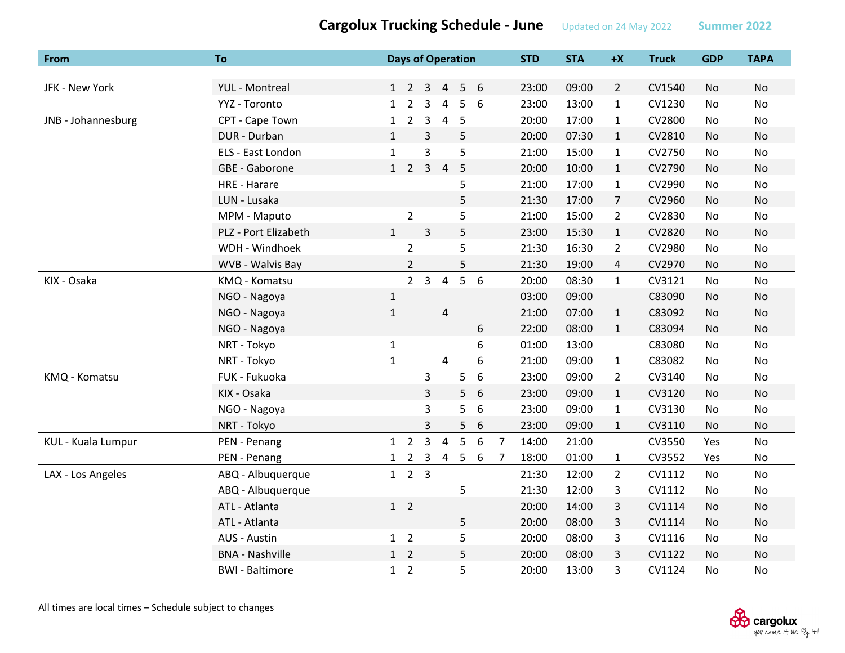|                       | $\frac{1}{2}$ |                          |   |                |     |            |            |      |              |            | ________________ |
|-----------------------|---------------|--------------------------|---|----------------|-----|------------|------------|------|--------------|------------|------------------|
| To                    |               | <b>Days of Operation</b> |   |                |     | <b>STD</b> | <b>STA</b> | $+X$ | <b>Truck</b> | <b>GDP</b> | TAPA             |
|                       |               |                          |   |                |     |            |            |      |              |            |                  |
| <b>YUL</b> - Montreal |               | 1 2 3 4 5 6              |   |                |     | 23:00      | 09:00      | 2    | CV1540       | No.        | No.              |
| YYZ - Toronto         |               | 1 2 3                    |   |                | 456 | 23:00      | 13:00      | 1    | CV1230       | No.        | No               |
| CPT - Cape Town       |               | $1\quad 2\quad 3$        |   | $\overline{4}$ | - 5 | 20:00      | 17:00      | 1    | CV2800       | No         | No.              |
| DUR - Durban          |               |                          | 3 |                | 5.  | 20:00      | 07:30      |      | CV2810       | No.        | No               |

| JFK - New York     | <b>YUL</b> - Montreal  |              | $1 \quad 2 \quad 3$ |                | $\overline{4}$ | 5               | 6                |                | 23:00 | 09:00 | $\overline{2}$ | CV1540 | No        | <b>No</b> |
|--------------------|------------------------|--------------|---------------------|----------------|----------------|-----------------|------------------|----------------|-------|-------|----------------|--------|-----------|-----------|
|                    | YYZ - Toronto          | 1            | $\overline{2}$      | $\mathsf{3}$   | 4              | 5               | 6                |                | 23:00 | 13:00 | $\mathbf{1}$   | CV1230 | No        | No        |
| JNB - Johannesburg | CPT - Cape Town        | 1            | $2^{\circ}$         | 3              | $\overline{4}$ | 5               |                  |                | 20:00 | 17:00 | $\mathbf{1}$   | CV2800 | No        | No        |
|                    | DUR - Durban           | $\mathbf{1}$ |                     | 3              |                | 5               |                  |                | 20:00 | 07:30 | $\mathbf{1}$   | CV2810 | <b>No</b> | No        |
|                    | ELS - East London      | $\mathbf{1}$ |                     | 3              |                | 5               |                  |                | 21:00 | 15:00 | $\mathbf{1}$   | CV2750 | No        | No        |
|                    | GBE - Gaborone         | 1            | $2^{\circ}$         | $\overline{3}$ | $\overline{4}$ | 5               |                  |                | 20:00 | 10:00 | $\mathbf{1}$   | CV2790 | No        | <b>No</b> |
|                    | <b>HRE - Harare</b>    |              |                     |                |                | 5               |                  |                | 21:00 | 17:00 | $\mathbf{1}$   | CV2990 | No        | No        |
|                    | LUN - Lusaka           |              |                     |                |                | 5               |                  |                | 21:30 | 17:00 | $\overline{7}$ | CV2960 | <b>No</b> | No        |
|                    | MPM - Maputo           |              | $\overline{2}$      |                |                | 5               |                  |                | 21:00 | 15:00 | $\overline{2}$ | CV2830 | <b>No</b> | <b>No</b> |
|                    | PLZ - Port Elizabeth   | $\mathbf{1}$ |                     | $\overline{3}$ |                | 5               |                  |                | 23:00 | 15:30 | $\mathbf{1}$   | CV2820 | No        | No        |
|                    | WDH - Windhoek         |              | $\overline{2}$      |                |                | 5               |                  |                | 21:30 | 16:30 | $\overline{2}$ | CV2980 | No        | No        |
|                    | WVB - Walvis Bay       |              | $\overline{2}$      |                |                | 5               |                  |                | 21:30 | 19:00 | 4              | CV2970 | No        | No        |
| KIX - Osaka        | KMQ - Komatsu          |              |                     | 2 <sub>3</sub> | $\overline{4}$ | 5               | 6                |                | 20:00 | 08:30 | $\mathbf{1}$   | CV3121 | No        | <b>No</b> |
|                    | NGO - Nagoya           | $\mathbf{1}$ |                     |                |                |                 |                  |                | 03:00 | 09:00 |                | C83090 | <b>No</b> | No        |
|                    | NGO - Nagoya           | $\mathbf{1}$ |                     |                | 4              |                 |                  |                | 21:00 | 07:00 | $\mathbf{1}$   | C83092 | No        | No        |
|                    | NGO - Nagoya           |              |                     |                |                |                 | 6                |                | 22:00 | 08:00 | $\mathbf{1}$   | C83094 | <b>No</b> | No        |
|                    | NRT - Tokyo            | $\mathbf{1}$ |                     |                |                |                 | 6                |                | 01:00 | 13:00 |                | C83080 | No        | No        |
|                    | NRT - Tokyo            | $\mathbf{1}$ |                     |                | 4              |                 | 6                |                | 21:00 | 09:00 | $\mathbf{1}$   | C83082 | No        | No        |
| KMQ - Komatsu      | FUK - Fukuoka          |              |                     | 3              |                | 5               | $\boldsymbol{6}$ |                | 23:00 | 09:00 | $\overline{2}$ | CV3140 | <b>No</b> | No        |
|                    | KIX - Osaka            |              |                     | 3              |                | 5               | 6                |                | 23:00 | 09:00 | $\mathbf{1}$   | CV3120 | <b>No</b> | No        |
|                    | NGO - Nagoya           |              |                     | $\mathsf{3}$   |                | 5               | 6                |                | 23:00 | 09:00 | 1              | CV3130 | No        | No        |
|                    | NRT - Tokyo            |              |                     | 3              |                | 5               | 6                |                | 23:00 | 09:00 | $\mathbf{1}$   | CV3110 | No        | No        |
| KUL - Kuala Lumpur | PEN - Penang           | 1            | $\overline{2}$      | $\overline{3}$ | 4              | 5               | $\boldsymbol{6}$ | $\overline{7}$ | 14:00 | 21:00 |                | CV3550 | Yes       | No        |
|                    | PEN - Penang           | 1            | $\frac{2}{2}$       | $\mathbf{3}$   | $\overline{4}$ | $5\phantom{.0}$ | 6                | 7              | 18:00 | 01:00 | $\mathbf{1}$   | CV3552 | Yes       | No        |
| LAX - Los Angeles  | ABQ - Albuquerque      |              | $1 \quad 2 \quad 3$ |                |                |                 |                  |                | 21:30 | 12:00 | $\mathbf{2}$   | CV1112 | No        | No        |
|                    | ABQ - Albuquerque      |              |                     |                |                | 5               |                  |                | 21:30 | 12:00 | 3              | CV1112 | No        | No        |
|                    | ATL - Atlanta          |              | $1\quad 2$          |                |                |                 |                  |                | 20:00 | 14:00 | 3              | CV1114 | No        | No        |
|                    | ATL - Atlanta          |              |                     |                |                | 5               |                  |                | 20:00 | 08:00 | 3              | CV1114 | <b>No</b> | No        |
|                    | AUS - Austin           |              | $1\quad 2$          |                |                | 5               |                  |                | 20:00 | 08:00 | 3              | CV1116 | No        | No        |
|                    | <b>BNA - Nashville</b> |              | $1\quad 2$          |                |                | 5               |                  |                | 20:00 | 08:00 | 3              | CV1122 | No        | No        |
|                    | <b>BWI</b> - Baltimore | 1            | $\overline{2}$      |                |                | 5               |                  |                | 20:00 | 13:00 | 3              | CV1124 | No        | No        |

**From**

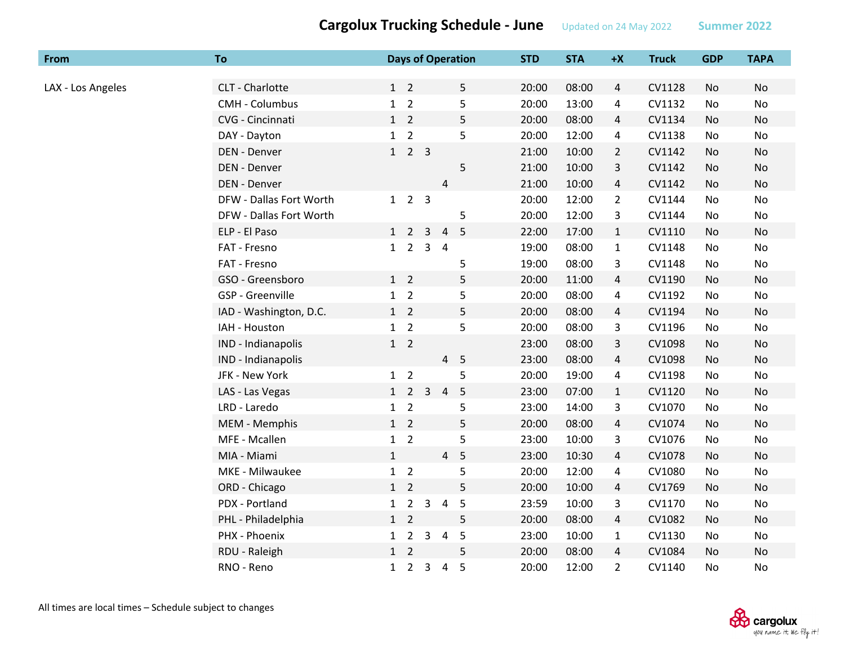| From              | To                      |              |                     |                |                | <b>Days of Operation</b> | <b>STD</b> | <b>STA</b> | $+X$           | <b>Truck</b> | <b>GDP</b> | <b>TAPA</b> |
|-------------------|-------------------------|--------------|---------------------|----------------|----------------|--------------------------|------------|------------|----------------|--------------|------------|-------------|
|                   |                         |              |                     |                |                |                          |            |            |                |              |            |             |
| LAX - Los Angeles | CLT - Charlotte         |              | $1\quad 2$          |                |                | 5                        | 20:00      | 08:00      | $\overline{4}$ | CV1128       | No         | No          |
|                   | <b>CMH - Columbus</b>   |              | $1\quad 2$          |                |                | 5                        | 20:00      | 13:00      | 4              | CV1132       | No         | No          |
|                   | CVG - Cincinnati        |              | $1\quad 2$          |                |                | 5                        | 20:00      | 08:00      | 4              | CV1134       | No         | No          |
|                   | DAY - Dayton            |              | $1\quad 2$          |                |                | 5                        | 20:00      | 12:00      | 4              | CV1138       | No         | No          |
|                   | DEN - Denver            | 1            |                     | $2 \quad 3$    |                |                          | 21:00      | 10:00      | $\overline{2}$ | CV1142       | No         | No          |
|                   | DEN - Denver            |              |                     |                |                | 5                        | 21:00      | 10:00      | 3              | CV1142       | <b>No</b>  | <b>No</b>   |
|                   | DEN - Denver            |              |                     |                | 4              |                          | 21:00      | 10:00      | $\overline{4}$ | CV1142       | No         | No          |
|                   | DFW - Dallas Fort Worth |              | $1 \quad 2 \quad 3$ |                |                |                          | 20:00      | 12:00      | $\overline{2}$ | CV1144       | No         | No          |
|                   | DFW - Dallas Fort Worth |              |                     |                |                | 5                        | 20:00      | 12:00      | 3              | CV1144       | No         | No          |
|                   | ELP - El Paso           |              | $1\quad 2$          | $\mathsf{3}$   | $\overline{4}$ | 5                        | 22:00      | 17:00      | $\mathbf{1}$   | CV1110       | No         | <b>No</b>   |
|                   | FAT - Fresno            |              | $1\quad 2$          | 3 <sub>4</sub> |                |                          | 19:00      | 08:00      | $\mathbf{1}$   | CV1148       | No         | No          |
|                   | FAT - Fresno            |              |                     |                |                | 5                        | 19:00      | 08:00      | 3              | CV1148       | No         | No          |
|                   | GSO - Greensboro        |              | $1\quad 2$          |                |                | 5                        | 20:00      | 11:00      | $\overline{4}$ | CV1190       | No         | No          |
|                   | <b>GSP</b> - Greenville |              | $1\quad 2$          |                |                | 5                        | 20:00      | 08:00      | 4              | CV1192       | No         | No          |
|                   | IAD - Washington, D.C.  |              | $1\quad 2$          |                |                | 5                        | 20:00      | 08:00      | 4              | CV1194       | No         | No          |
|                   | IAH - Houston           |              | $1\quad 2$          |                |                | 5                        | 20:00      | 08:00      | 3              | CV1196       | No         | No          |
|                   | IND - Indianapolis      |              | $1\quad 2$          |                |                |                          | 23:00      | 08:00      | 3              | CV1098       | No         | No          |
|                   | IND - Indianapolis      |              |                     |                | $\overline{4}$ | 5                        | 23:00      | 08:00      | 4              | CV1098       | No         | No          |
|                   | JFK - New York          |              | $1\quad 2$          |                |                | 5                        | 20:00      | 19:00      | 4              | CV1198       | No         | No          |
|                   | LAS - Las Vegas         |              | $1\quad 2$          | $\mathbf{3}$   | $\overline{4}$ | 5                        | 23:00      | 07:00      | $\mathbf{1}$   | CV1120       | No         | No          |
|                   | LRD - Laredo            |              | $1\quad 2$          |                |                | 5                        | 23:00      | 14:00      | 3              | CV1070       | No         | No          |
|                   | MEM - Memphis           |              | $1\quad 2$          |                |                | 5                        | 20:00      | 08:00      | $\overline{4}$ | CV1074       | No         | No          |
|                   | MFE - Mcallen           |              | $1\quad 2$          |                |                | 5                        | 23:00      | 10:00      | 3              | CV1076       | No         | No          |
|                   | MIA - Miami             | 1            |                     |                | 4 <sub>5</sub> |                          | 23:00      | 10:30      | 4              | CV1078       | No         | No          |
|                   | MKE - Milwaukee         |              | $1\quad 2$          |                |                | 5                        | 20:00      | 12:00      | 4              | CV1080       | No         | No          |
|                   | ORD - Chicago           |              | $1\quad 2$          |                |                | 5                        | 20:00      | 10:00      | $\overline{4}$ | CV1769       | No         | No          |
|                   | PDX - Portland          |              | $1\quad 2$          | $\mathbf{3}$   | $\overline{4}$ | 5                        | 23:59      | 10:00      | 3              | CV1170       | No         | No          |
|                   | PHL - Philadelphia      |              | $1\quad 2$          |                |                | 5                        | 20:00      | 08:00      | $\overline{4}$ | CV1082       | No         | No          |
|                   | PHX - Phoenix           | 1            | $2^{\circ}$         | $\mathbf{3}$   | $\overline{4}$ | 5                        | 23:00      | 10:00      | $\mathbf{1}$   | CV1130       | No         | No          |
|                   | RDU - Raleigh           |              | $1\quad 2$          |                |                | 5                        | 20:00      | 08:00      | 4              | CV1084       | No         | No          |
|                   | RNO - Reno              | $\mathbf{1}$ | $2^{\circ}$         | 3              | $\overline{a}$ | 5                        | 20:00      | 12:00      | $\overline{2}$ | CV1140       | No         | No          |

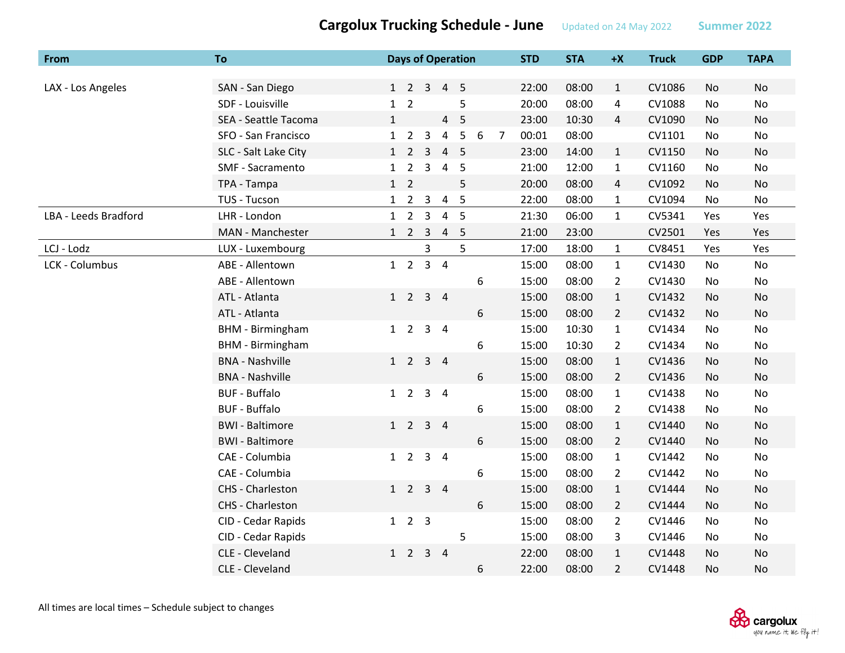| From                 | To                      |              |                             |                | <b>Days of Operation</b> |                |   |                | <b>STD</b> | <b>STA</b> | $+X$           | <b>Truck</b> | <b>GDP</b>     | <b>TAPA</b> |
|----------------------|-------------------------|--------------|-----------------------------|----------------|--------------------------|----------------|---|----------------|------------|------------|----------------|--------------|----------------|-------------|
|                      |                         |              |                             |                |                          |                |   |                |            |            |                |              |                |             |
| LAX - Los Angeles    | SAN - San Diego         |              |                             |                | 1 2 3 4 5                |                |   |                | 22:00      | 08:00      | $\mathbf{1}$   | CV1086       | No             | <b>No</b>   |
|                      | SDF - Louisville        |              | $1\quad 2$                  |                |                          | 5              |   |                | 20:00      | 08:00      | 4              | CV1088       | No             | No          |
|                      | SEA - Seattle Tacoma    | $\mathbf{1}$ |                             |                |                          | 4 <sub>5</sub> |   |                | 23:00      | 10:30      | $\overline{4}$ | CV1090       | <b>No</b>      | No          |
|                      | SFO - San Francisco     |              | $1\quad 2$                  | $\mathbf{3}$   | $\overline{4}$           | $5\phantom{.}$ | 6 | $\overline{7}$ | 00:01      | 08:00      |                | CV1101       | No             | No          |
|                      | SLC - Salt Lake City    |              | $1\quad 2$                  | $\overline{3}$ | 4 <sub>5</sub>           |                |   |                | 23:00      | 14:00      | $\mathbf{1}$   | CV1150       | No             | No          |
|                      | SMF - Sacramento        | $\mathbf{1}$ | $\overline{2}$              | $\mathbf{3}$   | 4 <sub>5</sub>           |                |   |                | 21:00      | 12:00      | $\mathbf{1}$   | CV1160       | No             | No          |
|                      | TPA - Tampa             |              | $1\quad 2$                  |                |                          | 5              |   |                | 20:00      | 08:00      | $\overline{4}$ | CV1092       | No             | No          |
|                      | TUS - Tucson            |              | $1 \quad 2 \quad 3$         |                | 4 <sub>5</sub>           |                |   |                | 22:00      | 08:00      | $\mathbf{1}$   | CV1094       | No             | No          |
| LBA - Leeds Bradford | LHR - London            |              | $1\quad 2$                  | $\overline{3}$ |                          | 4 <sub>5</sub> |   |                | 21:30      | 06:00      | $\mathbf{1}$   | CV5341       | Yes            | Yes         |
|                      | MAN - Manchester        |              | $1\quad 2$                  | $\overline{3}$ | 4 <sub>5</sub>           |                |   |                | 21:00      | 23:00      |                | CV2501       | Yes            | Yes         |
| LCJ - Lodz           | LUX - Luxembourg        |              |                             | 3              |                          | 5              |   |                | 17:00      | 18:00      | $\mathbf{1}$   | CV8451       | Yes            | Yes         |
| LCK - Columbus       | ABE - Allentown         |              | $1\quad 2$                  |                | $3 \quad 4$              |                |   |                | 15:00      | 08:00      | $\mathbf{1}$   | CV1430       | No             | No          |
|                      | ABE - Allentown         |              |                             |                |                          |                | 6 |                | 15:00      | 08:00      | $\overline{2}$ | CV1430       | No             | No          |
|                      | ATL - Atlanta           |              | $1 \quad 2 \quad 3 \quad 4$ |                |                          |                |   |                | 15:00      | 08:00      | $\mathbf{1}$   | CV1432       | No             | No          |
|                      | ATL - Atlanta           |              |                             |                |                          |                | 6 |                | 15:00      | 08:00      | $\overline{2}$ | CV1432       | No             | No          |
|                      | <b>BHM</b> - Birmingham |              | $1\quad 2$                  |                | $3 \quad 4$              |                |   |                | 15:00      | 10:30      | $\mathbf{1}$   | CV1434       | No             | No          |
|                      | <b>BHM</b> - Birmingham |              |                             |                |                          |                | 6 |                | 15:00      | 10:30      | $\overline{2}$ | CV1434       | No             | No          |
|                      | <b>BNA - Nashville</b>  |              | $1\quad 2$                  | 3 <sub>4</sub> |                          |                |   |                | 15:00      | 08:00      | $\mathbf{1}$   | CV1436       | <b>No</b>      | <b>No</b>   |
|                      | <b>BNA - Nashville</b>  |              |                             |                |                          |                | 6 |                | 15:00      | 08:00      | $\overline{2}$ | CV1436       | No             | No          |
|                      | <b>BUF - Buffalo</b>    |              | $1\quad 2$                  |                | 3 <sub>4</sub>           |                |   |                | 15:00      | 08:00      | $\mathbf{1}$   | CV1438       | No             | No          |
|                      | <b>BUF - Buffalo</b>    |              |                             |                |                          |                | 6 |                | 15:00      | 08:00      | $\mathbf{2}$   | CV1438       | No             | No          |
|                      | <b>BWI</b> - Baltimore  |              | $1\quad 2$                  | 3 <sub>4</sub> |                          |                |   |                | 15:00      | 08:00      | $\mathbf{1}$   | CV1440       | No             | No          |
|                      | <b>BWI</b> - Baltimore  |              |                             |                |                          |                | 6 |                | 15:00      | 08:00      | $\overline{2}$ | CV1440       | No             | No          |
|                      | CAE - Columbia          |              | $1\quad 2$                  |                | 3 <sub>4</sub>           |                |   |                | 15:00      | 08:00      | $\mathbf{1}$   | CV1442       | No             | No          |
|                      | CAE - Columbia          |              |                             |                |                          |                | 6 |                | 15:00      | 08:00      | $\overline{2}$ | CV1442       | No             | No          |
|                      | CHS - Charleston        |              | $1\quad 2$                  | $3 \quad 4$    |                          |                |   |                | 15:00      | 08:00      | $\mathbf{1}$   | CV1444       | No             | No          |
|                      | CHS - Charleston        |              |                             |                |                          |                | 6 |                | 15:00      | 08:00      | $\overline{2}$ | CV1444       | No             | No          |
|                      | CID - Cedar Rapids      |              | $1 \quad 2 \quad 3$         |                |                          |                |   |                | 15:00      | 08:00      | $\overline{2}$ | CV1446       | No             | No          |
|                      | CID - Cedar Rapids      |              |                             |                |                          | 5              |   |                | 15:00      | 08:00      | 3              | CV1446       | No             | No          |
|                      | CLE - Cleveland         |              | $1\quad 2$                  |                | $3 \quad 4$              |                |   |                | 22:00      | 08:00      | $\mathbf{1}$   | CV1448       | No             | No          |
|                      | CLE - Cleveland         |              |                             |                |                          |                | 6 |                | 22:00      | 08:00      | $\overline{2}$ | CV1448       | N <sub>o</sub> | <b>No</b>   |

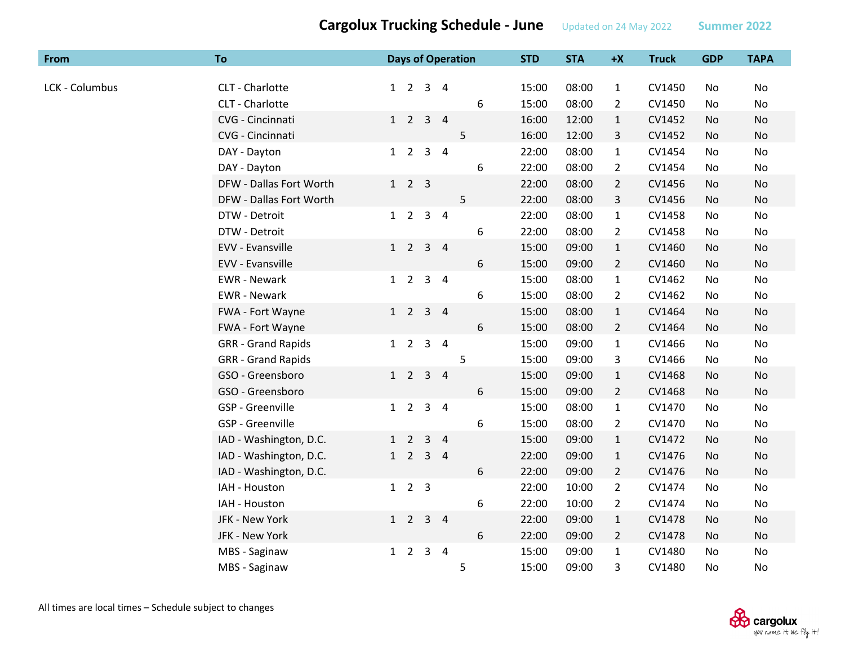| From           | To                        |              |                     |                         |                | <b>Days of Operation</b> | <b>STD</b> | <b>STA</b> | $+X$           | <b>Truck</b> | <b>GDP</b> | <b>TAPA</b> |
|----------------|---------------------------|--------------|---------------------|-------------------------|----------------|--------------------------|------------|------------|----------------|--------------|------------|-------------|
| LCK - Columbus | CLT - Charlotte           | $1\quad 2$   |                     | $\mathbf{3}$            | $\overline{4}$ |                          | 15:00      | 08:00      | $\mathbf{1}$   | CV1450       | No         | No          |
|                | CLT - Charlotte           |              |                     |                         |                | 6                        | 15:00      | 08:00      | $\overline{2}$ | CV1450       | No         | No          |
|                | CVG - Cincinnati          | $1\quad 2$   |                     | $\mathbf{3}$            | $\overline{4}$ |                          | 16:00      | 12:00      | $\mathbf{1}$   | CV1452       | No         | No          |
|                | CVG - Cincinnati          |              |                     |                         |                | 5                        | 16:00      | 12:00      | 3              | CV1452       | No         | No          |
|                | DAY - Dayton              | $1\quad 2$   |                     | 3                       | $\overline{4}$ |                          | 22:00      | 08:00      | $\mathbf{1}$   | CV1454       | No         | No          |
|                | DAY - Dayton              |              |                     |                         |                | $\,6$                    | 22:00      | 08:00      | $\overline{2}$ | CV1454       | No.        | No          |
|                | DFW - Dallas Fort Worth   |              | $1 \quad 2 \quad 3$ |                         |                |                          | 22:00      | 08:00      | $\overline{2}$ | CV1456       | No         | No          |
|                | DFW - Dallas Fort Worth   |              |                     |                         |                | 5                        | 22:00      | 08:00      | 3              | CV1456       | No         | No          |
|                | DTW - Detroit             | $1\quad 2$   |                     | $\overline{\mathbf{3}}$ | $\overline{4}$ |                          | 22:00      | 08:00      | $\mathbf{1}$   | CV1458       | No         | No          |
|                | DTW - Detroit             |              |                     |                         |                | $\,6$                    | 22:00      | 08:00      | $\overline{2}$ | CV1458       | No         | No          |
|                | EVV - Evansville          | $1\quad 2$   |                     | $3 \quad 4$             |                |                          | 15:00      | 09:00      | $\mathbf{1}$   | CV1460       | No         | No          |
|                | EVV - Evansville          |              |                     |                         |                | $\sqrt{6}$               | 15:00      | 09:00      | $\overline{2}$ | CV1460       | No         | No          |
|                | <b>EWR</b> - Newark       | $1\quad 2$   |                     | $\overline{3}$          | $\overline{4}$ |                          | 15:00      | 08:00      | $\mathbf{1}$   | CV1462       | No         | No          |
|                | <b>EWR</b> - Newark       |              |                     |                         |                | 6                        | 15:00      | 08:00      | $\overline{2}$ | CV1462       | No.        | No          |
|                | FWA - Fort Wayne          | $1\quad 2$   |                     | $3 \quad 4$             |                |                          | 15:00      | 08:00      | $\mathbf{1}$   | CV1464       | No         | No          |
|                | FWA - Fort Wayne          |              |                     |                         |                | $\sqrt{6}$               | 15:00      | 08:00      | $\overline{2}$ | CV1464       | No         | No          |
|                | <b>GRR</b> - Grand Rapids | $1\quad 2$   |                     | $\mathsf{3}$            | $\overline{4}$ |                          | 15:00      | 09:00      | $\mathbf{1}$   | CV1466       | No         | No          |
|                | <b>GRR</b> - Grand Rapids |              |                     |                         |                | 5                        | 15:00      | 09:00      | 3              | CV1466       | No         | No          |
|                | GSO - Greensboro          | $1\quad 2$   |                     | $\mathbf{3}$            | $\overline{4}$ |                          | 15:00      | 09:00      | $\mathbf{1}$   | CV1468       | No         | No          |
|                | GSO - Greensboro          |              |                     |                         |                | $\sqrt{6}$               | 15:00      | 09:00      | $\overline{2}$ | CV1468       | No         | No          |
|                | GSP - Greenville          | $1\quad 2$   |                     | $\overline{3}$          | - 4            |                          | 15:00      | 08:00      | $\mathbf{1}$   | CV1470       | No         | No          |
|                | GSP - Greenville          |              |                     |                         |                | 6                        | 15:00      | 08:00      | $\overline{2}$ | CV1470       | No         | No          |
|                | IAD - Washington, D.C.    | $\mathbf{1}$ | $\overline{2}$      | 3                       | $\overline{4}$ |                          | 15:00      | 09:00      | $\mathbf{1}$   | CV1472       | No         | No          |
|                | IAD - Washington, D.C.    | $\mathbf{1}$ | $\overline{2}$      | $\overline{3}$          | $\overline{4}$ |                          | 22:00      | 09:00      | $\mathbf{1}$   | CV1476       | No         | No          |
|                | IAD - Washington, D.C.    |              |                     |                         |                | 6                        | 22:00      | 09:00      | $\overline{2}$ | CV1476       | No         | No          |
|                | IAH - Houston             |              | $1 \quad 2 \quad 3$ |                         |                |                          | 22:00      | 10:00      | $\overline{2}$ | CV1474       | No         | No          |
|                | IAH - Houston             |              |                     |                         |                | 6                        | 22:00      | 10:00      | $\overline{2}$ | CV1474       | No         | No          |
|                | JFK - New York            |              | $1\quad 2$          | 3 <sub>4</sub>          |                |                          | 22:00      | 09:00      | $\mathbf{1}$   | CV1478       | No         | No          |
|                | JFK - New York            |              |                     |                         |                | 6                        | 22:00      | 09:00      | $\overline{2}$ | CV1478       | No         | No          |
|                | MBS - Saginaw             | $1\quad 2$   |                     | $\overline{3}$          | $\overline{4}$ |                          | 15:00      | 09:00      | $\mathbf{1}$   | CV1480       | No         | No          |
|                | MBS - Saginaw             |              |                     |                         |                | 5                        | 15:00      | 09:00      | 3              | CV1480       | No.        | No          |

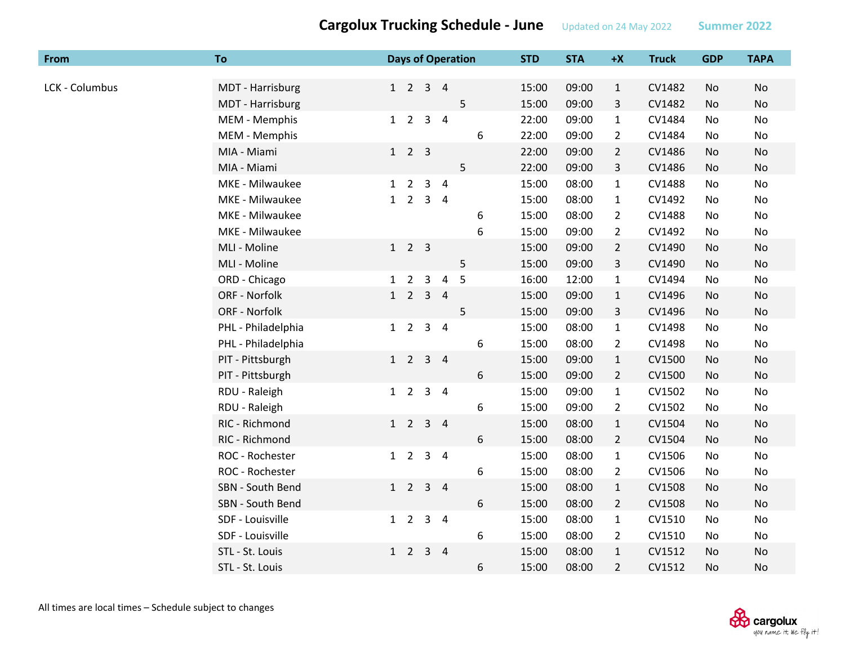| From           | To                 |   |                             |                | <b>Days of Operation</b> |   |   | <b>STD</b> | <b>STA</b> | $+X$           | <b>Truck</b> | <b>GDP</b> | <b>TAPA</b>    |
|----------------|--------------------|---|-----------------------------|----------------|--------------------------|---|---|------------|------------|----------------|--------------|------------|----------------|
|                |                    |   |                             |                |                          |   |   |            |            |                |              |            |                |
| LCK - Columbus | MDT - Harrisburg   |   | $1 \quad 2 \quad 3 \quad 4$ |                |                          |   |   | 15:00      | 09:00      | $\mathbf{1}$   | CV1482       | No         | No             |
|                | MDT - Harrisburg   |   |                             |                |                          | 5 |   | 15:00      | 09:00      | 3              | CV1482       | No         | No             |
|                | MEM - Memphis      |   | $1\quad 2$                  | $3 \quad 4$    |                          |   |   | 22:00      | 09:00      | 1              | CV1484       | No         | No             |
|                | MEM - Memphis      |   |                             |                |                          |   | 6 | 22:00      | 09:00      | $\overline{2}$ | CV1484       | No         | No             |
|                | MIA - Miami        |   | $1 \quad 2 \quad 3$         |                |                          |   |   | 22:00      | 09:00      | $\overline{2}$ | CV1486       | No         | No             |
|                | MIA - Miami        |   |                             |                |                          | 5 |   | 22:00      | 09:00      | 3              | CV1486       | No         | No             |
|                | MKE - Milwaukee    |   | $1\quad 2$                  | 3 <sub>4</sub> |                          |   |   | 15:00      | 08:00      | $\mathbf{1}$   | CV1488       | No         | No             |
|                | MKE - Milwaukee    | 1 | $2^{\circ}$                 | 3 <sub>4</sub> |                          |   |   | 15:00      | 08:00      | $\mathbf{1}$   | CV1492       | No         | No             |
|                | MKE - Milwaukee    |   |                             |                |                          |   | 6 | 15:00      | 08:00      | $\overline{2}$ | CV1488       | No         | No             |
|                | MKE - Milwaukee    |   |                             |                |                          |   | 6 | 15:00      | 09:00      | $\overline{2}$ | CV1492       | No         | No             |
|                | MLI - Moline       |   | $1 \quad 2 \quad 3$         |                |                          |   |   | 15:00      | 09:00      | $\overline{2}$ | CV1490       | No         | No             |
|                | MLI - Moline       |   |                             |                |                          | 5 |   | 15:00      | 09:00      | 3              | CV1490       | No         | No             |
|                | ORD - Chicago      | 1 | $\overline{2}$              | 3              | $\overline{4}$           | 5 |   | 16:00      | 12:00      | $\mathbf{1}$   | CV1494       | No         | No             |
|                | ORF - Norfolk      |   | $1\quad 2$                  | 3 <sub>4</sub> |                          |   |   | 15:00      | 09:00      | $\mathbf{1}$   | CV1496       | No         | <b>No</b>      |
|                | ORF - Norfolk      |   |                             |                |                          | 5 |   | 15:00      | 09:00      | 3              | CV1496       | No         | No             |
|                | PHL - Philadelphia |   | $1\quad 2$                  | 3 <sub>4</sub> |                          |   |   | 15:00      | 08:00      | $\mathbf{1}$   | CV1498       | No         | No             |
|                | PHL - Philadelphia |   |                             |                |                          |   | 6 | 15:00      | 08:00      | $\overline{2}$ | CV1498       | No         | No             |
|                | PIT - Pittsburgh   |   | $1\quad 2$                  | 3 <sub>4</sub> |                          |   |   | 15:00      | 09:00      | $\mathbf{1}$   | CV1500       | No         | No             |
|                | PIT - Pittsburgh   |   |                             |                |                          |   | 6 | 15:00      | 09:00      | $\overline{2}$ | CV1500       | No         | No             |
|                | RDU - Raleigh      |   | $1\quad 2$                  | 3 <sub>4</sub> |                          |   |   | 15:00      | 09:00      | $\mathbf{1}$   | CV1502       | No         | No             |
|                | RDU - Raleigh      |   |                             |                |                          |   | 6 | 15:00      | 09:00      | $\overline{2}$ | CV1502       | No         | No             |
|                | RIC - Richmond     |   | $1\quad 2$                  | 3 <sub>4</sub> |                          |   |   | 15:00      | 08:00      | $\mathbf{1}$   | CV1504       | No         | No             |
|                | RIC - Richmond     |   |                             |                |                          |   | 6 | 15:00      | 08:00      | $\overline{2}$ | CV1504       | No         | No             |
|                | ROC - Rochester    |   | $1\quad 2$                  | 3 <sub>4</sub> |                          |   |   | 15:00      | 08:00      | $\mathbf{1}$   | CV1506       | No         | No             |
|                | ROC - Rochester    |   |                             |                |                          |   | 6 | 15:00      | 08:00      | $\overline{2}$ | CV1506       | No         | No             |
|                | SBN - South Bend   |   | $1\quad 2$                  | 3 <sub>4</sub> |                          |   |   | 15:00      | 08:00      | $\mathbf{1}$   | CV1508       | No         | No             |
|                | SBN - South Bend   |   |                             |                |                          |   | 6 | 15:00      | 08:00      | $\overline{2}$ | CV1508       | No         | No             |
|                | SDF - Louisville   |   | $1\quad 2$                  | $3 \quad 4$    |                          |   |   | 15:00      | 08:00      | $\mathbf{1}$   | CV1510       | No         | No             |
|                | SDF - Louisville   |   |                             |                |                          |   | 6 | 15:00      | 08:00      | $\overline{2}$ | CV1510       | No         | No             |
|                | STL - St. Louis    |   | $1\quad 2$                  | $3 \quad 4$    |                          |   |   | 15:00      | 08:00      | $\mathbf{1}$   | CV1512       | No         | No             |
|                | STL - St. Louis    |   |                             |                |                          |   | 6 | 15:00      | 08:00      | $\overline{2}$ | CV1512       | <b>No</b>  | N <sub>o</sub> |

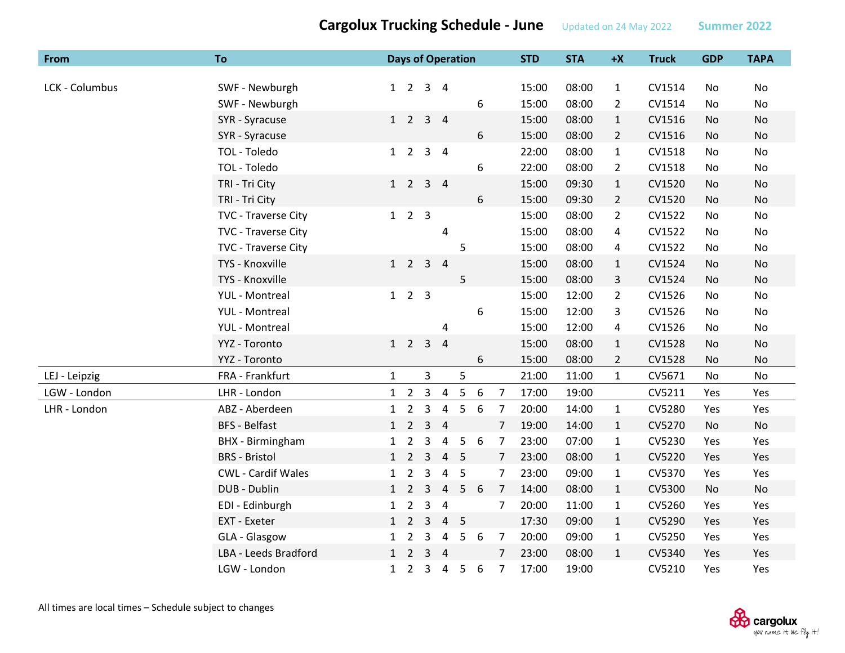| From           | To                        |              |                 |                | <b>Days of Operation</b> |                |   |                | <b>STD</b> | <b>STA</b> | $+X$           | <b>Truck</b> | <b>GDP</b> | <b>TAPA</b> |
|----------------|---------------------------|--------------|-----------------|----------------|--------------------------|----------------|---|----------------|------------|------------|----------------|--------------|------------|-------------|
|                |                           |              |                 |                |                          |                |   |                |            |            |                |              |            |             |
| LCK - Columbus | SWF - Newburgh            | 1            | $\overline{2}$  |                | $3 \quad 4$              |                |   |                | 15:00      | 08:00      | $\mathbf{1}$   | CV1514       | No         | No          |
|                | SWF - Newburgh            |              |                 |                |                          |                | 6 |                | 15:00      | 08:00      | $\overline{2}$ | CV1514       | No         | No          |
|                | SYR - Syracuse            |              | $1\quad 2$      |                | 3 <sub>4</sub>           |                |   |                | 15:00      | 08:00      | $\mathbf{1}$   | CV1516       | <b>No</b>  | <b>No</b>   |
|                | SYR - Syracuse            |              |                 |                |                          |                | 6 |                | 15:00      | 08:00      | $\overline{2}$ | CV1516       | No         | No          |
|                | TOL - Toledo              | 1            | $\overline{2}$  |                | 3 <sub>4</sub>           |                |   |                | 22:00      | 08:00      | $\mathbf{1}$   | CV1518       | No         | <b>No</b>   |
|                | TOL - Toledo              |              |                 |                |                          |                | 6 |                | 22:00      | 08:00      | $\overline{2}$ | CV1518       | No         | No          |
|                | TRI - Tri City            |              | $1\quad 2$      |                | 3 <sub>4</sub>           |                |   |                | 15:00      | 09:30      | $\mathbf{1}$   | CV1520       | No         | No          |
|                | TRI - Tri City            |              |                 |                |                          |                | 6 |                | 15:00      | 09:30      | $\overline{2}$ | CV1520       | No         | No          |
|                | TVC - Traverse City       |              | $1\quad2\quad3$ |                |                          |                |   |                | 15:00      | 08:00      | $\overline{2}$ | CV1522       | No         | <b>No</b>   |
|                | TVC - Traverse City       |              |                 |                | 4                        |                |   |                | 15:00      | 08:00      | 4              | CV1522       | No         | No          |
|                | TVC - Traverse City       |              |                 |                |                          | 5              |   |                | 15:00      | 08:00      | 4              | CV1522       | No         | <b>No</b>   |
|                | TYS - Knoxville           | 1            | $\overline{2}$  | $\overline{3}$ | $\overline{4}$           |                |   |                | 15:00      | 08:00      | $\mathbf{1}$   | CV1524       | No         | No          |
|                | TYS - Knoxville           |              |                 |                |                          | 5              |   |                | 15:00      | 08:00      | $\mathbf{3}$   | CV1524       | <b>No</b>  | No          |
|                | <b>YUL</b> - Montreal     |              | $1\quad2\quad3$ |                |                          |                |   |                | 15:00      | 12:00      | $\overline{2}$ | CV1526       | No         | No          |
|                | <b>YUL</b> - Montreal     |              |                 |                |                          |                | 6 |                | 15:00      | 12:00      | 3              | CV1526       | No         | No          |
|                | <b>YUL</b> - Montreal     |              |                 |                | 4                        |                |   |                | 15:00      | 12:00      | 4              | CV1526       | No         | No          |
|                | YYZ - Toronto             |              | $1\quad 2$      | $\overline{3}$ | $\overline{4}$           |                |   |                | 15:00      | 08:00      | $\mathbf{1}$   | CV1528       | No         | No          |
|                | YYZ - Toronto             |              |                 |                |                          |                | 6 |                | 15:00      | 08:00      | $\overline{2}$ | CV1528       | No         | No          |
| LEJ - Leipzig  | FRA - Frankfurt           | $\mathbf{1}$ |                 | $\overline{3}$ |                          | 5              |   |                | 21:00      | 11:00      | $\mathbf{1}$   | CV5671       | No         | No          |
| LGW - London   | LHR - London              |              | $1\quad 2$      | $\mathbf{3}$   | $\overline{4}$           | $5\phantom{.}$ | 6 | $\overline{7}$ | 17:00      | 19:00      |                | CV5211       | Yes        | Yes         |
| LHR - London   | ABZ - Aberdeen            |              | $1\quad 2$      | $\mathsf{3}$   | 4                        | 5              | 6 | $\overline{7}$ | 20:00      | 14:00      | $\mathbf{1}$   | CV5280       | Yes        | Yes         |
|                | <b>BFS - Belfast</b>      | 1            | $\overline{2}$  | $\overline{3}$ | $\overline{4}$           |                |   | $\overline{7}$ | 19:00      | 14:00      | $\mathbf{1}$   | CV5270       | No         | No          |
|                | <b>BHX</b> - Birmingham   | $\mathbf{1}$ | $\overline{2}$  | 3              | $\pmb{4}$                | 5              | 6 | $\overline{7}$ | 23:00      | 07:00      | $\mathbf{1}$   | CV5230       | Yes        | Yes         |
|                | <b>BRS</b> - Bristol      |              | $1\quad 2$      | $\overline{3}$ |                          | 4 <sub>5</sub> |   | $\overline{7}$ | 23:00      | 08:00      | $\mathbf{1}$   | CV5220       | Yes        | Yes         |
|                | <b>CWL - Cardif Wales</b> | $\mathbf{1}$ | $\overline{2}$  | 3              | 4                        | 5              |   | 7              | 23:00      | 09:00      | $\mathbf{1}$   | CV5370       | Yes        | Yes         |
|                | DUB - Dublin              |              | $1\quad 2$      | $\mathbf{3}$   | $\overline{4}$           | 5              | 6 | $\overline{7}$ | 14:00      | 08:00      | $\mathbf{1}$   | CV5300       | No         | No          |
|                | EDI - Edinburgh           | 1            | $\overline{2}$  | $\overline{3}$ | $\overline{4}$           |                |   | 7              | 20:00      | 11:00      | $\mathbf{1}$   | CV5260       | Yes        | Yes         |
|                | EXT - Exeter              |              | $1\quad 2$      | 3              |                          | 4 <sub>5</sub> |   |                | 17:30      | 09:00      | $\mathbf{1}$   | CV5290       | Yes        | Yes         |
|                | GLA - Glasgow             | $\mathbf{1}$ | $\overline{2}$  | 3              | 4                        | 5              | 6 | $\overline{7}$ | 20:00      | 09:00      | $\mathbf{1}$   | CV5250       | Yes        | Yes         |
|                | LBA - Leeds Bradford      |              | $1\quad 2$      |                | $3 \quad 4$              |                |   | $\overline{7}$ | 23:00      | 08:00      | $\mathbf{1}$   | CV5340       | Yes        | Yes         |
|                | LGW - London              | $\mathbf{1}$ | 2               | $\mathbf{3}$   | 4                        | 5              | 6 | 7              | 17:00      | 19:00      |                | CV5210       | Yes        | Yes         |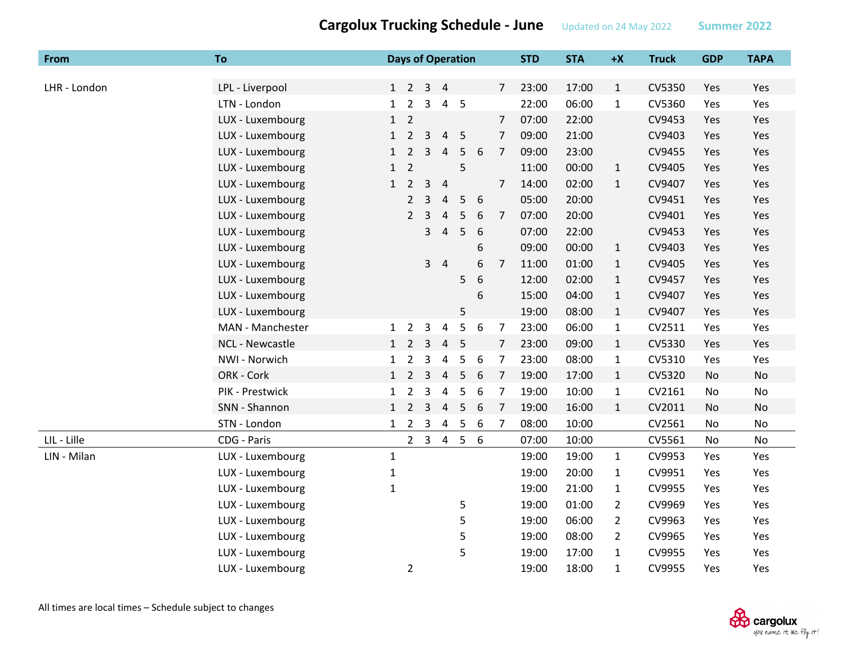| <b>From</b>  | To               |              |                             |                | <b>Days of Operation</b> |                |   |                | <b>STD</b> | <b>STA</b> | $+X$           | <b>Truck</b> | <b>GDP</b> | <b>TAPA</b> |
|--------------|------------------|--------------|-----------------------------|----------------|--------------------------|----------------|---|----------------|------------|------------|----------------|--------------|------------|-------------|
|              |                  |              |                             |                |                          |                |   |                |            |            |                |              |            |             |
| LHR - London | LPL - Liverpool  |              | $1 \quad 2 \quad 3 \quad 4$ |                |                          |                |   | $\overline{7}$ | 23:00      | 17:00      | $\mathbf{1}$   | CV5350       | Yes        | Yes         |
|              | LTN - London     | 1            | $\overline{2}$              | 3              | $\overline{4}$           | $5\phantom{0}$ |   |                | 22:00      | 06:00      | $\mathbf{1}$   | CV5360       | Yes        | Yes         |
|              | LUX - Luxembourg | $\mathbf{1}$ | $\overline{2}$              |                |                          |                |   | 7              | 07:00      | 22:00      |                | CV9453       | Yes        | Yes         |
|              | LUX - Luxembourg | $\mathbf{1}$ | $\overline{2}$              | 3              | $\overline{4}$           | 5              |   | $\overline{7}$ | 09:00      | 21:00      |                | CV9403       | Yes        | Yes         |
|              | LUX - Luxembourg | $\mathbf{1}$ | $\overline{2}$              | 3              | $\overline{4}$           | 5              | 6 | $\overline{7}$ | 09:00      | 23:00      |                | CV9455       | Yes        | Yes         |
|              | LUX - Luxembourg | $\mathbf{1}$ | $\overline{2}$              |                |                          | 5              |   |                | 11:00      | 00:00      | $\mathbf{1}$   | CV9405       | Yes        | Yes         |
|              | LUX - Luxembourg | $\mathbf{1}$ | $\overline{2}$              | $\overline{3}$ | $\overline{4}$           |                |   | $\overline{7}$ | 14:00      | 02:00      | $\mathbf{1}$   | CV9407       | Yes        | Yes         |
|              | LUX - Luxembourg |              | $\overline{2}$              | 3              | $\sqrt{4}$               | 5              | 6 |                | 05:00      | 20:00      |                | CV9451       | Yes        | Yes         |
|              | LUX - Luxembourg |              | $\overline{2}$              | 3              | 4                        | 5              | 6 | $\overline{7}$ | 07:00      | 20:00      |                | CV9401       | Yes        | Yes         |
|              | LUX - Luxembourg |              |                             | 3              | $\overline{4}$           | 5              | 6 |                | 07:00      | 22:00      |                | CV9453       | Yes        | Yes         |
|              | LUX - Luxembourg |              |                             |                |                          |                | 6 |                | 09:00      | 00:00      | $\mathbf{1}$   | CV9403       | Yes        | Yes         |
|              | LUX - Luxembourg |              |                             |                | 3 <sub>1</sub>           |                | 6 | 7              | 11:00      | 01:00      | $\mathbf{1}$   | CV9405       | Yes        | Yes         |
|              | LUX - Luxembourg |              |                             |                |                          | 5              | 6 |                | 12:00      | 02:00      | $\mathbf{1}$   | CV9457       | Yes        | Yes         |
|              | LUX - Luxembourg |              |                             |                |                          |                | 6 |                | 15:00      | 04:00      | $\mathbf{1}$   | CV9407       | Yes        | Yes         |
|              | LUX - Luxembourg |              |                             |                |                          | 5              |   |                | 19:00      | 08:00      | $\mathbf{1}$   | CV9407       | Yes        | Yes         |
|              | MAN - Manchester | 1            | $\overline{2}$              | 3              | 4                        | 5              | 6 | $\overline{7}$ | 23:00      | 06:00      | $\mathbf{1}$   | CV2511       | Yes        | Yes         |
|              | NCL - Newcastle  | 1            | $\overline{2}$              | 3              | $\overline{4}$           | 5              |   | $\overline{7}$ | 23:00      | 09:00      | $\mathbf{1}$   | CV5330       | Yes        | Yes         |
|              | NWI - Norwich    | $\mathbf{1}$ | $\overline{2}$              | 3              | $\overline{a}$           | 5              | 6 | $\overline{7}$ | 23:00      | 08:00      | $\mathbf{1}$   | CV5310       | Yes        | Yes         |
|              | ORK - Cork       | 1            | $\overline{2}$              | 3              | $\overline{4}$           | 5              | 6 | $\overline{7}$ | 19:00      | 17:00      | $\mathbf{1}$   | CV5320       | No         | <b>No</b>   |
|              | PIK - Prestwick  | $\mathbf{1}$ | $\overline{2}$              | 3              | $\overline{4}$           | 5              | 6 | $\overline{7}$ | 19:00      | 10:00      | $\mathbf{1}$   | CV2161       | No         | No          |
|              | SNN - Shannon    | $\mathbf{1}$ | $\overline{2}$              | 3              | $\overline{4}$           | 5              | 6 | $\overline{7}$ | 19:00      | 16:00      | $\mathbf{1}$   | CV2011       | No         | <b>No</b>   |
|              | STN - London     |              | $1\quad 2$                  | $\mathsf{3}$   | $\overline{4}$           | 5              | 6 | $\overline{7}$ | 08:00      | 10:00      |                | CV2561       | No         | No          |
| LIL - Lille  | CDG - Paris      |              |                             | $2 \quad 3$    | $\overline{4}$           | $\overline{5}$ | 6 |                | 07:00      | 10:00      |                | CV5561       | No         | No          |
| LIN - Milan  | LUX - Luxembourg | $\mathbf 1$  |                             |                |                          |                |   |                | 19:00      | 19:00      | $\mathbf{1}$   | CV9953       | Yes        | Yes         |
|              | LUX - Luxembourg | $\mathbf{1}$ |                             |                |                          |                |   |                | 19:00      | 20:00      | $\mathbf{1}$   | CV9951       | Yes        | Yes         |
|              | LUX - Luxembourg | $\mathbf{1}$ |                             |                |                          |                |   |                | 19:00      | 21:00      | $\mathbf{1}$   | CV9955       | Yes        | Yes         |
|              | LUX - Luxembourg |              |                             |                |                          | 5              |   |                | 19:00      | 01:00      | $\overline{2}$ | CV9969       | Yes        | Yes         |
|              | LUX - Luxembourg |              |                             |                |                          | 5              |   |                | 19:00      | 06:00      | $\overline{2}$ | CV9963       | Yes        | Yes         |
|              | LUX - Luxembourg |              |                             |                |                          | 5              |   |                | 19:00      | 08:00      | $\overline{2}$ | CV9965       | Yes        | Yes         |
|              | LUX - Luxembourg |              |                             |                |                          | 5              |   |                | 19:00      | 17:00      | $\mathbf{1}$   | CV9955       | Yes        | Yes         |
|              | LUX - Luxembourg |              | $\overline{2}$              |                |                          |                |   |                | 19:00      | 18:00      | $\mathbf{1}$   | CV9955       | Yes        | Yes         |

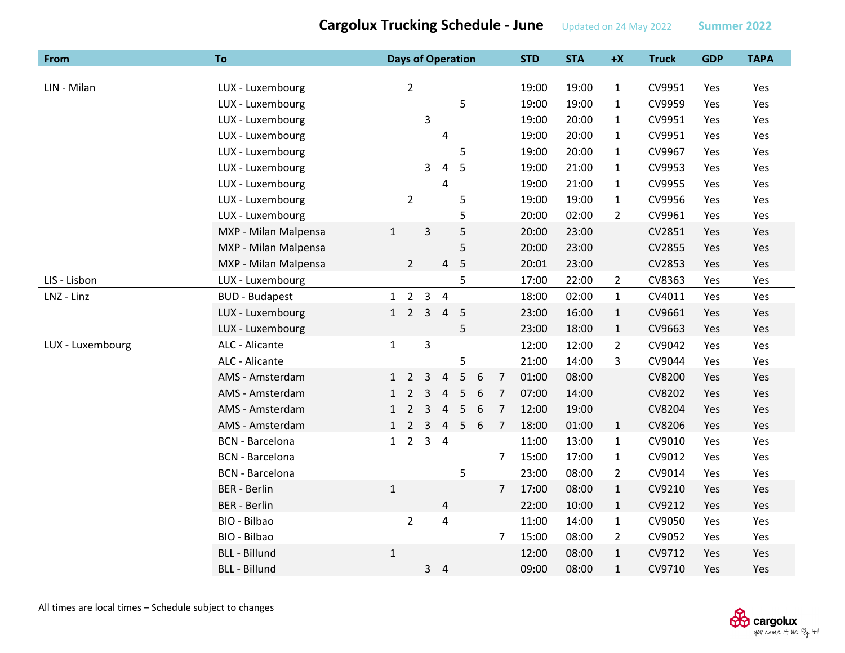| From             | <b>To</b>              |              |                |                         | <b>Days of Operation</b> |   |   |                | <b>STD</b> | <b>STA</b> | $+X$           | <b>Truck</b> | <b>GDP</b> | <b>TAPA</b> |
|------------------|------------------------|--------------|----------------|-------------------------|--------------------------|---|---|----------------|------------|------------|----------------|--------------|------------|-------------|
|                  |                        |              |                |                         |                          |   |   |                |            |            |                |              |            |             |
| LIN - Milan      | LUX - Luxembourg       |              | $\overline{2}$ |                         |                          |   |   |                | 19:00      | 19:00      | $\mathbf{1}$   | CV9951       | Yes        | Yes         |
|                  | LUX - Luxembourg       |              |                |                         |                          | 5 |   |                | 19:00      | 19:00      | $\mathbf{1}$   | CV9959       | Yes        | Yes         |
|                  | LUX - Luxembourg       |              |                | 3                       |                          |   |   |                | 19:00      | 20:00      | $\mathbf{1}$   | CV9951       | Yes        | Yes         |
|                  | LUX - Luxembourg       |              |                |                         | 4                        |   |   |                | 19:00      | 20:00      | $\mathbf{1}$   | CV9951       | Yes        | Yes         |
|                  | LUX - Luxembourg       |              |                |                         |                          | 5 |   |                | 19:00      | 20:00      | $\mathbf{1}$   | CV9967       | Yes        | Yes         |
|                  | LUX - Luxembourg       |              |                | 3                       | 4                        | 5 |   |                | 19:00      | 21:00      | $\mathbf{1}$   | CV9953       | Yes        | Yes         |
|                  | LUX - Luxembourg       |              |                |                         | $\overline{4}$           |   |   |                | 19:00      | 21:00      | $\mathbf{1}$   | CV9955       | Yes        | Yes         |
|                  | LUX - Luxembourg       |              | $\overline{2}$ |                         |                          | 5 |   |                | 19:00      | 19:00      | $\mathbf{1}$   | CV9956       | Yes        | Yes         |
|                  | LUX - Luxembourg       |              |                |                         |                          | 5 |   |                | 20:00      | 02:00      | $\overline{2}$ | CV9961       | Yes        | Yes         |
|                  | MXP - Milan Malpensa   | $\mathbf{1}$ |                | $\mathsf 3$             |                          | 5 |   |                | 20:00      | 23:00      |                | CV2851       | Yes        | Yes         |
|                  | MXP - Milan Malpensa   |              |                |                         |                          | 5 |   |                | 20:00      | 23:00      |                | CV2855       | Yes        | Yes         |
|                  | MXP - Milan Malpensa   |              | $\overline{2}$ |                         | 4                        | 5 |   |                | 20:01      | 23:00      |                | CV2853       | Yes        | Yes         |
| LIS - Lisbon     | LUX - Luxembourg       |              |                |                         |                          | 5 |   |                | 17:00      | 22:00      | $\overline{2}$ | CV8363       | Yes        | Yes         |
| LNZ - Linz       | <b>BUD - Budapest</b>  |              | $1\quad 2$     |                         | $3 \quad 4$              |   |   |                | 18:00      | 02:00      | $\mathbf{1}$   | CV4011       | Yes        | Yes         |
|                  | LUX - Luxembourg       | 1            | $\overline{2}$ | $\overline{3}$          | $\overline{4}$           | 5 |   |                | 23:00      | 16:00      | $\mathbf{1}$   | CV9661       | Yes        | Yes         |
|                  | LUX - Luxembourg       |              |                |                         |                          | 5 |   |                | 23:00      | 18:00      | $\mathbf{1}$   | CV9663       | Yes        | Yes         |
| LUX - Luxembourg | ALC - Alicante         | $\mathbf{1}$ |                | $\overline{\mathbf{3}}$ |                          |   |   |                | 12:00      | 12:00      | $\overline{2}$ | CV9042       | Yes        | Yes         |
|                  | ALC - Alicante         |              |                |                         |                          | 5 |   |                | 21:00      | 14:00      | 3              | CV9044       | Yes        | Yes         |
|                  | AMS - Amsterdam        | $\mathbf{1}$ | $\overline{2}$ | 3                       | 4                        | 5 | 6 | $\overline{7}$ | 01:00      | 08:00      |                | CV8200       | Yes        | Yes         |
|                  | AMS - Amsterdam        | 1            | $\overline{2}$ | 3                       | $\overline{4}$           | 5 | 6 | $\overline{7}$ | 07:00      | 14:00      |                | CV8202       | Yes        | Yes         |
|                  | AMS - Amsterdam        | 1            | $\overline{2}$ | 3                       | $\overline{a}$           | 5 | 6 | $\overline{7}$ | 12:00      | 19:00      |                | CV8204       | Yes        | Yes         |
|                  | AMS - Amsterdam        | $\mathbf{1}$ | $\overline{2}$ | 3                       | $\overline{4}$           | 5 | 6 | 7              | 18:00      | 01:00      | $\mathbf{1}$   | CV8206       | Yes        | Yes         |
|                  | <b>BCN</b> - Barcelona | 1            | $\overline{2}$ | $\overline{3}$          | $\overline{4}$           |   |   |                | 11:00      | 13:00      | $\mathbf{1}$   | CV9010       | Yes        | Yes         |
|                  | <b>BCN</b> - Barcelona |              |                |                         |                          |   |   | 7              | 15:00      | 17:00      | $\mathbf{1}$   | CV9012       | Yes        | Yes         |
|                  | <b>BCN</b> - Barcelona |              |                |                         |                          | 5 |   |                | 23:00      | 08:00      | $\overline{2}$ | CV9014       | Yes        | Yes         |
|                  | <b>BER</b> - Berlin    | $\mathbf{1}$ |                |                         |                          |   |   | 7              | 17:00      | 08:00      | $\mathbf{1}$   | CV9210       | Yes        | Yes         |
|                  | <b>BER</b> - Berlin    |              |                |                         | $\overline{4}$           |   |   |                | 22:00      | 10:00      | $\mathbf{1}$   | CV9212       | Yes        | Yes         |
|                  | BIO - Bilbao           |              | $\overline{2}$ |                         | $\overline{4}$           |   |   |                | 11:00      | 14:00      | $\mathbf{1}$   | CV9050       | Yes        | Yes         |
|                  | BIO - Bilbao           |              |                |                         |                          |   |   | 7              | 15:00      | 08:00      | $\overline{2}$ | CV9052       | Yes        | Yes         |
|                  | <b>BLL - Billund</b>   | $\mathbf{1}$ |                |                         |                          |   |   |                | 12:00      | 08:00      | $\mathbf{1}$   | CV9712       | Yes        | Yes         |
|                  | <b>BLL - Billund</b>   |              |                | $\mathbf{3}$            | $\overline{4}$           |   |   |                | 09:00      | 08:00      | $\mathbf{1}$   | CV9710       | Yes        | Yes         |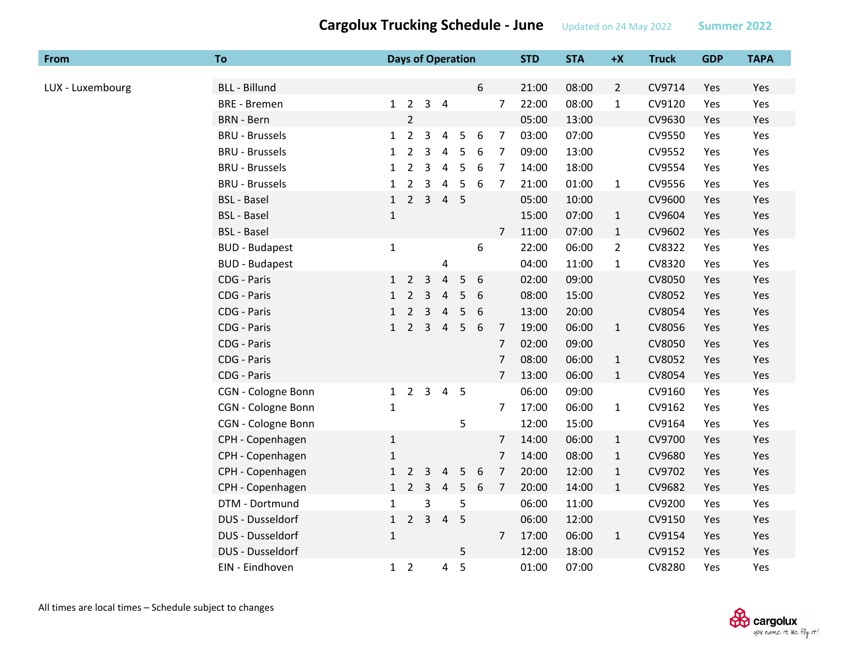| From             | <b>To</b>             |              | <b>Days of Operation</b> |                |                |   |                  |                | <b>STD</b> | <b>STA</b> | $+X$           | <b>Truck</b> | <b>GDP</b> | <b>TAPA</b> |
|------------------|-----------------------|--------------|--------------------------|----------------|----------------|---|------------------|----------------|------------|------------|----------------|--------------|------------|-------------|
|                  |                       |              |                          |                |                |   |                  |                |            |            |                |              |            |             |
| LUX - Luxembourg | <b>BLL - Billund</b>  |              |                          |                |                |   | 6                |                | 21:00      | 08:00      | $\overline{2}$ | CV9714       | Yes        | Yes         |
|                  | <b>BRE</b> - Bremen   |              | $1\quad 2$               |                | 3 <sub>1</sub> |   |                  | $\overline{7}$ | 22:00      | 08:00      | $\mathbf{1}$   | CV9120       | Yes        | Yes         |
|                  | <b>BRN</b> - Bern     |              | $\overline{2}$           |                |                |   |                  |                | 05:00      | 13:00      |                | CV9630       | Yes        | Yes         |
|                  | <b>BRU - Brussels</b> | 1            | $\overline{2}$           | 3              | $\overline{a}$ | 5 | 6                | $\overline{7}$ | 03:00      | 07:00      |                | CV9550       | Yes        | Yes         |
|                  | <b>BRU - Brussels</b> | $\mathbf{1}$ | $\overline{2}$           | 3              | 4              | 5 | 6                | 7              | 09:00      | 13:00      |                | CV9552       | Yes        | Yes         |
|                  | <b>BRU - Brussels</b> | $\mathbf{1}$ | $\overline{2}$           | 3              | 4              | 5 | 6                | $\overline{7}$ | 14:00      | 18:00      |                | CV9554       | Yes        | Yes         |
|                  | <b>BRU - Brussels</b> | $\mathbf{1}$ | $\overline{2}$           | 3              | 4              | 5 | 6                | $\overline{7}$ | 21:00      | 01:00      | $\mathbf{1}$   | CV9556       | Yes        | Yes         |
|                  | <b>BSL - Basel</b>    | $\mathbf{1}$ | $\overline{2}$           | 3              | $\overline{4}$ | 5 |                  |                | 05:00      | 10:00      |                | CV9600       | Yes        | Yes         |
|                  | <b>BSL - Basel</b>    | $\mathbf{1}$ |                          |                |                |   |                  |                | 15:00      | 07:00      | $\mathbf{1}$   | CV9604       | Yes        | Yes         |
|                  | <b>BSL - Basel</b>    |              |                          |                |                |   |                  | $\overline{7}$ | 11:00      | 07:00      | $\mathbf{1}$   | CV9602       | Yes        | Yes         |
|                  | <b>BUD - Budapest</b> | $\mathbf{1}$ |                          |                |                |   | 6                |                | 22:00      | 06:00      | $\overline{2}$ | CV8322       | Yes        | Yes         |
|                  | <b>BUD - Budapest</b> |              |                          |                | 4              |   |                  |                | 04:00      | 11:00      | $\mathbf{1}$   | CV8320       | Yes        | Yes         |
|                  | CDG - Paris           | 1            | $\overline{2}$           | 3              | $\overline{4}$ | 5 | 6                |                | 02:00      | 09:00      |                | CV8050       | Yes        | Yes         |
|                  | CDG - Paris           | $\mathbf{1}$ | $\overline{2}$           | 3              | $\overline{4}$ | 5 | 6                |                | 08:00      | 15:00      |                | CV8052       | Yes        | Yes         |
|                  | CDG - Paris           | $\mathbf{1}$ | $\overline{2}$           | 3              | 4              | 5 | 6                |                | 13:00      | 20:00      |                | CV8054       | Yes        | Yes         |
|                  | CDG - Paris           | $\mathbf{1}$ | $\overline{2}$           | $\mathbf{3}$   | $\overline{4}$ | 5 | 6                | $\overline{7}$ | 19:00      | 06:00      | $\mathbf{1}$   | CV8056       | Yes        | Yes         |
|                  | CDG - Paris           |              |                          |                |                |   |                  | 7              | 02:00      | 09:00      |                | CV8050       | Yes        | Yes         |
|                  | CDG - Paris           |              |                          |                |                |   |                  | $\overline{7}$ | 08:00      | 06:00      | $\mathbf{1}$   | CV8052       | Yes        | Yes         |
|                  | CDG - Paris           |              |                          |                |                |   |                  | $\overline{7}$ | 13:00      | 06:00      | $\mathbf{1}$   | CV8054       | Yes        | Yes         |
|                  | CGN - Cologne Bonn    | 1            | $\overline{2}$           | 3              | 4              | 5 |                  |                | 06:00      | 09:00      |                | CV9160       | Yes        | Yes         |
|                  | CGN - Cologne Bonn    | $\mathbf{1}$ |                          |                |                |   |                  | 7              | 17:00      | 06:00      | $\mathbf{1}$   | CV9162       | Yes        | Yes         |
|                  | CGN - Cologne Bonn    |              |                          |                |                | 5 |                  |                | 12:00      | 15:00      |                | CV9164       | Yes        | Yes         |
|                  | CPH - Copenhagen      | $\mathbf{1}$ |                          |                |                |   |                  | 7              | 14:00      | 06:00      | $\mathbf{1}$   | CV9700       | Yes        | Yes         |
|                  | CPH - Copenhagen      | $\mathbf{1}$ |                          |                |                |   |                  | 7              | 14:00      | 08:00      | $\mathbf{1}$   | CV9680       | Yes        | Yes         |
|                  | CPH - Copenhagen      | $\mathbf{1}$ | $\overline{2}$           | 3              | $\overline{4}$ | 5 | $\boldsymbol{6}$ | $\overline{7}$ | 20:00      | 12:00      | $\mathbf{1}$   | CV9702       | Yes        | Yes         |
|                  | CPH - Copenhagen      | $\mathbf{1}$ | $\overline{2}$           | 3              | 4              | 5 | 6                | 7              | 20:00      | 14:00      | $\mathbf{1}$   | CV9682       | Yes        | Yes         |
|                  | DTM - Dortmund        | $\mathbf{1}$ |                          | 3              |                | 5 |                  |                | 06:00      | 11:00      |                | CV9200       | Yes        | Yes         |
|                  | DUS - Dusseldorf      | 1            | $2^{\circ}$              | $\overline{3}$ | $\overline{4}$ | 5 |                  |                | 06:00      | 12:00      |                | CV9150       | Yes        | Yes         |
|                  | DUS - Dusseldorf      | $\mathbf{1}$ |                          |                |                |   |                  | $\overline{7}$ | 17:00      | 06:00      | $\mathbf{1}$   | CV9154       | Yes        | Yes         |
|                  | DUS - Dusseldorf      |              |                          |                |                | 5 |                  |                | 12:00      | 18:00      |                | CV9152       | Yes        | Yes         |
|                  | EIN - Eindhoven       | $\mathbf{1}$ | $\overline{2}$           |                | 4              | 5 |                  |                | 01:00      | 07:00      |                | CV8280       | Yes        | Yes         |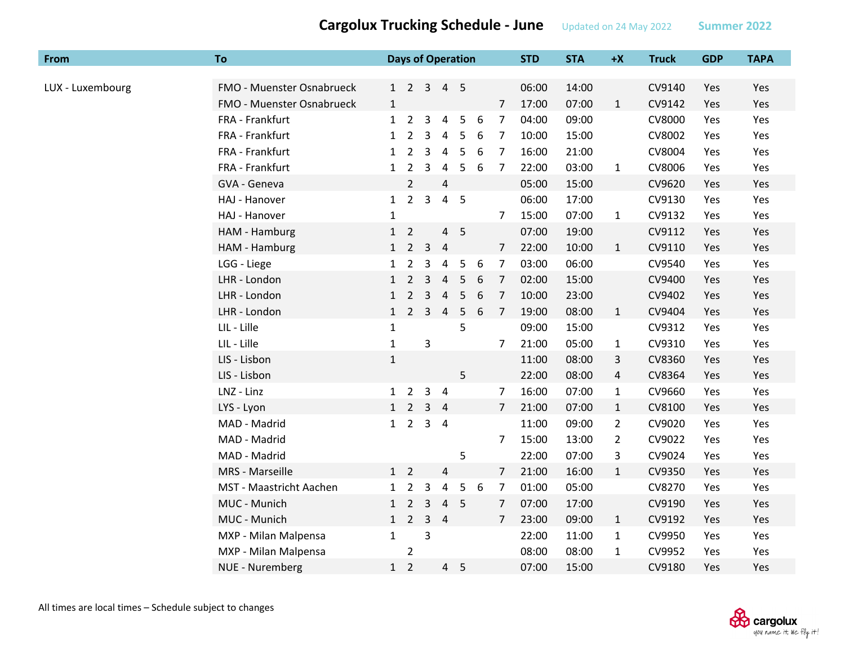| <b>From</b>      | <b>To</b>                 |              |                     |                | <b>Days of Operation</b> |                |   |                | <b>STD</b> | <b>STA</b> | $+X$           | <b>Truck</b> | <b>GDP</b> | <b>TAPA</b> |
|------------------|---------------------------|--------------|---------------------|----------------|--------------------------|----------------|---|----------------|------------|------------|----------------|--------------|------------|-------------|
|                  |                           |              |                     |                |                          |                |   |                |            |            |                |              |            |             |
| LUX - Luxembourg | FMO - Muenster Osnabrueck |              | $1 \quad 2 \quad 3$ |                |                          | 4 <sub>5</sub> |   |                | 06:00      | 14:00      |                | CV9140       | Yes        | Yes         |
|                  | FMO - Muenster Osnabrueck | $\mathbf{1}$ |                     |                |                          |                |   | $\overline{7}$ | 17:00      | 07:00      | $\mathbf{1}$   | CV9142       | Yes        | Yes         |
|                  | FRA - Frankfurt           | $\mathbf{1}$ | $\overline{2}$      | 3              | 4                        | 5              | 6 | 7              | 04:00      | 09:00      |                | CV8000       | Yes        | Yes         |
|                  | FRA - Frankfurt           | $\mathbf{1}$ | $\overline{2}$      | 3              | 4                        | 5              | 6 | 7              | 10:00      | 15:00      |                | CV8002       | Yes        | Yes         |
|                  | FRA - Frankfurt           | $\mathbf{1}$ | $\overline{2}$      | 3              | 4                        | 5              | 6 | 7              | 16:00      | 21:00      |                | CV8004       | Yes        | Yes         |
|                  | FRA - Frankfurt           | $\mathbf{1}$ | $\overline{2}$      | 3              | 4                        | 5              | 6 | $\overline{7}$ | 22:00      | 03:00      | $\mathbf{1}$   | CV8006       | Yes        | Yes         |
|                  | GVA - Geneva              |              | $\overline{2}$      |                | $\overline{4}$           |                |   |                | 05:00      | 15:00      |                | CV9620       | Yes        | Yes         |
|                  | HAJ - Hanover             | 1            | $2^{\circ}$         | $\mathsf{3}$   | $\overline{4}$           | 5              |   |                | 06:00      | 17:00      |                | CV9130       | Yes        | Yes         |
|                  | HAJ - Hanover             | $\mathbf{1}$ |                     |                |                          |                |   | $\overline{7}$ | 15:00      | 07:00      | $\mathbf{1}$   | CV9132       | Yes        | Yes         |
|                  | HAM - Hamburg             | 1            | $\overline{2}$      |                |                          | 4 <sub>5</sub> |   |                | 07:00      | 19:00      |                | CV9112       | Yes        | Yes         |
|                  | HAM - Hamburg             | 1            | $2^{\circ}$         | $\mathbf{3}$   | $\overline{4}$           |                |   | $\overline{7}$ | 22:00      | 10:00      | $\mathbf{1}$   | CV9110       | Yes        | Yes         |
|                  | LGG - Liege               | $\mathbf{1}$ | $\overline{2}$      | 3              | 4                        | 5              | 6 | $\overline{7}$ | 03:00      | 06:00      |                | CV9540       | Yes        | Yes         |
|                  | LHR - London              | $\mathbf{1}$ | $\overline{2}$      | 3              | $\overline{4}$           | 5              | 6 | $\overline{7}$ | 02:00      | 15:00      |                | CV9400       | Yes        | Yes         |
|                  | LHR - London              | $\mathbf{1}$ | $\overline{2}$      | $\overline{3}$ | $\overline{4}$           | 5              | 6 | $\overline{7}$ | 10:00      | 23:00      |                | CV9402       | Yes        | Yes         |
|                  | LHR - London              | $\mathbf{1}$ | $\overline{2}$      | 3              | $\overline{4}$           | 5              | 6 | $\overline{7}$ | 19:00      | 08:00      | $\mathbf{1}$   | CV9404       | Yes        | Yes         |
|                  | LIL - Lille               | $\mathbf{1}$ |                     |                |                          | 5              |   |                | 09:00      | 15:00      |                | CV9312       | Yes        | Yes         |
|                  | LIL - Lille               | $\mathbf{1}$ |                     | $\mathsf{3}$   |                          |                |   | $\overline{7}$ | 21:00      | 05:00      | $\mathbf{1}$   | CV9310       | Yes        | Yes         |
|                  | LIS - Lisbon              | $\mathbf{1}$ |                     |                |                          |                |   |                | 11:00      | 08:00      | 3              | CV8360       | Yes        | Yes         |
|                  | LIS - Lisbon              |              |                     |                |                          | 5              |   |                | 22:00      | 08:00      | 4              | CV8364       | Yes        | Yes         |
|                  | LNZ - Linz                | 1            | $\overline{2}$      | 3              | $\overline{4}$           |                |   | 7              | 16:00      | 07:00      | $\mathbf{1}$   | CV9660       | Yes        | Yes         |
|                  | LYS - Lyon                |              | $1\quad 2$          | 3              | $\overline{4}$           |                |   | $\overline{7}$ | 21:00      | 07:00      | $\mathbf{1}$   | CV8100       | Yes        | Yes         |
|                  | MAD - Madrid              | 1            | $\overline{2}$      |                | $3 \quad 4$              |                |   |                | 11:00      | 09:00      | $\overline{2}$ | CV9020       | Yes        | Yes         |
|                  | MAD - Madrid              |              |                     |                |                          |                |   | 7              | 15:00      | 13:00      | $\overline{2}$ | CV9022       | Yes        | Yes         |
|                  | MAD - Madrid              |              |                     |                |                          | 5              |   |                | 22:00      | 07:00      | 3              | CV9024       | Yes        | Yes         |
|                  | MRS - Marseille           |              | $1\quad 2$          |                | $\overline{4}$           |                |   | $\overline{7}$ | 21:00      | 16:00      | $\mathbf{1}$   | CV9350       | Yes        | Yes         |
|                  | MST - Maastricht Aachen   | $\mathbf{1}$ | $\overline{2}$      | 3              | 4                        | 5              | 6 | 7              | 01:00      | 05:00      |                | CV8270       | Yes        | Yes         |
|                  | MUC - Munich              | 1            | $\overline{2}$      | 3              |                          | 4 <sub>5</sub> |   | $\overline{7}$ | 07:00      | 17:00      |                | CV9190       | Yes        | Yes         |
|                  | MUC - Munich              | 1            | $\overline{2}$      | $\mathbf{3}$   | $\overline{4}$           |                |   | 7              | 23:00      | 09:00      | $\mathbf{1}$   | CV9192       | Yes        | Yes         |
|                  | MXP - Milan Malpensa      | $\mathbf{1}$ |                     | 3              |                          |                |   |                | 22:00      | 11:00      | $\mathbf{1}$   | CV9950       | Yes        | Yes         |
|                  | MXP - Milan Malpensa      |              | $\overline{2}$      |                |                          |                |   |                | 08:00      | 08:00      | $\mathbf{1}$   | CV9952       | Yes        | Yes         |
|                  | <b>NUE - Nuremberg</b>    | 1            | $\overline{2}$      |                |                          | 4 <sub>5</sub> |   |                | 07:00      | 15:00      |                | CV9180       | Yes        | Yes         |

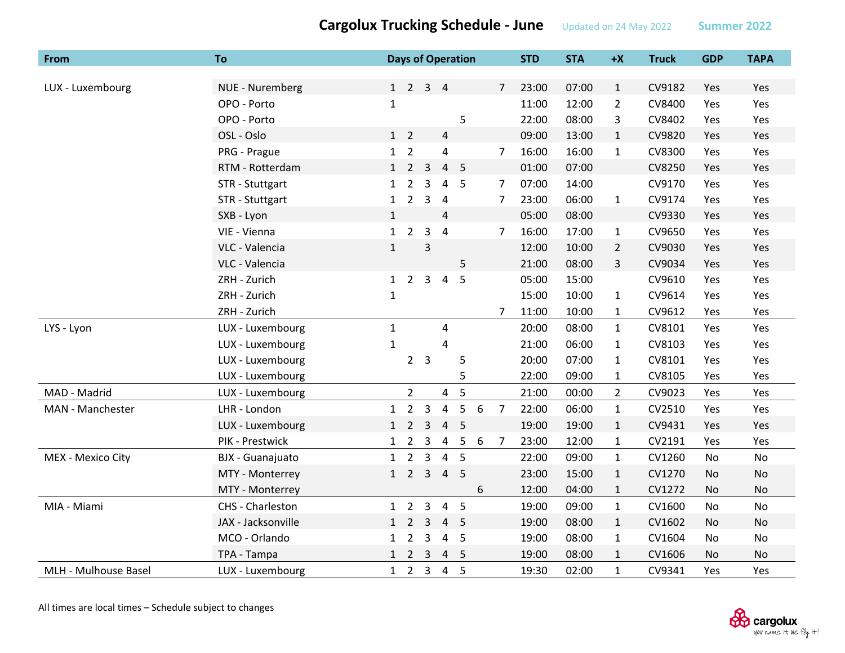| From                 | <b>To</b>          |              |                             |                         | <b>Days of Operation</b> |                          |   |                | <b>STD</b> | <b>STA</b> | $+X$           | <b>Truck</b> | <b>GDP</b> | <b>TAPA</b> |
|----------------------|--------------------|--------------|-----------------------------|-------------------------|--------------------------|--------------------------|---|----------------|------------|------------|----------------|--------------|------------|-------------|
|                      |                    |              |                             |                         |                          |                          |   |                |            |            |                |              |            |             |
| LUX - Luxembourg     | NUE - Nuremberg    |              | $1 \quad 2 \quad 3 \quad 4$ |                         |                          |                          |   | $\overline{7}$ | 23:00      | 07:00      | $\mathbf{1}$   | CV9182       | Yes        | Yes         |
|                      | OPO - Porto        | $\mathbf{1}$ |                             |                         |                          |                          |   |                | 11:00      | 12:00      | $\overline{2}$ | CV8400       | Yes        | Yes         |
|                      | OPO - Porto        |              |                             |                         |                          | 5                        |   |                | 22:00      | 08:00      | 3              | CV8402       | Yes        | Yes         |
|                      | OSL - Oslo         | $1\quad 2$   |                             |                         | 4                        |                          |   |                | 09:00      | 13:00      | $\mathbf{1}$   | CV9820       | Yes        | Yes         |
|                      | PRG - Prague       | $1\quad 2$   |                             |                         | $\overline{\mathbf{4}}$  |                          |   | 7              | 16:00      | 16:00      | $\mathbf{1}$   | CV8300       | Yes        | Yes         |
|                      | RTM - Rotterdam    | 1            | $\overline{2}$              | 3                       | $\overline{4}$           | $\overline{\phantom{0}}$ |   |                | 01:00      | 07:00      |                | CV8250       | Yes        | Yes         |
|                      | STR - Stuttgart    | $\mathbf{1}$ | $\overline{2}$              | 3                       | $\overline{4}$           | 5                        |   | 7              | 07:00      | 14:00      |                | CV9170       | Yes        | Yes         |
|                      | STR - Stuttgart    | $\mathbf{1}$ | $\overline{2}$              | 3                       | $\overline{4}$           |                          |   | 7              | 23:00      | 06:00      | $\mathbf{1}$   | CV9174       | Yes        | Yes         |
|                      | SXB - Lyon         | $\mathbf{1}$ |                             |                         | $\overline{4}$           |                          |   |                | 05:00      | 08:00      |                | CV9330       | Yes        | Yes         |
|                      | VIE - Vienna       | 1            | $\overline{2}$              | 3                       | $\overline{4}$           |                          |   | 7              | 16:00      | 17:00      | 1              | CV9650       | Yes        | Yes         |
|                      | VLC - Valencia     | $\mathbf{1}$ |                             | 3                       |                          |                          |   |                | 12:00      | 10:00      | $\overline{2}$ | CV9030       | Yes        | Yes         |
|                      | VLC - Valencia     |              |                             |                         |                          | 5                        |   |                | 21:00      | 08:00      | 3              | CV9034       | Yes        | Yes         |
|                      | ZRH - Zurich       | 1            | $2^{\circ}$                 | $\overline{3}$          | $\overline{a}$           | 5                        |   |                | 05:00      | 15:00      |                | CV9610       | Yes        | Yes         |
|                      | ZRH - Zurich       | $\mathbf 1$  |                             |                         |                          |                          |   |                | 15:00      | 10:00      | $\mathbf{1}$   | CV9614       | Yes        | Yes         |
|                      | ZRH - Zurich       |              |                             |                         |                          |                          |   | 7              | 11:00      | 10:00      | $\mathbf{1}$   | CV9612       | Yes        | Yes         |
| LYS - Lyon           | LUX - Luxembourg   | $\mathbf{1}$ |                             |                         | 4                        |                          |   |                | 20:00      | 08:00      | $\mathbf{1}$   | CV8101       | Yes        | Yes         |
|                      | LUX - Luxembourg   | $\mathbf{1}$ |                             |                         | 4                        |                          |   |                | 21:00      | 06:00      | $\mathbf{1}$   | CV8103       | Yes        | Yes         |
|                      | LUX - Luxembourg   |              | $2^{\circ}$                 | $\overline{3}$          |                          | 5                        |   |                | 20:00      | 07:00      | $\mathbf{1}$   | CV8101       | Yes        | Yes         |
|                      | LUX - Luxembourg   |              |                             |                         |                          | 5                        |   |                | 22:00      | 09:00      | $\mathbf{1}$   | CV8105       | Yes        | Yes         |
| MAD - Madrid         | LUX - Luxembourg   |              | $\overline{2}$              |                         | 4                        | 5                        |   |                | 21:00      | 00:00      | $\overline{2}$ | CV9023       | Yes        | Yes         |
| MAN - Manchester     | LHR - London       | $\mathbf{1}$ | $\overline{2}$              | 3                       | $\overline{4}$           | 5                        | 6 | $\overline{7}$ | 22:00      | 06:00      | $\mathbf{1}$   | CV2510       | Yes        | Yes         |
|                      | LUX - Luxembourg   | $1 \quad$    | $\overline{2}$              | 3                       | $\overline{4}$           | 5                        |   |                | 19:00      | 19:00      | $\mathbf{1}$   | CV9431       | Yes        | Yes         |
|                      | PIK - Prestwick    | 1            | $\overline{2}$              | 3                       | 4                        | 5                        | 6 | 7              | 23:00      | 12:00      | 1              | CV2191       | Yes        | Yes         |
| MEX - Mexico City    | BJX - Guanajuato   | $\mathbf{1}$ | $\overline{2}$              | $\mathbf{3}$            | $\overline{4}$           | 5                        |   |                | 22:00      | 09:00      | $\mathbf{1}$   | CV1260       | No         | No          |
|                      | MTY - Monterrey    | $\mathbf{1}$ | $\overline{2}$              | 3                       | $\overline{4}$           | 5                        |   |                | 23:00      | 15:00      | $\mathbf{1}$   | CV1270       | No         | No          |
|                      | MTY - Monterrey    |              |                             |                         |                          |                          | 6 |                | 12:00      | 04:00      | $\mathbf{1}$   | CV1272       | No         | No          |
| MIA - Miami          | CHS - Charleston   |              | $1\quad 2$                  | $\overline{3}$          | $\overline{4}$           | 5                        |   |                | 19:00      | 09:00      | $\mathbf{1}$   | CV1600       | <b>No</b>  | <b>No</b>   |
|                      | JAX - Jacksonville | 1            | $\overline{2}$              | 3                       | $\overline{4}$           | 5                        |   |                | 19:00      | 08:00      | $\mathbf{1}$   | CV1602       | No         | No          |
|                      | MCO - Orlando      | 1            | $\overline{2}$              | 3                       | $\overline{4}$           | 5                        |   |                | 19:00      | 08:00      | $\mathbf{1}$   | CV1604       | No         | No          |
|                      | TPA - Tampa        | 1            | $\overline{2}$              | $\overline{\mathbf{3}}$ | $\overline{4}$           | 5                        |   |                | 19:00      | 08:00      | $\mathbf{1}$   | CV1606       | No         | No          |
| MLH - Mulhouse Basel | LUX - Luxembourg   |              | $1\quad 2$                  | $\overline{3}$          | $\overline{4}$           | 5                        |   |                | 19:30      | 02:00      | $\mathbf{1}$   | CV9341       | Yes        | Yes         |

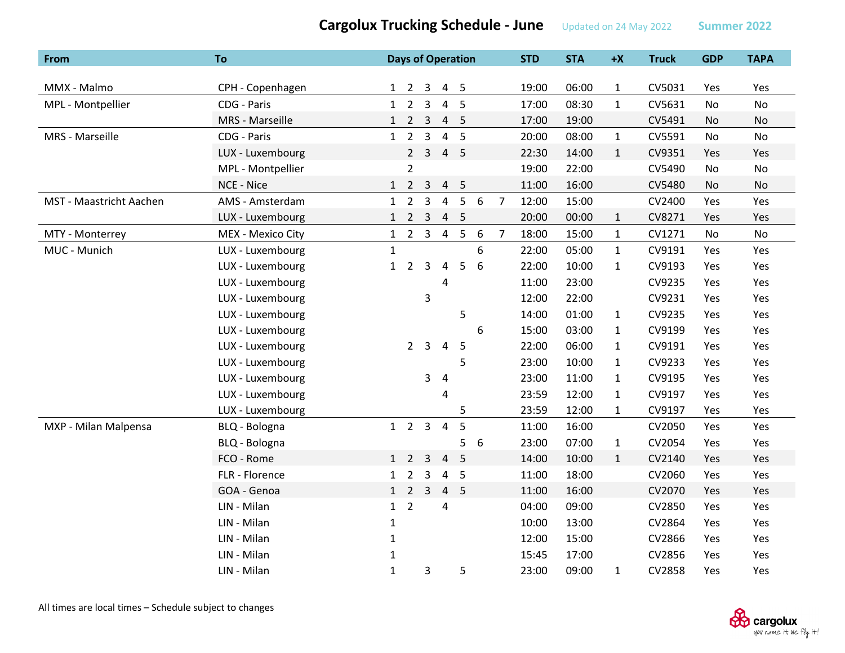| From                    | To                |              |                     |                | <b>Days of Operation</b> |                |       |                | <b>STD</b> | <b>STA</b> | $+X$         | <b>Truck</b> | <b>GDP</b> | <b>TAPA</b>   |
|-------------------------|-------------------|--------------|---------------------|----------------|--------------------------|----------------|-------|----------------|------------|------------|--------------|--------------|------------|---------------|
|                         |                   |              |                     |                |                          |                |       |                |            |            |              |              |            |               |
| MMX - Malmo             | CPH - Copenhagen  |              | $1 \quad 2 \quad 3$ |                |                          | 4 <sub>5</sub> |       |                | 19:00      | 06:00      | $\mathbf{1}$ | CV5031       | Yes        | Yes           |
| MPL - Montpellier       | CDG - Paris       | $\mathbf{1}$ | $\overline{2}$      | 3              | $\overline{4}$           | 5              |       |                | 17:00      | 08:30      | $\mathbf{1}$ | CV5631       | No         | No            |
|                         | MRS - Marseille   | 1            | $\overline{2}$      | $\overline{3}$ | $\overline{4}$           | 5              |       |                | 17:00      | 19:00      |              | CV5491       | No         | $\mathsf{No}$ |
| MRS - Marseille         | CDG - Paris       | 1            | $\overline{2}$      | $\overline{3}$ | $\overline{4}$           | 5              |       |                | 20:00      | 08:00      | $\mathbf{1}$ | CV5591       | No         | No            |
|                         | LUX - Luxembourg  |              |                     | $2 \quad 3$    | $\overline{4}$           | 5              |       |                | 22:30      | 14:00      | $\mathbf{1}$ | CV9351       | Yes        | Yes           |
|                         | MPL - Montpellier |              | $\overline{2}$      |                |                          |                |       |                | 19:00      | 22:00      |              | CV5490       | No         | No            |
|                         | NCE - Nice        |              | $1 \quad 2 \quad 3$ |                | $\overline{4}$           | 5              |       |                | 11:00      | 16:00      |              | CV5480       | No         | No            |
| MST - Maastricht Aachen | AMS - Amsterdam   | 1            | $\overline{2}$      | $\overline{3}$ | $\overline{4}$           | 5              | $6\,$ | $\overline{7}$ | 12:00      | 15:00      |              | CV2400       | Yes        | Yes           |
|                         | LUX - Luxembourg  | $\mathbf{1}$ | $\overline{2}$      | $\overline{3}$ | $\overline{4}$           | 5              |       |                | 20:00      | 00:00      | $\mathbf{1}$ | CV8271       | Yes        | Yes           |
| MTY - Monterrey         | MEX - Mexico City |              | $1 \quad 2 \quad 3$ |                | $\overline{4}$           | 5              | 6     | $\overline{7}$ | 18:00      | 15:00      | $\mathbf{1}$ | CV1271       | No         | No            |
| MUC - Munich            | LUX - Luxembourg  | $\mathbf{1}$ |                     |                |                          |                | 6     |                | 22:00      | 05:00      | $\mathbf{1}$ | CV9191       | Yes        | Yes           |
|                         | LUX - Luxembourg  | $\mathbf{1}$ | $\overline{2}$      | 3              | $\pmb{4}$                | 5              | 6     |                | 22:00      | 10:00      | $\mathbf{1}$ | CV9193       | Yes        | Yes           |
|                         | LUX - Luxembourg  |              |                     |                | 4                        |                |       |                | 11:00      | 23:00      |              | CV9235       | Yes        | Yes           |
|                         | LUX - Luxembourg  |              |                     | 3              |                          |                |       |                | 12:00      | 22:00      |              | CV9231       | Yes        | Yes           |
|                         | LUX - Luxembourg  |              |                     |                |                          | 5              |       |                | 14:00      | 01:00      | $\mathbf{1}$ | CV9235       | Yes        | Yes           |
|                         | LUX - Luxembourg  |              |                     |                |                          |                | 6     |                | 15:00      | 03:00      | $\mathbf{1}$ | CV9199       | Yes        | Yes           |
|                         | LUX - Luxembourg  |              | $2^{\circ}$         | $\overline{3}$ | $\overline{4}$           | 5              |       |                | 22:00      | 06:00      | $\mathbf{1}$ | CV9191       | Yes        | Yes           |
|                         | LUX - Luxembourg  |              |                     |                |                          | 5              |       |                | 23:00      | 10:00      | $\mathbf{1}$ | CV9233       | Yes        | Yes           |
|                         | LUX - Luxembourg  |              |                     | 3              | $\overline{4}$           |                |       |                | 23:00      | 11:00      | $\mathbf{1}$ | CV9195       | Yes        | Yes           |
|                         | LUX - Luxembourg  |              |                     |                | 4                        |                |       |                | 23:59      | 12:00      | $\mathbf{1}$ | CV9197       | Yes        | Yes           |
|                         | LUX - Luxembourg  |              |                     |                |                          | 5              |       |                | 23:59      | 12:00      | $\mathbf{1}$ | CV9197       | Yes        | Yes           |
| MXP - Milan Malpensa    | BLQ - Bologna     |              | $1\quad 2$          | $\mathbf{3}$   | $\overline{4}$           | 5              |       |                | 11:00      | 16:00      |              | CV2050       | Yes        | Yes           |
|                         | BLQ - Bologna     |              |                     |                |                          | 5              | 6     |                | 23:00      | 07:00      | $\mathbf{1}$ | CV2054       | Yes        | Yes           |
|                         | FCO - Rome        |              | $1\quad 2$          | 3              | $\overline{4}$           | 5              |       |                | 14:00      | 10:00      | $\mathbf{1}$ | CV2140       | Yes        | Yes           |
|                         | FLR - Florence    |              | $1\quad 2$          | 3              | $\overline{a}$           | 5              |       |                | 11:00      | 18:00      |              | CV2060       | Yes        | Yes           |
|                         | GOA - Genoa       |              | $1\quad 2$          | $\overline{3}$ | $\overline{4}$           | 5              |       |                | 11:00      | 16:00      |              | CV2070       | Yes        | Yes           |
|                         | LIN - Milan       |              | $1\quad 2$          |                | $\overline{4}$           |                |       |                | 04:00      | 09:00      |              | CV2850       | Yes        | Yes           |
|                         | LIN - Milan       | $\mathbf{1}$ |                     |                |                          |                |       |                | 10:00      | 13:00      |              | CV2864       | Yes        | Yes           |
|                         | LIN - Milan       | 1            |                     |                |                          |                |       |                | 12:00      | 15:00      |              | CV2866       | Yes        | Yes           |
|                         | LIN - Milan       | $\mathbf{1}$ |                     |                |                          |                |       |                | 15:45      | 17:00      |              | CV2856       | Yes        | Yes           |
|                         | LIN - Milan       | $\mathbf{1}$ |                     | 3              |                          | 5              |       |                | 23:00      | 09:00      | $\mathbf{1}$ | CV2858       | Yes        | Yes           |

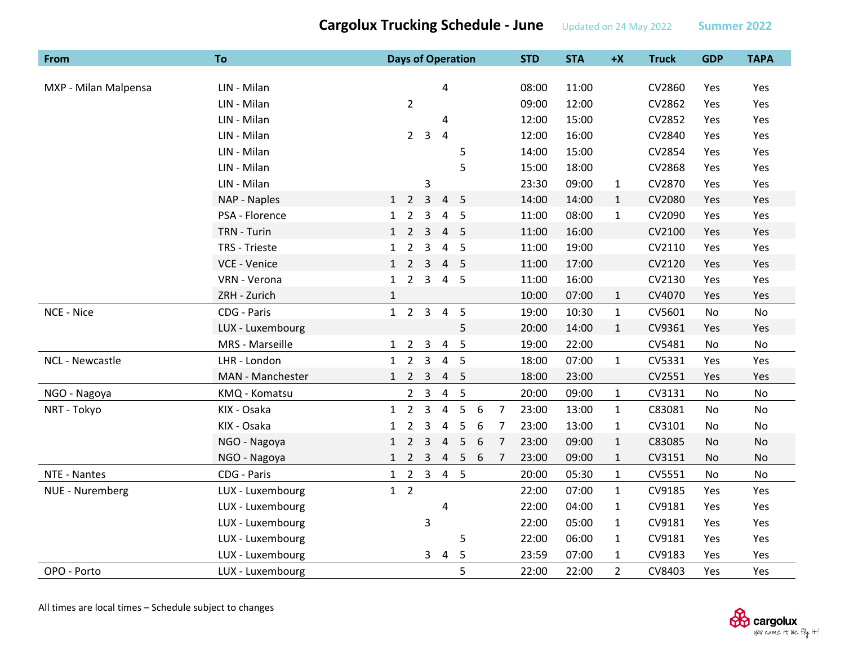| From                 | To               | <b>Days of Operation</b>                                                   | <b>STD</b>              | <b>STA</b> | $+X$           | <b>Truck</b> | <b>GDP</b> | <b>TAPA</b> |
|----------------------|------------------|----------------------------------------------------------------------------|-------------------------|------------|----------------|--------------|------------|-------------|
|                      | LIN - Milan      | 4                                                                          | 08:00                   | 11:00      |                | CV2860       | Yes        |             |
| MXP - Milan Malpensa | LIN - Milan      |                                                                            | 09:00                   | 12:00      |                | CV2862       |            | Yes         |
|                      |                  | $\overline{2}$                                                             |                         |            |                |              | Yes        | Yes         |
|                      | LIN - Milan      | 4                                                                          | 12:00                   | 15:00      |                | CV2852       | Yes        | Yes         |
|                      | LIN - Milan      | 3<br>$\overline{4}$<br>$2^{\circ}$                                         | 12:00                   | 16:00      |                | CV2840       | Yes        | Yes         |
|                      | LIN - Milan      | 5                                                                          | 14:00                   | 15:00      |                | CV2854       | Yes        | Yes         |
|                      | LIN - Milan      | 5                                                                          | 15:00                   | 18:00      |                | CV2868       | Yes        | Yes         |
|                      | LIN - Milan      | 3                                                                          | 23:30                   | 09:00      | $\mathbf{1}$   | CV2870       | Yes        | Yes         |
|                      | NAP - Naples     | $\overline{3}$<br>5<br>$1\quad 2$<br>4                                     | 14:00                   | 14:00      | $\mathbf{1}$   | CV2080       | Yes        | Yes         |
|                      | PSA - Florence   | $1\quad 2$<br>3<br>5<br>4                                                  | 11:00                   | 08:00      | $\mathbf{1}$   | CV2090       | Yes        | Yes         |
|                      | TRN - Turin      | $1\quad2$<br>5<br>3<br>4                                                   | 11:00                   | 16:00      |                | CV2100       | Yes        | Yes         |
|                      | TRS - Trieste    | $\overline{2}$<br>3<br>$\overline{a}$<br>5<br>$\mathbf{1}$                 | 11:00                   | 19:00      |                | CV2110       | Yes        | Yes         |
|                      | VCE - Venice     | $1 \quad 2 \quad 3$<br>$5^{\circ}$<br>$\overline{4}$                       | 11:00                   | 17:00      |                | CV2120       | Yes        | Yes         |
|                      | VRN - Verona     | $2^{\circ}$<br>3<br>4 5<br>1                                               | 11:00                   | 16:00      |                | CV2130       | Yes        | Yes         |
|                      | ZRH - Zurich     | $\mathbf{1}$                                                               | 10:00                   | 07:00      | $\mathbf{1}$   | CV4070       | Yes        | Yes         |
| NCE - Nice           | CDG - Paris      | $1 \quad 2 \quad 3 \quad 4$<br>5                                           | 19:00                   | 10:30      | $\mathbf{1}$   | CV5601       | No         | No          |
|                      | LUX - Luxembourg | 5                                                                          | 20:00                   | 14:00      | $\mathbf{1}$   | CV9361       | Yes        | Yes         |
|                      | MRS - Marseille  | 5<br>$1 \quad 2 \quad 3$<br>$\overline{a}$                                 | 19:00                   | 22:00      |                | CV5481       | No         | No          |
| NCL - Newcastle      | LHR - London     | $\overline{3}$<br>$\overline{4}$<br>5<br>$1\quad 2$                        | 18:00                   | 07:00      | $\mathbf{1}$   | CV5331       | Yes        | Yes         |
|                      | MAN - Manchester | $1 \quad 2 \quad 3$<br>4 <sub>5</sub>                                      | 18:00                   | 23:00      |                | CV2551       | Yes        | Yes         |
| NGO - Nagoya         | KMQ - Komatsu    | 5<br>$2 \quad 3$<br>$\overline{4}$                                         | 20:00                   | 09:00      | $\mathbf{1}$   | CV3131       | <b>No</b>  | No          |
| NRT - Tokyo          | KIX - Osaka      | $\overline{2}$<br>$\overline{4}$<br>5<br>3<br>6<br>$\mathbf{1}$            | 23:00<br>$\overline{7}$ | 13:00      | $\mathbf{1}$   | C83081       | No         | No          |
|                      | KIX - Osaka      | $\overline{2}$<br>3<br>$\overline{4}$<br>5<br>6<br>$\mathbf{1}$            | $\overline{7}$<br>23:00 | 13:00      | $\mathbf{1}$   | CV3101       | No         | No          |
|                      | NGO - Nagoya     | $\overline{2}$<br>3<br>5<br>6<br>$\overline{4}$<br>1                       | $\overline{7}$<br>23:00 | 09:00      | $\mathbf{1}$   | C83085       | No         | No          |
|                      | NGO - Nagoya     | $2^{\circ}$<br>$\overline{\mathbf{3}}$<br>1<br>$\overline{4}$<br>$-5$<br>6 | 23:00<br>7              | 09:00      | $\mathbf{1}$   | CV3151       | No         | No          |
| NTE - Nantes         | CDG - Paris      | $1 \quad 2 \quad 3$<br>4 5                                                 | 20:00                   | 05:30      | $\mathbf{1}$   | CV5551       | No         | No          |
| NUE - Nuremberg      | LUX - Luxembourg | $1\quad 2$                                                                 | 22:00                   | 07:00      | $\mathbf{1}$   | CV9185       | Yes        | Yes         |
|                      | LUX - Luxembourg | 4                                                                          | 22:00                   | 04:00      | $\mathbf{1}$   | CV9181       | Yes        | Yes         |
|                      | LUX - Luxembourg | 3                                                                          | 22:00                   | 05:00      | $\mathbf{1}$   | CV9181       | Yes        | Yes         |
|                      | LUX - Luxembourg | 5                                                                          | 22:00                   | 06:00      | $\mathbf{1}$   | CV9181       | Yes        | Yes         |
|                      | LUX - Luxembourg | 5<br>3<br>$\overline{a}$                                                   | 23:59                   | 07:00      | $\mathbf{1}$   | CV9183       | Yes        | Yes         |
| OPO - Porto          | LUX - Luxembourg | 5                                                                          | 22:00                   | 22:00      | $\overline{2}$ | CV8403       | Yes        | Yes         |

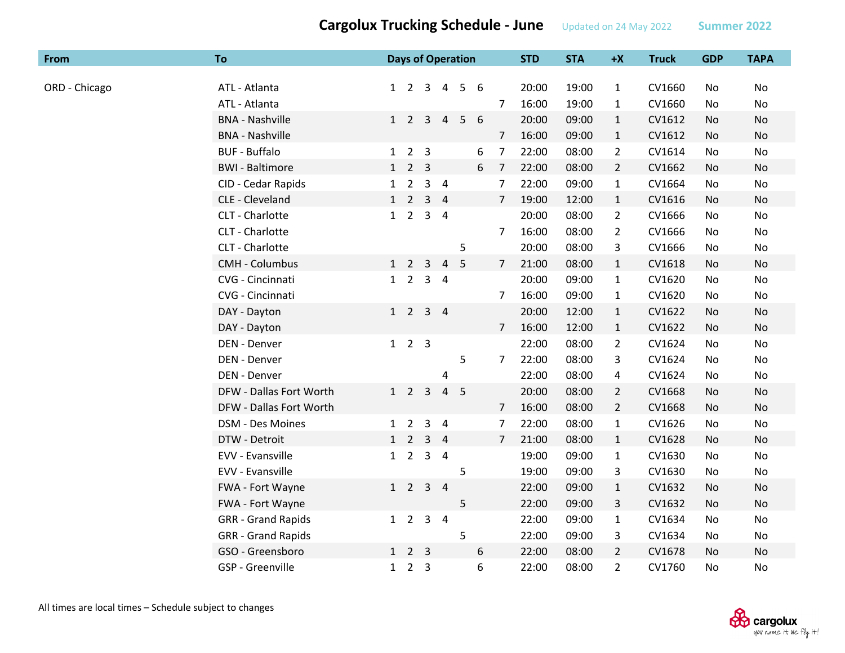| <b>From</b>   | To                        |              |                     |                |                | <b>Days of Operation</b> |   |                | <b>STD</b> | <b>STA</b> | $+X$           | <b>Truck</b> | <b>GDP</b> | <b>TAPA</b> |
|---------------|---------------------------|--------------|---------------------|----------------|----------------|--------------------------|---|----------------|------------|------------|----------------|--------------|------------|-------------|
|               |                           |              |                     |                |                |                          |   |                |            |            |                |              |            |             |
| ORD - Chicago | ATL - Atlanta             |              | $1\quad 2\quad 3$   |                | $\overline{4}$ | 5                        | 6 |                | 20:00      | 19:00      | $\mathbf{1}$   | CV1660       | No.        | No          |
|               | ATL - Atlanta             |              |                     |                |                |                          |   | 7              | 16:00      | 19:00      | $\mathbf{1}$   | CV1660       | No         | No          |
|               | <b>BNA - Nashville</b>    |              | $1 \quad 2 \quad 3$ |                | $\overline{4}$ | 5                        | 6 |                | 20:00      | 09:00      | $\mathbf{1}$   | CV1612       | No.        | No          |
|               | <b>BNA - Nashville</b>    |              |                     |                |                |                          |   | $\overline{7}$ | 16:00      | 09:00      | $\mathbf{1}$   | CV1612       | No         | No          |
|               | <b>BUF - Buffalo</b>      | 1            |                     | 2 <sub>3</sub> |                |                          | 6 | 7              | 22:00      | 08:00      | $\overline{2}$ | CV1614       | No         | No          |
|               | <b>BWI</b> - Baltimore    | 1            | $2^{\circ}$         | $\mathbf{3}$   |                |                          | 6 | 7              | 22:00      | 08:00      | $2^{\circ}$    | CV1662       | No         | No          |
|               | CID - Cedar Rapids        |              | $1\quad 2$          |                | 3 <sub>4</sub> |                          |   | $\overline{7}$ | 22:00      | 09:00      | $\mathbf{1}$   | CV1664       | No         | No          |
|               | CLE - Cleveland           |              | $1\quad 2$          | $\overline{3}$ | $\overline{4}$ |                          |   | $\overline{7}$ | 19:00      | 12:00      | $\mathbf{1}$   | CV1616       | No         | <b>No</b>   |
|               | CLT - Charlotte           |              | $1\quad 2$          |                | 3 <sub>4</sub> |                          |   |                | 20:00      | 08:00      | $\overline{2}$ | CV1666       | No         | No          |
|               | CLT - Charlotte           |              |                     |                |                |                          |   | $\overline{7}$ | 16:00      | 08:00      | $\overline{2}$ | CV1666       | No         | No          |
|               | CLT - Charlotte           |              |                     |                |                | 5                        |   |                | 20:00      | 08:00      | 3              | CV1666       | No         | No          |
|               | <b>CMH - Columbus</b>     |              | $1\quad 2$          | $\overline{3}$ | $\overline{4}$ | 5                        |   | $\overline{7}$ | 21:00      | 08:00      | $\mathbf{1}$   | CV1618       | No         | No          |
|               | CVG - Cincinnati          |              | $1\quad 2$          |                | 3 <sub>4</sub> |                          |   |                | 20:00      | 09:00      | $\mathbf{1}$   | CV1620       | No         | No          |
|               | CVG - Cincinnati          |              |                     |                |                |                          |   | 7              | 16:00      | 09:00      | $\mathbf{1}$   | CV1620       | No         | No          |
|               | DAY - Dayton              |              | $1\quad 2$          |                | 3 <sub>4</sub> |                          |   |                | 20:00      | 12:00      | $\mathbf{1}$   | CV1622       | No         | No          |
|               | DAY - Dayton              |              |                     |                |                |                          |   | $\overline{7}$ | 16:00      | 12:00      | $\mathbf{1}$   | CV1622       | No         | No          |
|               | DEN - Denver              | 1            |                     | 2 <sub>3</sub> |                |                          |   |                | 22:00      | 08:00      | $\overline{2}$ | CV1624       | No         | No          |
|               | DEN - Denver              |              |                     |                |                | 5                        |   | $7^{\circ}$    | 22:00      | 08:00      | 3              | CV1624       | No.        | No          |
|               | DEN - Denver              |              |                     |                | 4              |                          |   |                | 22:00      | 08:00      | 4              | CV1624       | No         | No          |
|               | DFW - Dallas Fort Worth   |              | $1 \quad 2 \quad 3$ |                | 4 <sub>5</sub> |                          |   |                | 20:00      | 08:00      | $\overline{2}$ | CV1668       | No         | No          |
|               | DFW - Dallas Fort Worth   |              |                     |                |                |                          |   | $\overline{7}$ | 16:00      | 08:00      | $\overline{2}$ | CV1668       | No         | No          |
|               | DSM - Des Moines          |              | $1\quad 2$          |                | 3 <sub>4</sub> |                          |   | 7              | 22:00      | 08:00      | $\mathbf{1}$   | CV1626       | No         | No          |
|               | DTW - Detroit             |              | $1\quad 2$          |                | 3 <sub>4</sub> |                          |   | $\overline{7}$ | 21:00      | 08:00      | $\mathbf{1}$   | CV1628       | No         | No          |
|               | EVV - Evansville          |              | $1\quad 2$          |                | 3 <sub>4</sub> |                          |   |                | 19:00      | 09:00      | $\mathbf{1}$   | CV1630       | No         | No          |
|               | EVV - Evansville          |              |                     |                |                | 5                        |   |                | 19:00      | 09:00      | 3              | CV1630       | No         | No          |
|               | FWA - Fort Wayne          |              | $1\quad 2$          |                | 3 <sub>4</sub> |                          |   |                | 22:00      | 09:00      | $\mathbf{1}$   | CV1632       | No         | No          |
|               | FWA - Fort Wayne          |              |                     |                |                | 5                        |   |                | 22:00      | 09:00      | 3              | CV1632       | No         | No          |
|               | <b>GRR</b> - Grand Rapids |              | $1\quad 2$          |                | 3 <sub>4</sub> |                          |   |                | 22:00      | 09:00      | $\mathbf{1}$   | CV1634       | No         | No          |
|               | <b>GRR</b> - Grand Rapids |              |                     |                |                | 5                        |   |                | 22:00      | 09:00      | 3              | CV1634       | No         | No          |
|               | GSO - Greensboro          | 1            |                     | 2 <sub>3</sub> |                |                          | 6 |                | 22:00      | 08:00      | $\overline{2}$ | CV1678       | No         | No          |
|               | GSP - Greenville          | $\mathbf{1}$ | $2^{\circ}$         | 3              |                |                          | 6 |                | 22:00      | 08:00      | $\overline{2}$ | CV1760       | No         | No          |

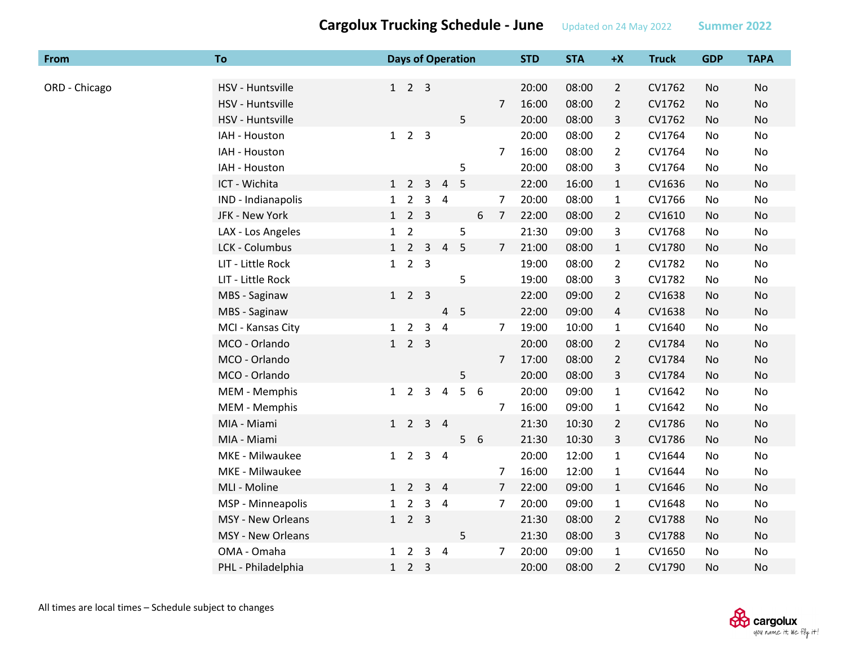| From          | To                       |              |                             |                | <b>Days of Operation</b> |                |   |                | <b>STD</b> | <b>STA</b> | $+X$           | <b>Truck</b> | <b>GDP</b> | <b>TAPA</b> |
|---------------|--------------------------|--------------|-----------------------------|----------------|--------------------------|----------------|---|----------------|------------|------------|----------------|--------------|------------|-------------|
|               |                          |              |                             |                |                          |                |   |                |            |            |                |              |            |             |
| ORD - Chicago | HSV - Huntsville         |              | $1 \quad 2 \quad 3$         |                |                          |                |   |                | 20:00      | 08:00      | $\overline{2}$ | CV1762       | No         | No          |
|               | HSV - Huntsville         |              |                             |                |                          |                |   | $\overline{7}$ | 16:00      | 08:00      | $\overline{2}$ | CV1762       | No         | No          |
|               | HSV - Huntsville         |              |                             |                |                          | 5              |   |                | 20:00      | 08:00      | 3              | CV1762       | No         | No          |
|               | IAH - Houston            |              | $1 \quad 2 \quad 3$         |                |                          |                |   |                | 20:00      | 08:00      | $\overline{2}$ | CV1764       | No         | No          |
|               | IAH - Houston            |              |                             |                |                          |                |   | 7              | 16:00      | 08:00      | $\overline{2}$ | CV1764       | No         | No          |
|               | IAH - Houston            |              |                             |                |                          | 5              |   |                | 20:00      | 08:00      | 3              | CV1764       | No         | No          |
|               | ICT - Wichita            |              | $1\quad 2$                  | $\overline{3}$ | $\overline{4}$           | 5              |   |                | 22:00      | 16:00      | $\mathbf{1}$   | CV1636       | No         | No          |
|               | IND - Indianapolis       | $\mathbf{1}$ | $\overline{2}$              | 3              | $\overline{4}$           |                |   | 7              | 20:00      | 08:00      | 1              | CV1766       | No         | No          |
|               | JFK - New York           | 1            | 2 <sub>3</sub>              |                |                          |                | 6 | $\overline{7}$ | 22:00      | 08:00      | $\overline{2}$ | CV1610       | No         | No          |
|               | LAX - Los Angeles        | $\mathbf{1}$ | $\overline{2}$              |                |                          | 5              |   |                | 21:30      | 09:00      | 3              | CV1768       | No         | No          |
|               | LCK - Columbus           |              | $1\quad 2$                  | $\mathbf{3}$   | $\overline{4}$           | 5              |   | $\overline{7}$ | 21:00      | 08:00      | $\mathbf{1}$   | CV1780       | No         | No          |
|               | LIT - Little Rock        | 1            | 2 <sub>3</sub>              |                |                          |                |   |                | 19:00      | 08:00      | $\overline{2}$ | CV1782       | No         | No          |
|               | LIT - Little Rock        |              |                             |                |                          | 5              |   |                | 19:00      | 08:00      | 3              | CV1782       | No         | No          |
|               | MBS - Saginaw            |              | $1\quad2\quad3$             |                |                          |                |   |                | 22:00      | 09:00      | $\overline{2}$ | CV1638       | No         | No          |
|               | MBS - Saginaw            |              |                             |                | 4                        | 5              |   |                | 22:00      | 09:00      | 4              | CV1638       | No         | <b>No</b>   |
|               | MCI - Kansas City        |              | $1\quad 2$                  | $\mathsf{3}$   | $\overline{a}$           |                |   | 7              | 19:00      | 10:00      | 1              | CV1640       | No         | No          |
|               | MCO - Orlando            | 1            | 2 <sub>3</sub>              |                |                          |                |   |                | 20:00      | 08:00      | $\overline{2}$ | CV1784       | No         | <b>No</b>   |
|               | MCO - Orlando            |              |                             |                |                          |                |   | $\overline{7}$ | 17:00      | 08:00      | $\overline{2}$ | CV1784       | No         | No          |
|               | MCO - Orlando            |              |                             |                |                          | 5              |   |                | 20:00      | 08:00      | 3              | CV1784       | No         | No          |
|               | MEM - Memphis            | $1\quad 2$   |                             | 3              | 4                        | 5              | 6 |                | 20:00      | 09:00      | $\mathbf{1}$   | CV1642       | No         | No          |
|               | MEM - Memphis            |              |                             |                |                          |                |   | $\overline{7}$ | 16:00      | 09:00      | 1              | CV1642       | No         | No          |
|               | MIA - Miami              |              | $1 \quad 2 \quad 3 \quad 4$ |                |                          |                |   |                | 21:30      | 10:30      | $\overline{2}$ | CV1786       | No         | No          |
|               | MIA - Miami              |              |                             |                |                          | 5 <sub>1</sub> | 6 |                | 21:30      | 10:30      | 3              | CV1786       | No         | No          |
|               | MKE - Milwaukee          |              | $1\quad 2$                  | 3              | $\overline{4}$           |                |   |                | 20:00      | 12:00      | $\mathbf{1}$   | CV1644       | No         | No          |
|               | MKE - Milwaukee          |              |                             |                |                          |                |   | $\overline{7}$ | 16:00      | 12:00      | $\mathbf{1}$   | CV1644       | No         | No          |
|               | MLI - Moline             |              | $1\quad 2$                  | 3              | $\overline{4}$           |                |   | $\overline{7}$ | 22:00      | 09:00      | $\mathbf{1}$   | CV1646       | No         | No          |
|               | MSP - Minneapolis        | $\mathbf{1}$ | $\overline{2}$              | 3              | $\overline{4}$           |                |   | $\overline{7}$ | 20:00      | 09:00      | 1              | CV1648       | No         | No          |
|               | <b>MSY - New Orleans</b> |              | $1 \quad 2 \quad 3$         |                |                          |                |   |                | 21:30      | 08:00      | $\overline{2}$ | CV1788       | No.        | No          |
|               | MSY - New Orleans        |              |                             |                |                          | 5              |   |                | 21:30      | 08:00      | 3              | CV1788       | No         | No          |
|               | OMA - Omaha              |              | $1\quad 2$                  | 3              | $\overline{a}$           |                |   | $\overline{7}$ | 20:00      | 09:00      | 1              | CV1650       | No         | No          |
|               | PHL - Philadelphia       | $\mathbf{1}$ | 2 <sub>3</sub>              |                |                          |                |   |                | 20:00      | 08:00      | $\overline{2}$ | CV1790       | No.        | No          |

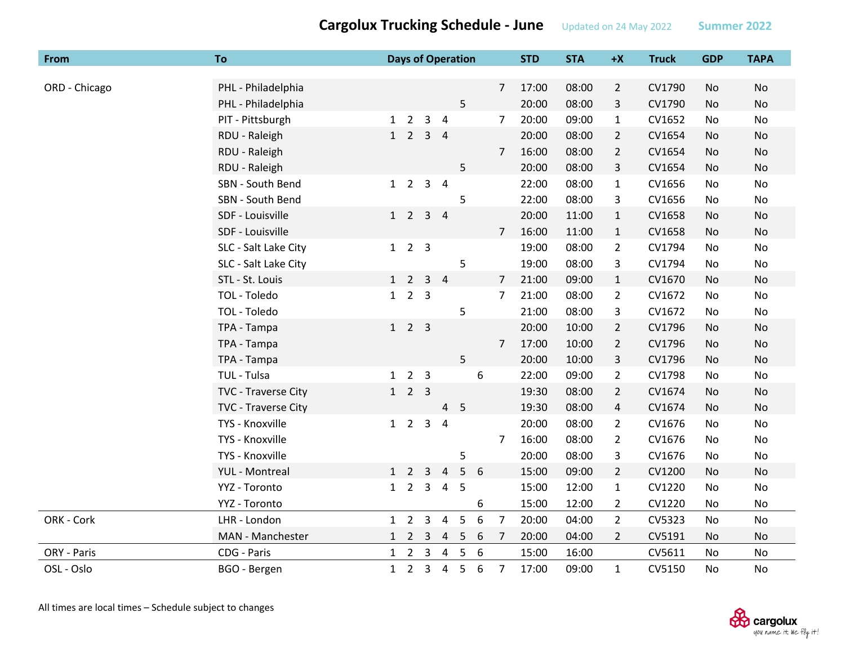| From          | <b>To</b>            |              |                     |                | <b>Days of Operation</b> |                 |   |                | <b>STD</b> | <b>STA</b> | $+X$           | <b>Truck</b> | <b>GDP</b> | <b>TAPA</b> |
|---------------|----------------------|--------------|---------------------|----------------|--------------------------|-----------------|---|----------------|------------|------------|----------------|--------------|------------|-------------|
|               |                      |              |                     |                |                          |                 |   |                |            |            |                |              |            |             |
| ORD - Chicago | PHL - Philadelphia   |              |                     |                |                          |                 |   | $\overline{7}$ | 17:00      | 08:00      | $\overline{2}$ | CV1790       | No         | No          |
|               | PHL - Philadelphia   |              |                     |                |                          | 5               |   |                | 20:00      | 08:00      | 3              | CV1790       | No         | No          |
|               | PIT - Pittsburgh     |              | $1\quad 2$          | $\overline{3}$ | $\overline{4}$           |                 |   | $\overline{7}$ | 20:00      | 09:00      | $\mathbf{1}$   | CV1652       | No         | No          |
|               | RDU - Raleigh        | 1            | $\overline{2}$      |                | 3 <sub>1</sub>           |                 |   |                | 20:00      | 08:00      | $\overline{2}$ | CV1654       | No         | <b>No</b>   |
|               | RDU - Raleigh        |              |                     |                |                          |                 |   | $\overline{7}$ | 16:00      | 08:00      | $\overline{2}$ | CV1654       | No         | No          |
|               | RDU - Raleigh        |              |                     |                |                          | 5               |   |                | 20:00      | 08:00      | 3              | CV1654       | No         | No          |
|               | SBN - South Bend     |              | $1\quad 2$          |                | 3 <sub>4</sub>           |                 |   |                | 22:00      | 08:00      | $\mathbf{1}$   | CV1656       | No         | No          |
|               | SBN - South Bend     |              |                     |                |                          | 5               |   |                | 22:00      | 08:00      | 3              | CV1656       | No         | No          |
|               | SDF - Louisville     |              | $1\quad 2$          |                | $3 \quad 4$              |                 |   |                | 20:00      | 11:00      | $\mathbf{1}$   | CV1658       | No         | No          |
|               | SDF - Louisville     |              |                     |                |                          |                 |   | $\overline{7}$ | 16:00      | 11:00      | $\mathbf{1}$   | CV1658       | No         | <b>No</b>   |
|               | SLC - Salt Lake City |              | $1 \quad 2 \quad 3$ |                |                          |                 |   |                | 19:00      | 08:00      | $\overline{2}$ | CV1794       | No         | No          |
|               | SLC - Salt Lake City |              |                     |                |                          | 5               |   |                | 19:00      | 08:00      | 3              | CV1794       | No         | No          |
|               | STL - St. Louis      |              | $1\quad 2$          |                | $3 \quad 4$              |                 |   | 7              | 21:00      | 09:00      | $\mathbf{1}$   | CV1670       | No         | No          |
|               | TOL - Toledo         |              | $1 \quad 2 \quad 3$ |                |                          |                 |   | $\overline{7}$ | 21:00      | 08:00      | $\overline{2}$ | CV1672       | No         | No          |
|               | TOL - Toledo         |              |                     |                |                          | 5               |   |                | 21:00      | 08:00      | 3              | CV1672       | No         | No          |
|               | TPA - Tampa          | 1            | 2 <sup>3</sup>      |                |                          |                 |   |                | 20:00      | 10:00      | $\overline{2}$ | CV1796       | No         | No          |
|               | TPA - Tampa          |              |                     |                |                          |                 |   | 7              | 17:00      | 10:00      | $\overline{2}$ | CV1796       | No         | No          |
|               | TPA - Tampa          |              |                     |                |                          | 5               |   |                | 20:00      | 10:00      | 3              | CV1796       | No         | No          |
|               | TUL - Tulsa          | 1            |                     | 2 <sub>3</sub> |                          |                 | 6 |                | 22:00      | 09:00      | $\overline{2}$ | CV1798       | No         | No          |
|               | TVC - Traverse City  | 1            | 2 <sub>3</sub>      |                |                          |                 |   |                | 19:30      | 08:00      | $\overline{2}$ | CV1674       | No         | No          |
|               | TVC - Traverse City  |              |                     |                | 4                        | 5               |   |                | 19:30      | 08:00      | $\overline{4}$ | CV1674       | No         | No          |
|               | TYS - Knoxville      |              | $1 \quad 2 \quad 3$ |                | $\overline{4}$           |                 |   |                | 20:00      | 08:00      | $\overline{2}$ | CV1676       | No         | No          |
|               | TYS - Knoxville      |              |                     |                |                          |                 |   | $\overline{7}$ | 16:00      | 08:00      | $\overline{2}$ | CV1676       | No         | No          |
|               | TYS - Knoxville      |              |                     |                |                          | 5               |   |                | 20:00      | 08:00      | 3              | CV1676       | No         | No          |
|               | YUL - Montreal       |              | $1\quad2$           | 3              | $\sqrt{4}$               | 5               | 6 |                | 15:00      | 09:00      | $\overline{2}$ | CV1200       | No         | No          |
|               | YYZ - Toronto        |              | $1\quad 2$          | 3              | $\overline{4}$           | 5               |   |                | 15:00      | 12:00      | $\mathbf{1}$   | CV1220       | No         | No          |
|               | YYZ - Toronto        |              |                     |                |                          |                 | 6 |                | 15:00      | 12:00      | $\overline{2}$ | CV1220       | No         | No          |
| ORK - Cork    | LHR - London         | 1            | $\overline{2}$      | 3              | $\overline{4}$           | 5               | 6 | $\overline{7}$ | 20:00      | 04:00      | $\overline{2}$ | CV5323       | No         | No          |
|               | MAN - Manchester     | 1            |                     | 2 <sub>3</sub> | $\overline{4}$           | $5\phantom{.0}$ | 6 | 7              | 20:00      | 04:00      | $\overline{2}$ | CV5191       | No         | No          |
| ORY - Paris   | CDG - Paris          |              | $1 \quad 2 \quad 3$ |                | $\overline{4}$           | $\sqrt{5}$      | 6 |                | 15:00      | 16:00      |                | CV5611       | No         | <b>No</b>   |
| OSL - Oslo    | BGO - Bergen         | $\mathbf{1}$ |                     | 2 <sup>3</sup> | $\overline{4}$           | 5               | 6 | $\overline{7}$ | 17:00      | 09:00      | $\mathbf{1}$   | CV5150       | No         | No          |

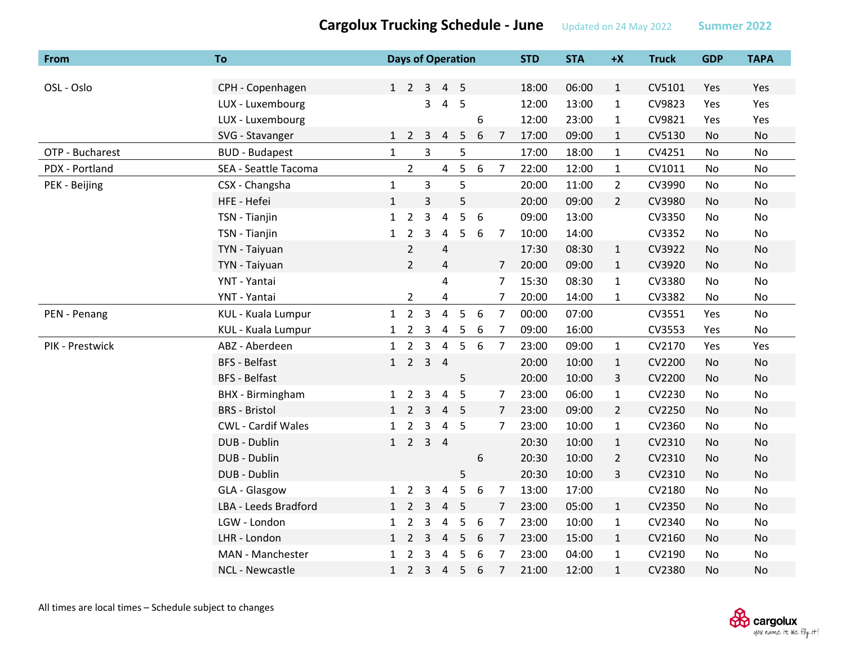| From            | To                        |              | <b>Days of Operation</b> |                |                         |    |                  |                | <b>STD</b> | <b>STA</b> | $+X$           | <b>Truck</b> | <b>GDP</b> | <b>TAPA</b> |
|-----------------|---------------------------|--------------|--------------------------|----------------|-------------------------|----|------------------|----------------|------------|------------|----------------|--------------|------------|-------------|
|                 |                           |              |                          |                |                         |    |                  |                |            |            |                |              |            |             |
| OSL - Oslo      | CPH - Copenhagen          |              | 1 2 3 4 5                |                |                         |    |                  |                | 18:00      | 06:00      | $\mathbf{1}$   | CV5101       | Yes        | Yes         |
|                 | LUX - Luxembourg          |              |                          | 3              | 4                       | 5  |                  |                | 12:00      | 13:00      | $\mathbf{1}$   | CV9823       | Yes        | Yes         |
|                 | LUX - Luxembourg          |              |                          |                |                         |    | 6                |                | 12:00      | 23:00      | $\mathbf{1}$   | CV9821       | Yes        | Yes         |
|                 | SVG - Stavanger           | $\mathbf{1}$ | $\overline{2}$           | 3              | 4                       | 5  | 6                | 7              | 17:00      | 09:00      | $\mathbf{1}$   | CV5130       | No         | No          |
| OTP - Bucharest | <b>BUD - Budapest</b>     | $\mathbf 1$  |                          | $\overline{3}$ |                         | 5  |                  |                | 17:00      | 18:00      | $\mathbf{1}$   | CV4251       | No         | No          |
| PDX - Portland  | SEA - Seattle Tacoma      |              | $\overline{2}$           |                | 4                       | 5  | $\boldsymbol{6}$ | $\overline{7}$ | 22:00      | 12:00      | $\mathbf{1}$   | CV1011       | No         | No          |
| PEK - Beijing   | CSX - Changsha            | $\mathbf{1}$ |                          | 3              |                         | 5  |                  |                | 20:00      | 11:00      | $2^{\circ}$    | CV3990       | No         | No          |
|                 | HFE - Hefei               | $\mathbf{1}$ |                          | 3              |                         | 5  |                  |                | 20:00      | 09:00      | $\overline{2}$ | CV3980       | No         | No          |
|                 | TSN - Tianjin             | $\mathbf{1}$ | $\overline{2}$           | 3              | $\overline{4}$          | 5  | 6                |                | 09:00      | 13:00      |                | CV3350       | No         | No          |
|                 | TSN - Tianjin             | $\mathbf{1}$ | $\overline{2}$           | 3              | 4                       | 5  | 6                | 7              | 10:00      | 14:00      |                | CV3352       | No         | No          |
|                 | TYN - Taiyuan             |              | $\overline{2}$           |                | 4                       |    |                  |                | 17:30      | 08:30      | $\mathbf{1}$   | CV3922       | <b>No</b>  | No          |
|                 | TYN - Taiyuan             |              | $\overline{2}$           |                | $\overline{\mathbf{4}}$ |    |                  | $\overline{7}$ | 20:00      | 09:00      | $\mathbf{1}$   | CV3920       | <b>No</b>  | No          |
|                 | YNT - Yantai              |              |                          |                | 4                       |    |                  | 7              | 15:30      | 08:30      | $\mathbf{1}$   | CV3380       | No         | No          |
|                 | YNT - Yantai              |              | $\overline{2}$           |                | 4                       |    |                  | 7              | 20:00      | 14:00      | $\mathbf{1}$   | CV3382       | No         | No          |
| PEN - Penang    | KUL - Kuala Lumpur        | 1            | $\overline{2}$           | $\overline{3}$ | $\overline{4}$          | 5  | 6                | $\overline{7}$ | 00:00      | 07:00      |                | CV3551       | Yes        | <b>No</b>   |
|                 | KUL - Kuala Lumpur        | $\mathbf{1}$ | $\overline{2}$           | 3              | $\overline{4}$          | 5  | 6                | 7              | 09:00      | 16:00      |                | CV3553       | Yes        | No          |
| PIK - Prestwick | ABZ - Aberdeen            | $\mathbf{1}$ | $\overline{2}$           | 3              | $\overline{4}$          | 5  | 6                | 7              | 23:00      | 09:00      | $\mathbf{1}$   | CV2170       | Yes        | Yes         |
|                 | <b>BFS - Belfast</b>      |              | $1\quad 2$               | $3 \quad 4$    |                         |    |                  |                | 20:00      | 10:00      | $\mathbf{1}$   | CV2200       | No         | No          |
|                 | <b>BFS - Belfast</b>      |              |                          |                |                         | 5  |                  |                | 20:00      | 10:00      | 3              | CV2200       | No         | No          |
|                 | <b>BHX</b> - Birmingham   | $\mathbf{1}$ | $\overline{2}$           | 3              | 4                       | 5  |                  | $\overline{7}$ | 23:00      | 06:00      | $\mathbf{1}$   | CV2230       | No         | No          |
|                 | <b>BRS</b> - Bristol      | 1            | $\overline{2}$           | $\overline{3}$ | 4                       | -5 |                  | $\overline{7}$ | 23:00      | 09:00      | $\overline{2}$ | CV2250       | No         | <b>No</b>   |
|                 | <b>CWL - Cardif Wales</b> | 1            | $\overline{2}$           | 3              | $\overline{4}$          | 5  |                  | 7              | 23:00      | 10:00      | $\mathbf{1}$   | CV2360       | No         | No          |
|                 | DUB - Dublin              | 1            | $\overline{2}$           | $\overline{3}$ | $\overline{4}$          |    |                  |                | 20:30      | 10:00      | $\mathbf{1}$   | CV2310       | No         | No          |
|                 | DUB - Dublin              |              |                          |                |                         |    | 6                |                | 20:30      | 10:00      | $\overline{2}$ | CV2310       | No         | <b>No</b>   |
|                 | DUB - Dublin              |              |                          |                |                         | 5  |                  |                | 20:30      | 10:00      | 3              | CV2310       | No         | <b>No</b>   |
|                 | GLA - Glasgow             | 1            | $\overline{2}$           | 3              | 4                       | 5  | 6                | $\overline{7}$ | 13:00      | 17:00      |                | CV2180       | No         | No          |
|                 | LBA - Leeds Bradford      | $\mathbf{1}$ | $\overline{2}$           | 3              | 4                       | 5  |                  | 7              | 23:00      | 05:00      | $\mathbf{1}$   | CV2350       | No         | No          |
|                 | LGW - London              | 1            | 2                        | 3              | 4                       | 5  | 6                | $\overline{7}$ | 23:00      | 10:00      | $\mathbf{1}$   | CV2340       | No         | No          |
|                 | LHR - London              | 1            | $\overline{2}$           | 3              | $\overline{4}$          | 5  | 6                | $\overline{7}$ | 23:00      | 15:00      | $\mathbf{1}$   | CV2160       | No         | No          |
|                 | MAN - Manchester          | $\mathbf{1}$ | $\overline{2}$           | 3              | 4                       | 5  | 6                | $\overline{7}$ | 23:00      | 04:00      | $\mathbf{1}$   | CV2190       | <b>No</b>  | No          |
|                 | <b>NCL - Newcastle</b>    | $\mathbf{1}$ | $\overline{2}$           | $\overline{3}$ | $\overline{4}$          | 5  | 6                | $\overline{7}$ | 21:00      | 12:00      | $\mathbf{1}$   | CV2380       | No         | No          |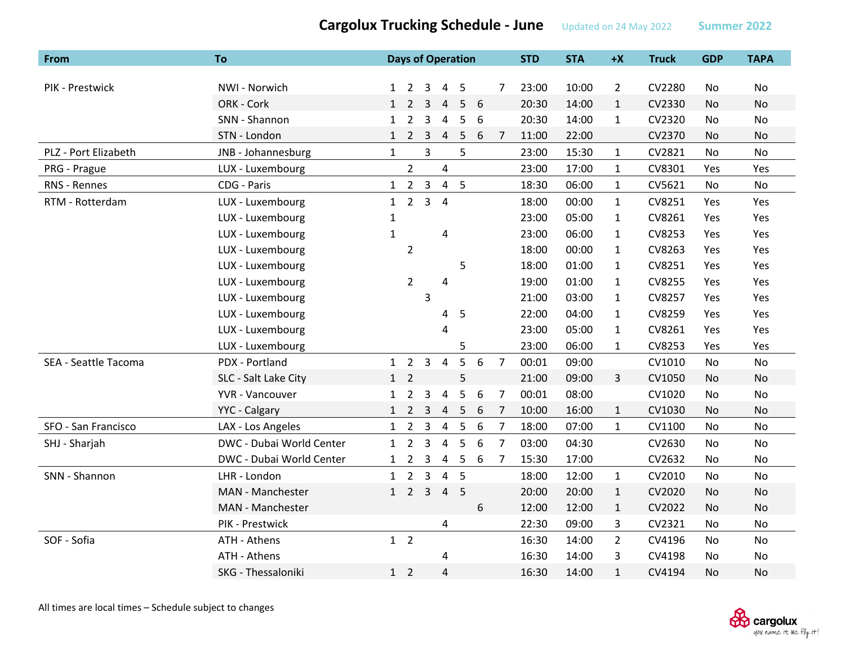| <b>From</b>          | <b>To</b>                | <b>Days of Operation</b> |                     |                         |                         |                 |   |                | <b>STD</b> | <b>STA</b> | $+X$           | <b>Truck</b> | <b>GDP</b> | <b>TAPA</b> |
|----------------------|--------------------------|--------------------------|---------------------|-------------------------|-------------------------|-----------------|---|----------------|------------|------------|----------------|--------------|------------|-------------|
|                      |                          |                          |                     |                         |                         |                 |   |                |            |            |                |              |            |             |
| PIK - Prestwick      | NWI - Norwich            | $\mathbf{1}$             | $\overline{2}$      | 3                       | $\overline{4}$          | -5              |   | $\overline{7}$ | 23:00      | 10:00      | $\overline{2}$ | CV2280       | No         | <b>No</b>   |
|                      | ORK - Cork               | 1                        | $\overline{2}$      | 3                       | $\overline{4}$          | 5               | 6 |                | 20:30      | 14:00      | $\mathbf{1}$   | CV2330       | No         | <b>No</b>   |
|                      | SNN - Shannon            | $\mathbf{1}$             | $\overline{2}$      | 3                       | 4                       | 5               | 6 |                | 20:30      | 14:00      | $\mathbf{1}$   | CV2320       | No         | No          |
|                      | STN - London             |                          | $1\quad2\quad3$     |                         | $\overline{4}$          | 5               | 6 | 7              | 11:00      | 22:00      |                | CV2370       | No         | No          |
| PLZ - Port Elizabeth | JNB - Johannesburg       | $\mathbf{1}$             |                     | $\overline{3}$          |                         | 5               |   |                | 23:00      | 15:30      | $\mathbf{1}$   | CV2821       | No         | <b>No</b>   |
| PRG - Prague         | LUX - Luxembourg         |                          | $\overline{2}$      |                         | $\overline{\mathbf{4}}$ |                 |   |                | 23:00      | 17:00      | $\mathbf{1}$   | CV8301       | Yes        | Yes         |
| RNS - Rennes         | CDG - Paris              |                          | $1\quad 2$          | $\overline{3}$          |                         | 4 <sub>5</sub>  |   |                | 18:30      | 06:00      | $\mathbf{1}$   | CV5621       | No         | No          |
| RTM - Rotterdam      | LUX - Luxembourg         | 1                        | $\overline{2}$      | $\overline{\mathbf{3}}$ | $\overline{4}$          |                 |   |                | 18:00      | 00:00      | $\mathbf{1}$   | CV8251       | Yes        | Yes         |
|                      | LUX - Luxembourg         | $\mathbf{1}$             |                     |                         |                         |                 |   |                | 23:00      | 05:00      | $\mathbf{1}$   | CV8261       | Yes        | Yes         |
|                      | LUX - Luxembourg         | $\mathbf{1}$             |                     |                         | 4                       |                 |   |                | 23:00      | 06:00      | $\mathbf{1}$   | CV8253       | Yes        | Yes         |
|                      | LUX - Luxembourg         |                          | $\overline{2}$      |                         |                         |                 |   |                | 18:00      | 00:00      | $\mathbf{1}$   | CV8263       | Yes        | Yes         |
|                      | LUX - Luxembourg         |                          |                     |                         |                         | 5               |   |                | 18:00      | 01:00      | $\mathbf{1}$   | CV8251       | Yes        | Yes         |
|                      | LUX - Luxembourg         |                          | $\overline{2}$      |                         | 4                       |                 |   |                | 19:00      | 01:00      | $\mathbf{1}$   | CV8255       | Yes        | Yes         |
|                      | LUX - Luxembourg         |                          |                     | 3                       |                         |                 |   |                | 21:00      | 03:00      | $\mathbf{1}$   | CV8257       | Yes        | Yes         |
|                      | LUX - Luxembourg         |                          |                     |                         | 4                       | 5               |   |                | 22:00      | 04:00      | $\mathbf{1}$   | CV8259       | Yes        | Yes         |
|                      | LUX - Luxembourg         |                          |                     |                         | 4                       |                 |   |                | 23:00      | 05:00      | $\mathbf{1}$   | CV8261       | Yes        | Yes         |
|                      | LUX - Luxembourg         |                          |                     |                         |                         | 5               |   |                | 23:00      | 06:00      | $\mathbf{1}$   | CV8253       | Yes        | Yes         |
| SEA - Seattle Tacoma | PDX - Portland           |                          | $1\quad 2$          | 3                       | $\overline{a}$          | 5               | 6 | 7              | 00:01      | 09:00      |                | CV1010       | No         | No          |
|                      | SLC - Salt Lake City     | 1                        | $\overline{2}$      |                         |                         | 5               |   |                | 21:00      | 09:00      | $\mathbf{3}$   | CV1050       | No         | <b>No</b>   |
|                      | YVR - Vancouver          | $\mathbf{1}$             | $\overline{2}$      | 3                       | $\overline{\mathbf{4}}$ | 5               | 6 | 7              | 00:01      | 08:00      |                | CV1020       | No         | No          |
|                      | YYC - Calgary            | $\mathbf{1}$             | $\overline{2}$      | 3                       | $\overline{4}$          | 5               | 6 | $\overline{7}$ | 10:00      | 16:00      | $\mathbf{1}$   | CV1030       | No         | No          |
| SFO - San Francisco  | LAX - Los Angeles        |                          | $1\quad 2$          | 3                       | $\overline{4}$          | 5               | 6 | 7              | 18:00      | 07:00      | $\mathbf{1}$   | CV1100       | No         | No          |
| SHJ - Sharjah        | DWC - Dubai World Center | $\mathbf{1}$             | $\overline{2}$      | $\overline{\mathbf{3}}$ | $\overline{4}$          | 5               | 6 | $\overline{7}$ | 03:00      | 04:30      |                | CV2630       | No         | No          |
|                      | DWC - Dubai World Center | $\mathbf{1}$             |                     | 2 <sub>3</sub>          | $\overline{4}$          | $5\phantom{.0}$ | 6 | 7              | 15:30      | 17:00      |                | CV2632       | No         | No          |
| SNN - Shannon        | LHR - London             |                          | $1 \quad 2 \quad 3$ |                         | $\overline{4}$          | 5               |   |                | 18:00      | 12:00      | $\mathbf{1}$   | CV2010       | No         | No          |
|                      | MAN - Manchester         |                          | $1 \quad 2 \quad 3$ |                         | $\overline{4}$          | 5               |   |                | 20:00      | 20:00      | $\mathbf{1}$   | CV2020       | No         | <b>No</b>   |
|                      | MAN - Manchester         |                          |                     |                         |                         |                 | 6 |                | 12:00      | 12:00      | $\mathbf{1}$   | CV2022       | No         | <b>No</b>   |
|                      | PIK - Prestwick          |                          |                     |                         | 4                       |                 |   |                | 22:30      | 09:00      | 3              | CV2321       | No         | No          |
| SOF - Sofia          | ATH - Athens             |                          | $1\quad 2$          |                         |                         |                 |   |                | 16:30      | 14:00      | $\overline{2}$ | CV4196       | No         | <b>No</b>   |
|                      | ATH - Athens             |                          |                     |                         | 4                       |                 |   |                | 16:30      | 14:00      | 3              | CV4198       | No         | No          |
|                      | SKG - Thessaloniki       |                          | $1\quad 2$          |                         | 4                       |                 |   |                | 16:30      | 14:00      | $\mathbf{1}$   | CV4194       | No.        | No          |

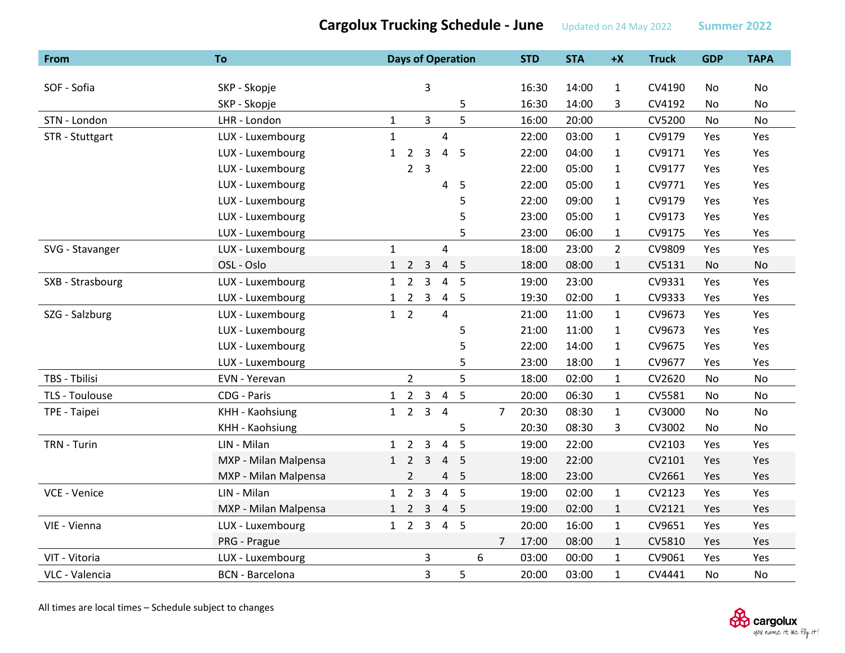| From             | <b>To</b>              |              | <b>Days of Operation</b> |                |                |                |   |                | <b>STD</b> | <b>STA</b> | $+X$         | <b>Truck</b> | <b>GDP</b> | <b>TAPA</b> |
|------------------|------------------------|--------------|--------------------------|----------------|----------------|----------------|---|----------------|------------|------------|--------------|--------------|------------|-------------|
|                  |                        |              |                          |                |                |                |   |                |            |            |              |              |            |             |
| SOF - Sofia      | SKP - Skopje           |              |                          | 3              |                |                |   |                | 16:30      | 14:00      | $\mathbf{1}$ | CV4190       | No         | No          |
|                  | SKP - Skopje           |              |                          |                |                | 5              |   |                | 16:30      | 14:00      | 3            | CV4192       | No         | No          |
| STN - London     | LHR - London           | $\mathbf{1}$ |                          | 3              |                | 5              |   |                | 16:00      | 20:00      |              | CV5200       | No         | No          |
| STR - Stuttgart  | LUX - Luxembourg       | $\mathbf{1}$ |                          |                | $\overline{4}$ |                |   |                | 22:00      | 03:00      | $\mathbf{1}$ | CV9179       | Yes        | Yes         |
|                  | LUX - Luxembourg       | $\mathbf{1}$ | $\overline{2}$           | 3              | 4              | 5              |   |                | 22:00      | 04:00      | $\mathbf{1}$ | CV9171       | Yes        | Yes         |
|                  | LUX - Luxembourg       |              | $2^{\circ}$              | $\overline{3}$ |                |                |   |                | 22:00      | 05:00      | $\mathbf{1}$ | CV9177       | Yes        | Yes         |
|                  | LUX - Luxembourg       |              |                          |                | 4              | 5              |   |                | 22:00      | 05:00      | $\mathbf{1}$ | CV9771       | Yes        | Yes         |
|                  | LUX - Luxembourg       |              |                          |                |                | 5              |   |                | 22:00      | 09:00      | $\mathbf{1}$ | CV9179       | Yes        | Yes         |
|                  | LUX - Luxembourg       |              |                          |                |                | 5              |   |                | 23:00      | 05:00      | $\mathbf{1}$ | CV9173       | Yes        | Yes         |
|                  | LUX - Luxembourg       |              |                          |                |                | 5              |   |                | 23:00      | 06:00      | $\mathbf{1}$ | CV9175       | Yes        | Yes         |
| SVG - Stavanger  | LUX - Luxembourg       | $\mathbf{1}$ |                          |                | $\overline{4}$ |                |   |                | 18:00      | 23:00      | $2^{\circ}$  | CV9809       | Yes        | Yes         |
|                  | OSL - Oslo             | 1            | $\overline{2}$           | 3              |                | 4 <sub>5</sub> |   |                | 18:00      | 08:00      | $\mathbf{1}$ | CV5131       | No         | No          |
| SXB - Strasbourg | LUX - Luxembourg       | 1            | $\overline{2}$           | 3              | $\overline{4}$ | 5              |   |                | 19:00      | 23:00      |              | CV9331       | Yes        | Yes         |
|                  | LUX - Luxembourg       | $\mathbf{1}$ | $\overline{2}$           | $\mathbf{3}$   | $\overline{4}$ | $-5$           |   |                | 19:30      | 02:00      | $\mathbf{1}$ | CV9333       | Yes        | Yes         |
| SZG - Salzburg   | LUX - Luxembourg       |              | $1\quad 2$               |                | 4              |                |   |                | 21:00      | 11:00      | $\mathbf{1}$ | CV9673       | Yes        | Yes         |
|                  | LUX - Luxembourg       |              |                          |                |                | 5              |   |                | 21:00      | 11:00      | $\mathbf{1}$ | CV9673       | Yes        | Yes         |
|                  | LUX - Luxembourg       |              |                          |                |                | 5              |   |                | 22:00      | 14:00      | $\mathbf{1}$ | CV9675       | Yes        | Yes         |
|                  | LUX - Luxembourg       |              |                          |                |                | 5              |   |                | 23:00      | 18:00      | $\mathbf{1}$ | CV9677       | Yes        | Yes         |
| TBS - Tbilisi    | EVN - Yerevan          |              | $\overline{2}$           |                |                | 5              |   |                | 18:00      | 02:00      | $\mathbf{1}$ | CV2620       | No         | No          |
| TLS - Toulouse   | CDG - Paris            |              | $1 \quad 2$              | $\overline{3}$ | $\overline{a}$ | 5              |   |                | 20:00      | 06:30      | $\mathbf{1}$ | CV5581       | No         | <b>No</b>   |
| TPE - Taipei     | KHH - Kaohsiung        |              | $1\quad 2$               | $\overline{3}$ | $\overline{4}$ |                |   | $\overline{7}$ | 20:30      | 08:30      | $\mathbf{1}$ | CV3000       | No         | No          |
|                  | KHH - Kaohsiung        |              |                          |                |                | 5              |   |                | 20:30      | 08:30      | 3            | CV3002       | No         | No          |
| TRN - Turin      | LIN - Milan            |              | $1\quad 2$               | $\overline{3}$ | $\overline{4}$ | 5              |   |                | 19:00      | 22:00      |              | CV2103       | Yes        | Yes         |
|                  | MXP - Milan Malpensa   | $\mathbf{1}$ | $\overline{2}$           | 3              | $\overline{4}$ | 5              |   |                | 19:00      | 22:00      |              | CV2101       | Yes        | Yes         |
|                  | MXP - Milan Malpensa   |              | $\overline{2}$           |                | 4              | 5              |   |                | 18:00      | 23:00      |              | CV2661       | Yes        | Yes         |
| VCE - Venice     | LIN - Milan            |              | $1\quad 2$               | $\overline{3}$ | $\overline{4}$ | 5              |   |                | 19:00      | 02:00      | $\mathbf{1}$ | CV2123       | Yes        | Yes         |
|                  | MXP - Milan Malpensa   | $\mathbf{1}$ | $\overline{2}$           | 3              | 4              | 5              |   |                | 19:00      | 02:00      | $\mathbf{1}$ | CV2121       | Yes        | Yes         |
| VIE - Vienna     | LUX - Luxembourg       |              | $1 \quad 2 \quad 3$      |                | $\overline{4}$ | 5              |   |                | 20:00      | 16:00      | $\mathbf{1}$ | CV9651       | Yes        | Yes         |
|                  | PRG - Prague           |              |                          |                |                |                |   | 7              | 17:00      | 08:00      | $\mathbf{1}$ | CV5810       | Yes        | Yes         |
| VIT - Vitoria    | LUX - Luxembourg       |              |                          | 3              |                |                | 6 |                | 03:00      | 00:00      | $\mathbf{1}$ | CV9061       | Yes        | Yes         |
| VLC - Valencia   | <b>BCN</b> - Barcelona |              |                          | 3              |                | 5              |   |                | 20:00      | 03:00      | $\mathbf{1}$ | CV4441       | No         | No          |